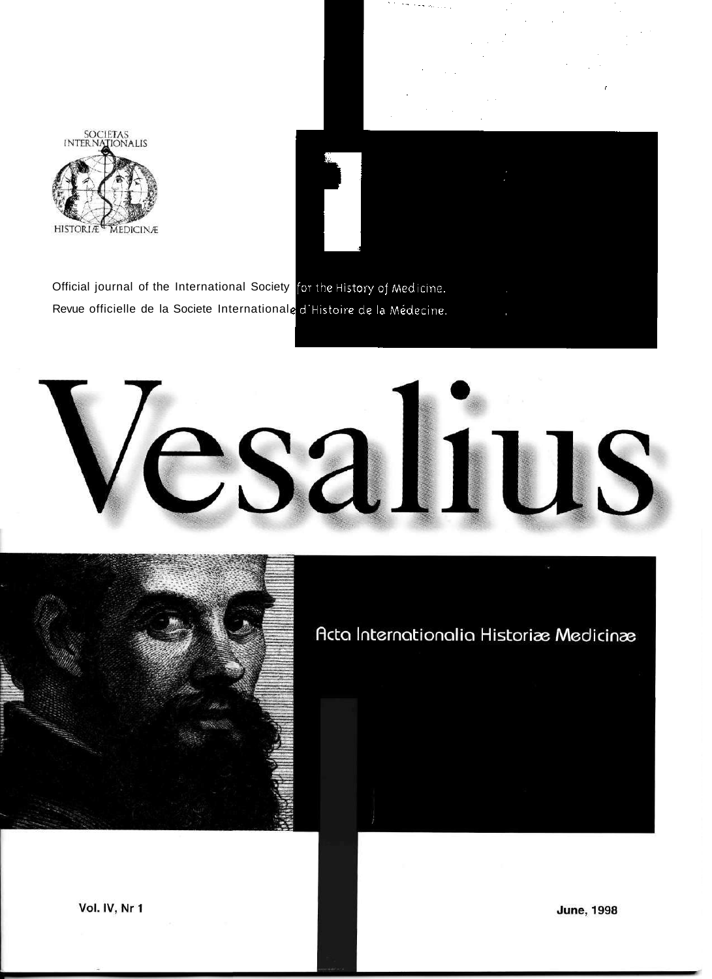

Official journal of the International Society for the History of Medicine. Revue officielle de la Societe Internationale d'Histoire de la Médecine.





Acta Internationalia Historiæ Medicinæ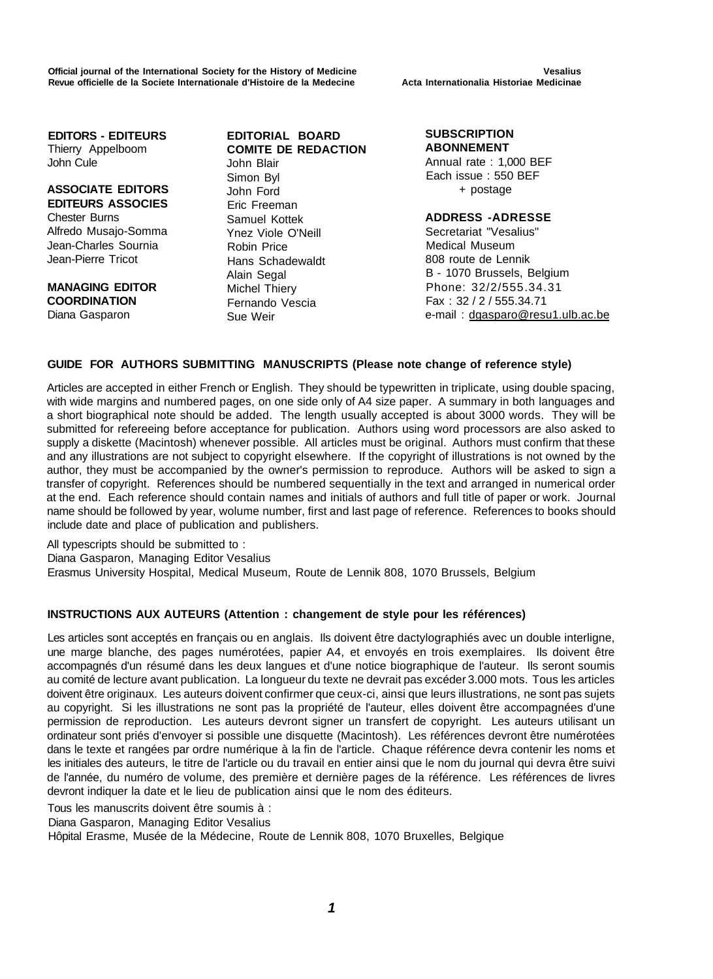Official journal of the International Society for the History of Medicine **Vesalius** Vesalius Revue officielle de la Societe Internationale d'Histoire de la Medecine **Acta Internationalia Historiae Medicinae** 

**EDITORS - EDITEURS**  Thierry Appelboom John Cule

### **ASSOCIATE EDITORS EDITEURS ASSOCIES**  Chester Burns

Alfredo Musajo-Somma Jean-Charles Sournia Jean-Pierre Tricot

**MANAGING EDITOR COORDINATION**  Diana Gasparon

**EDITORIAL BOARD COMITE DE REDACTION**  John Blair Simon Byl John Ford Eric Freeman Samuel Kottek Ynez Viole O'Neill Robin Price Hans Schadewaldt Alain Segal Michel Thiery Fernando Vescia Sue Weir

**SUBSCRIPTION ABONNEMENT** 

Annual rate : 1,000 BEF Each issue : 550 BEF + postage

### **ADDRESS -ADRESSE**

Secretariat "Vesalius" Medical Museum 808 route de Lennik B - 1070 Brussels, Belgium Phone: 32/2/555.34.31 Fax : 32 / 2 / 555.34.71 e-mail : [dgasparo@resu1.ulb.ac.be](mailto:dgasparo@resu1.ulb.ac.be)

### **GUIDE FOR AUTHORS SUBMITTING MANUSCRIPTS (Please note change of reference style)**

Articles are accepted in either French or English. They should be typewritten in triplicate, using double spacing, with wide margins and numbered pages, on one side only of A4 size paper. A summary in both languages and a short biographical note should be added. The length usually accepted is about 3000 words. They will be submitted for refereeing before acceptance for publication. Authors using word processors are also asked to supply a diskette (Macintosh) whenever possible. All articles must be original. Authors must confirm that these and any illustrations are not subject to copyright elsewhere. If the copyright of illustrations is not owned by the author, they must be accompanied by the owner's permission to reproduce. Authors will be asked to sign a transfer of copyright. References should be numbered sequentially in the text and arranged in numerical order at the end. Each reference should contain names and initials of authors and full title of paper or work. Journal name should be followed by year, wolume number, first and last page of reference. References to books should include date and place of publication and publishers.

All typescripts should be submitted to : Diana Gasparon, Managing Editor Vesalius Erasmus University Hospital, Medical Museum, Route de Lennik 808, 1070 Brussels, Belgium

### **INSTRUCTIONS AUX AUTEURS (Attention : changement de style pour les références)**

Les articles sont acceptés en français ou en anglais. Ils doivent être dactylographiés avec un double interligne, une marge blanche, des pages numérotées, papier A4, et envoyés en trois exemplaires. Ils doivent être accompagnés d'un résumé dans les deux langues et d'une notice biographique de l'auteur. Ils seront soumis au comité de lecture avant publication. La longueur du texte ne devrait pas excéder 3.000 mots. Tous les articles doivent être originaux. Les auteurs doivent confirmer que ceux-ci, ainsi que leurs illustrations, ne sont pas sujets au copyright. Si les illustrations ne sont pas la propriété de l'auteur, elles doivent être accompagnées d'une permission de reproduction. Les auteurs devront signer un transfert de copyright. Les auteurs utilisant un ordinateur sont priés d'envoyer si possible une disquette (Macintosh). Les références devront être numérotées dans le texte et rangées par ordre numérique à la fin de l'article. Chaque référence devra contenir les noms et les initiales des auteurs, le titre de l'article ou du travail en entier ainsi que le nom du journal qui devra être suivi de l'année, du numéro de volume, des première et dernière pages de la référence. Les références de livres devront indiquer la date et le lieu de publication ainsi que le nom des éditeurs.

Tous les manuscrits doivent être soumis à :

Diana Gasparon, Managing Editor Vesalius

Hôpital Erasme, Musée de la Médecine, Route de Lennik 808, 1070 Bruxelles, Belgique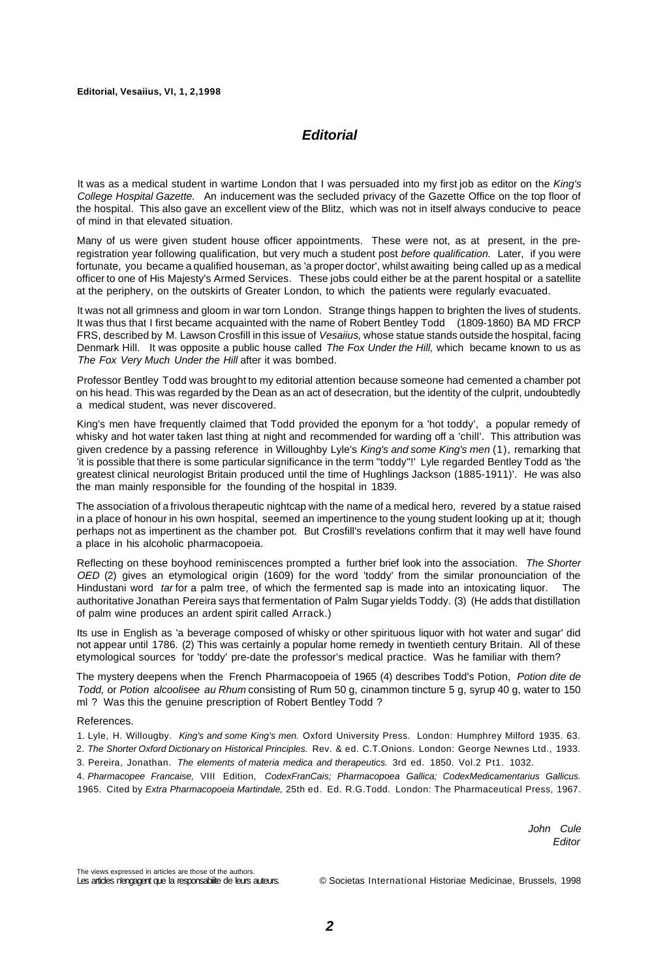#### **Editorial, Vesaiius, VI, 1, 2,1998**

## **Editorial**

It was as a medical student in wartime London that I was persuaded into my first job as editor on the King's College Hospital Gazette. An inducement was the secluded privacy of the Gazette Office on the top floor of the hospital. This also gave an excellent view of the Blitz, which was not in itself always conducive to peace of mind in that elevated situation.

Many of us were given student house officer appointments. These were not, as at present, in the preregistration year following qualification, but very much a student post before qualification. Later, if you were fortunate, you became a qualified houseman, as 'a proper doctor', whilst awaiting being called up as a medical officer to one of His Majesty's Armed Services. These jobs could either be at the parent hospital or a satellite at the periphery, on the outskirts of Greater London, to which the patients were regularly evacuated.

It was not all grimness and gloom in war torn London. Strange things happen to brighten the lives of students. It was thus that I first became acquainted with the name of Robert Bentley Todd (1809-1860) BA MD FRCP FRS, described by M. Lawson Crosfill in this issue of Vesaiius, whose statue stands outside the hospital, facing Denmark Hill. It was opposite a public house called The Fox Under the Hill, which became known to us as The Fox Very Much Under the Hill after it was bombed.

Professor Bentley Todd was brought to my editorial attention because someone had cemented a chamber pot on his head. This was regarded by the Dean as an act of desecration, but the identity of the culprit, undoubtedly a medical student, was never discovered.

King's men have frequently claimed that Todd provided the eponym for a 'hot toddy', a popular remedy of whisky and hot water taken last thing at night and recommended for warding off a 'chill'. This attribution was given credence by a passing reference in Willoughby Lyle's King's and some King's men (1), remarking that 'it is possible that there is some particular significance in the term "toddy"!' Lyle regarded Bentley Todd as 'the greatest clinical neurologist Britain produced until the time of Hughlings Jackson (1885-1911)'. He was also the man mainly responsible for the founding of the hospital in 1839.

The association of a frivolous therapeutic nightcap with the name of a medical hero, revered by a statue raised in a place of honour in his own hospital, seemed an impertinence to the young student looking up at it; though perhaps not as impertinent as the chamber pot. But Crosfill's revelations confirm that it may well have found a place in his alcoholic pharmacopoeia.

Reflecting on these boyhood reminiscences prompted a further brief look into the association. The Shorter OED (2) gives an etymological origin (1609) for the word 'toddy' from the similar pronounciation of the Hindustani word tar for a palm tree, of which the fermented sap is made into an intoxicating liquor. The authoritative Jonathan Pereira says that fermentation of Palm Sugar yields Toddy. (3) (He adds that distillation of palm wine produces an ardent spirit called Arrack.)

Its use in English as 'a beverage composed of whisky or other spirituous liquor with hot water and sugar' did not appear until 1786. (2) This was certainly a popular home remedy in twentieth century Britain. All of these etymological sources for 'toddy' pre-date the professor's medical practice. Was he familiar with them?

The mystery deepens when the French Pharmacopoeia of 1965 (4) describes Todd's Potion, Potion dite de Todd, or Potion alcoolisee au Rhum consisting of Rum 50 g, cinammon tincture 5 g, syrup 40 g, water to 150 ml ? Was this the genuine prescription of Robert Bentley Todd ?

#### References.

- 1. Lyle, H. Willougby. King's and some King's men. Oxford University Press. London: Humphrey Milford 1935. 63. 2. The Shorter Oxford Dictionary on Historical Principles. Rev. & ed. C.T.Onions. London: George Newnes Ltd., 1933.
- 3. Pereira, Jonathan. The elements of materia medica and therapeutics. 3rd ed. 1850. Vol.2 Pt1. 1032.

4. Pharmacopee Francaise, VIII Edition, CodexFranCais; Pharmacopoea Gallica; CodexMedicamentarius Gallicus. 1965. Cited by Extra Pharmacopoeia Martindale, 25th ed. Ed. R.G.Todd. London: The Pharmaceutical Press, 1967.

> John Cule **Editor**

The views expressed in articles are those of the authors.

Les articles n'engagent que la responsabiiite de leurs auteurs. © Societas International Historiae Medicinae, Brussels, 1998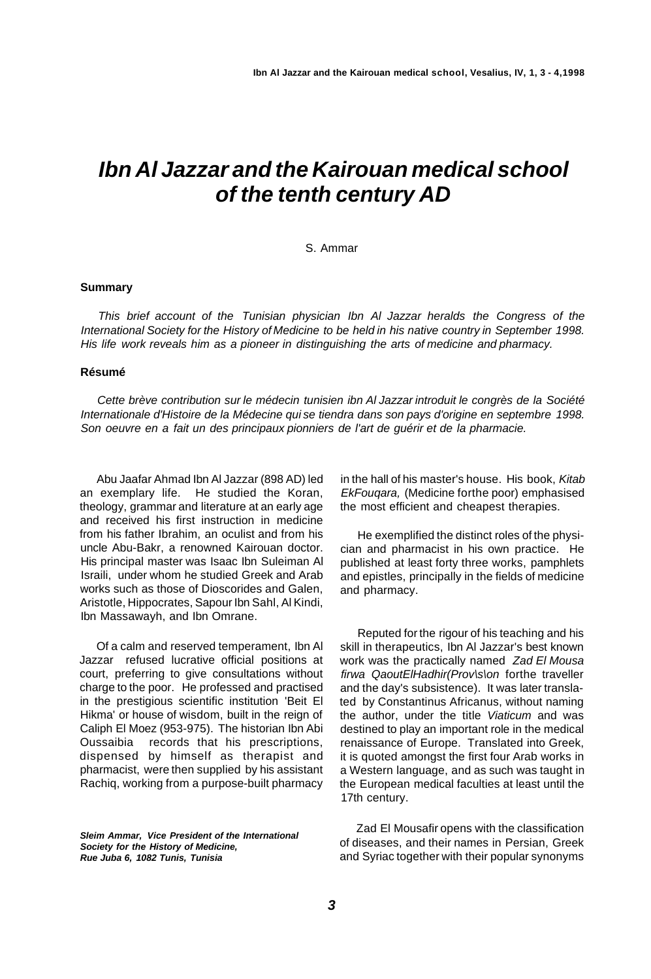# **Ibn Al Jazzar and the Kairouan medical school of the tenth century AD**

#### S. Ammar

#### **Summary**

This brief account of the Tunisian physician Ibn Al Jazzar heralds the Congress of the International Society for the History of Medicine to be held in his native country in September 1998. His life work reveals him as a pioneer in distinguishing the arts of medicine and pharmacy.

#### **Résumé**

Cette brève contribution sur le médecin tunisien ibn Al Jazzar introduit le congrès de la Société Internationale d'Histoire de la Médecine qui se tiendra dans son pays d'origine en septembre 1998. Son oeuvre en a fait un des principaux pionniers de l'art de guérir et de la pharmacie.

Abu Jaafar Ahmad Ibn Al Jazzar (898 AD) led an exemplary life. He studied the Koran, theology, grammar and literature at an early age and received his first instruction in medicine from his father Ibrahim, an oculist and from his uncle Abu-Bakr, a renowned Kairouan doctor. His principal master was Isaac Ibn Suleiman Al Israili, under whom he studied Greek and Arab works such as those of Dioscorides and Galen, Aristotle, Hippocrates, Sapour Ibn Sahl, Al Kindi, Ibn Massawayh, and Ibn Omrane.

Of a calm and reserved temperament, Ibn Al Jazzar refused lucrative official positions at court, preferring to give consultations without charge to the poor. He professed and practised in the prestigious scientific institution 'Beit El Hikma' or house of wisdom, built in the reign of Caliph El Moez (953-975). The historian Ibn Abi Oussaibia records that his prescriptions, dispensed by himself as therapist and pharmacist, were then supplied by his assistant Rachiq, working from a purpose-built pharmacy

**Sleim Ammar, Vice President of the International Society for the History of Medicine, Rue Juba 6, 1082 Tunis, Tunisia** 

in the hall of his master's house. His book, Kitab EkFouqara, (Medicine forthe poor) emphasised the most efficient and cheapest therapies.

He exemplified the distinct roles of the physician and pharmacist in his own practice. He published at least forty three works, pamphlets and epistles, principally in the fields of medicine and pharmacy.

Reputed for the rigour of his teaching and his skill in therapeutics, Ibn Al Jazzar's best known work was the practically named Zad El Mousa firwa QaoutElHadhir(Prov\s\on forthe traveller and the day's subsistence). It was later translated by Constantinus Africanus, without naming the author, under the title Viaticum and was destined to play an important role in the medical renaissance of Europe. Translated into Greek, it is quoted amongst the first four Arab works in a Western language, and as such was taught in the European medical faculties at least until the 17th century.

Zad El Mousafir opens with the classification of diseases, and their names in Persian, Greek and Syriac together with their popular synonyms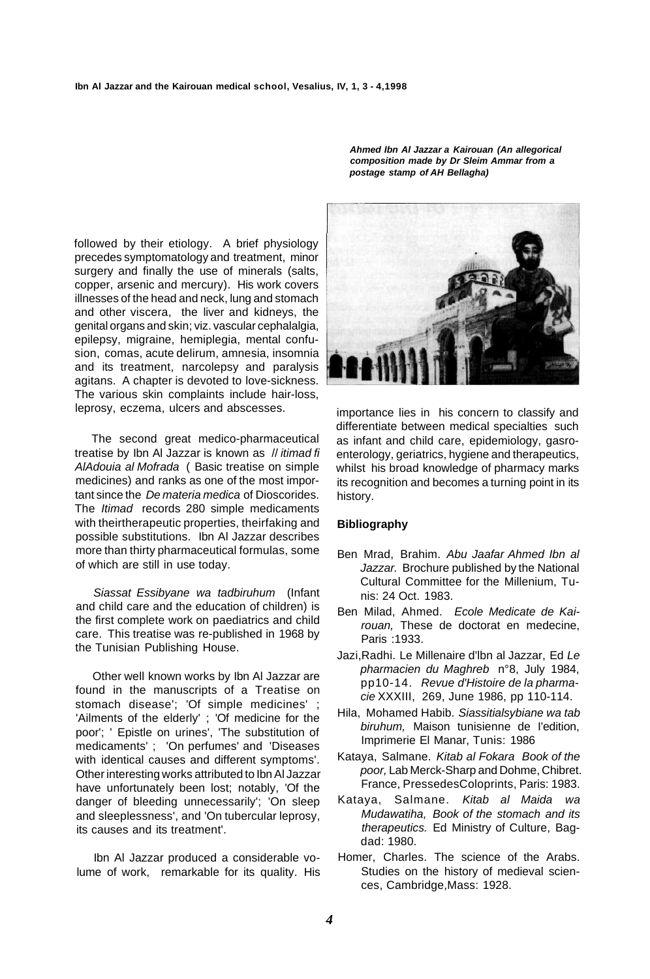followed by their etiology. A brief physiology precedes symptomatology and treatment, minor surgery and finally the use of minerals (salts, copper, arsenic and mercury). His work covers illnesses of the head and neck, lung and stomach and other viscera, the liver and kidneys, the genital organs and skin; viz. vascular cephalalgia, epilepsy, migraine, hemiplegia, mental confusion, comas, acute delirum, amnesia, insomnia and its treatment, narcolepsy and paralysis agitans. A chapter is devoted to love-sickness. The various skin complaints include hair-loss, leprosy, eczema, ulcers and abscesses.

The second great medico-pharmaceutical treatise by Ibn Al Jazzar is known as // itimad fi AlAdouia al Mofrada ( Basic treatise on simple medicines) and ranks as one of the most important since the De materia medica of Dioscorides. The Itimad records 280 simple medicaments with theirtherapeutic properties, theirfaking and possible substitutions. Ibn Al Jazzar describes more than thirty pharmaceutical formulas, some of which are still in use today.

Siassat Essibyane wa tadbiruhum (Infant and child care and the education of children) is the first complete work on paediatrics and child care. This treatise was re-published in 1968 by the Tunisian Publishing House.

Other well known works by Ibn Al Jazzar are found in the manuscripts of a Treatise on stomach disease'; 'Of simple medicines' ; 'Ailments of the elderly' ; 'Of medicine for the poor'; ' Epistle on urines', 'The substitution of medicaments' ; 'On perfumes' and 'Diseases with identical causes and different symptoms'. Other interesting works attributed to Ibn Al Jazzar have unfortunately been lost; notably, 'Of the danger of bleeding unnecessarily'; 'On sleep and sleeplessness', and 'On tubercular leprosy, its causes and its treatment'.

Ibn Al Jazzar produced a considerable volume of work, remarkable for its quality. His

**Ahmed Ibn Al Jazzar a Kairouan (An allegorical composition made by Dr Sleim Ammar from a postage stamp of AH Bellagha)** 



importance lies in his concern to classify and differentiate between medical specialties such as infant and child care, epidemiology, gasroenterology, geriatrics, hygiene and therapeutics, whilst his broad knowledge of pharmacy marks its recognition and becomes a turning point in its history.

#### **Bibliography**

- Ben Mrad, Brahim. Abu Jaafar Ahmed Ibn al Jazzar. Brochure published by the National Cultural Committee for the Millenium, Tunis: 24 Oct. 1983.
- Ben Milad, Ahmed. Ecole Medicate de Kairouan, These de doctorat en medecine, Paris :1933.
- Jazi,Radhi. Le Millenaire d'lbn al Jazzar, Ed Le pharmacien du Maghreb n°8, July 1984, pp10-14. Revue d'Histoire de la pharmacie XXXIII, 269, June 1986, pp 110-114.
- Hila, Mohamed Habib. Siassitialsybiane wa tab biruhum, Maison tunisienne de I'edition, Imprimerie El Manar, Tunis: 1986
- Kataya, Salmane. Kitab al Fokara Book of the poor, Lab Merck-Sharp and Dohme, Chibret. France, PressedesColoprints, Paris: 1983.
- Kataya, Salmane. Kitab al Maida wa Mudawatiha, Book of the stomach and its therapeutics. Ed Ministry of Culture, Bagdad: 1980.
- Homer, Charles. The science of the Arabs. Studies on the history of medieval sciences, Cambridge,Mass: 1928.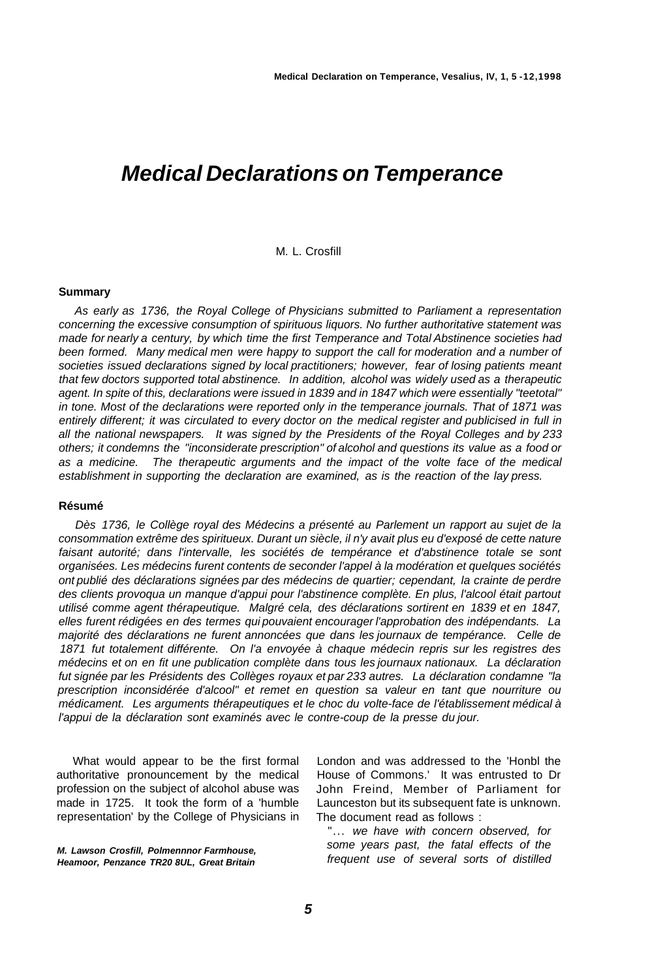## **Medical Declarations on Temperance**

#### M. L. Crosfill

#### **Summary**

As early as 1736, the Royal College of Physicians submitted to Parliament a representation concerning the excessive consumption of spirituous liquors. No further authoritative statement was made for nearly a century, by which time the first Temperance and Total Abstinence societies had been formed. Many medical men were happy to support the call for moderation and a number of societies issued declarations signed by local practitioners; however, fear of losing patients meant that few doctors supported total abstinence. In addition, alcohol was widely used as a therapeutic agent. In spite of this, declarations were issued in 1839 and in 1847 which were essentially "teetotal" in tone. Most of the declarations were reported only in the temperance journals. That of 1871 was entirely different; it was circulated to every doctor on the medical register and publicised in full in all the national newspapers. It was signed by the Presidents of the Royal Colleges and by 233 others; it condemns the "inconsiderate prescription" of alcohol and questions its value as a food or as a medicine. The therapeutic arguments and the impact of the volte face of the medical establishment in supporting the declaration are examined, as is the reaction of the lay press.

#### **Résumé**

Dès 1736, le Collège royal des Médecins a présenté au Parlement un rapport au sujet de la consommation extrême des spiritueux. Durant un siècle, il n'y avait plus eu d'exposé de cette nature faisant autorité; dans l'intervalle, les sociétés de tempérance et d'abstinence totale se sont organisées. Les médecins furent contents de seconder l'appel à la modération et quelques sociétés ont publié des déclarations signées par des médecins de quartier; cependant, la crainte de perdre des clients provoqua un manque d'appui pour l'abstinence complète. En plus, l'alcool était partout utilisé comme agent thérapeutique. Malgré cela, des déclarations sortirent en 1839 et en 1847, elles furent rédigées en des termes qui pouvaient encourager l'approbation des indépendants. La majorité des déclarations ne furent annoncées que dans les journaux de tempérance. Celle de 1871 fut totalement différente. On l'a envoyée à chaque médecin repris sur les registres des médecins et on en fit une publication complète dans tous les journaux nationaux. La déclaration fut signée par les Présidents des Collèges royaux et par 233 autres. La déclaration condamne "la prescription inconsidérée d'alcool" et remet en question sa valeur en tant que nourriture ou médicament. Les arguments thérapeutiques et le choc du volte-face de l'établissement médical à l'appui de la déclaration sont examinés avec le contre-coup de la presse du jour.

What would appear to be the first formal authoritative pronouncement by the medical profession on the subject of alcohol abuse was made in 1725. It took the form of a 'humble representation' by the College of Physicians in

**M. Lawson Crosfill, Polmennnor Farmhouse, Heamoor, Penzance TR20 8UL, Great Britain** 

London and was addressed to the 'Honbl the House of Commons.' It was entrusted to Dr John Freind, Member of Parliament for Launceston but its subsequent fate is unknown. The document read as follows :

"... we have with concern observed, for some years past, the fatal effects of the frequent use of several sorts of distilled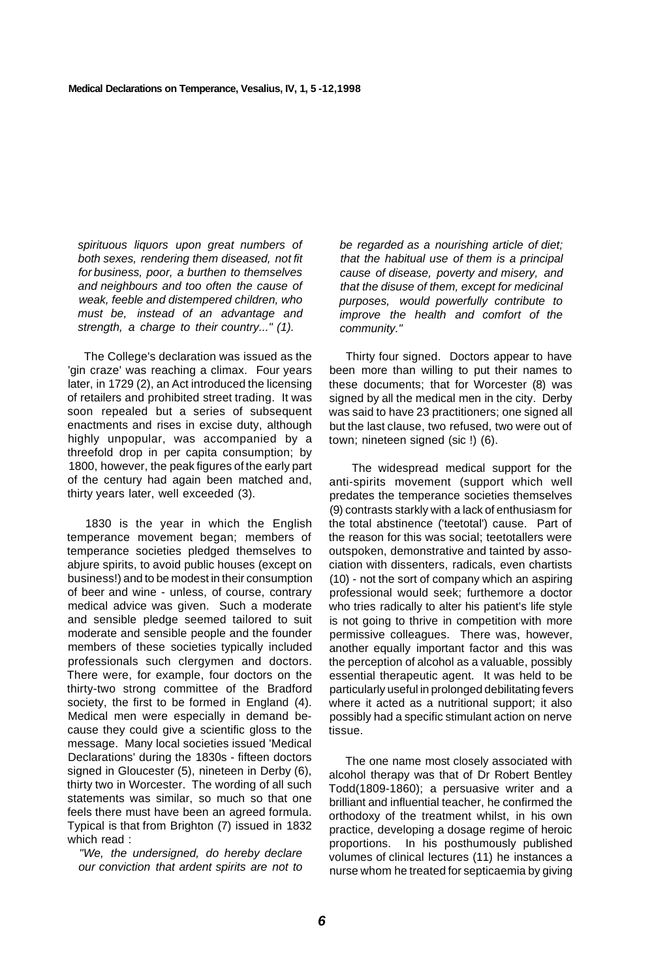spirituous liquors upon great numbers of both sexes, rendering them diseased, not fit for business, poor, a burthen to themselves and neighbours and too often the cause of weak, feeble and distempered children, who must be, instead of an advantage and strength, a charge to their country..." (1).

The College's declaration was issued as the 'gin craze' was reaching a climax. Four years later, in 1729 (2), an Act introduced the licensing of retailers and prohibited street trading. It was soon repealed but a series of subsequent enactments and rises in excise duty, although highly unpopular, was accompanied by a threefold drop in per capita consumption; by 1800, however, the peak figures of the early part of the century had again been matched and, thirty years later, well exceeded (3).

1830 is the year in which the English temperance movement began; members of temperance societies pledged themselves to abjure spirits, to avoid public houses (except on business!) and to be modest in their consumption of beer and wine - unless, of course, contrary medical advice was given. Such a moderate and sensible pledge seemed tailored to suit moderate and sensible people and the founder members of these societies typically included professionals such clergymen and doctors. There were, for example, four doctors on the thirty-two strong committee of the Bradford society, the first to be formed in England (4). Medical men were especially in demand because they could give a scientific gloss to the message. Many local societies issued 'Medical Declarations' during the 1830s - fifteen doctors signed in Gloucester (5), nineteen in Derby (6), thirty two in Worcester. The wording of all such statements was similar, so much so that one feels there must have been an agreed formula. Typical is that from Brighton (7) issued in 1832 which read :

"We, the undersigned, do hereby declare our conviction that ardent spirits are not to be regarded as a nourishing article of diet; that the habitual use of them is a principal cause of disease, poverty and misery, and that the disuse of them, except for medicinal purposes, would powerfully contribute to improve the health and comfort of the community."

Thirty four signed. Doctors appear to have been more than willing to put their names to these documents; that for Worcester (8) was signed by all the medical men in the city. Derby was said to have 23 practitioners; one signed all but the last clause, two refused, two were out of town; nineteen signed (sic !) (6).

The widespread medical support for the anti-spirits movement (support which well predates the temperance societies themselves (9) contrasts starkly with a lack of enthusiasm for the total abstinence ('teetotal') cause. Part of the reason for this was social; teetotallers were outspoken, demonstrative and tainted by association with dissenters, radicals, even chartists (10) - not the sort of company which an aspiring professional would seek; furthemore a doctor who tries radically to alter his patient's life style is not going to thrive in competition with more permissive colleagues. There was, however, another equally important factor and this was the perception of alcohol as a valuable, possibly essential therapeutic agent. It was held to be particularly useful in prolonged debilitating fevers where it acted as a nutritional support; it also possibly had a specific stimulant action on nerve tissue.

The one name most closely associated with alcohol therapy was that of Dr Robert Bentley Todd(1809-1860); a persuasive writer and a brilliant and influential teacher, he confirmed the orthodoxy of the treatment whilst, in his own practice, developing a dosage regime of heroic proportions. In his posthumously published volumes of clinical lectures (11) he instances a nurse whom he treated for septicaemia by giving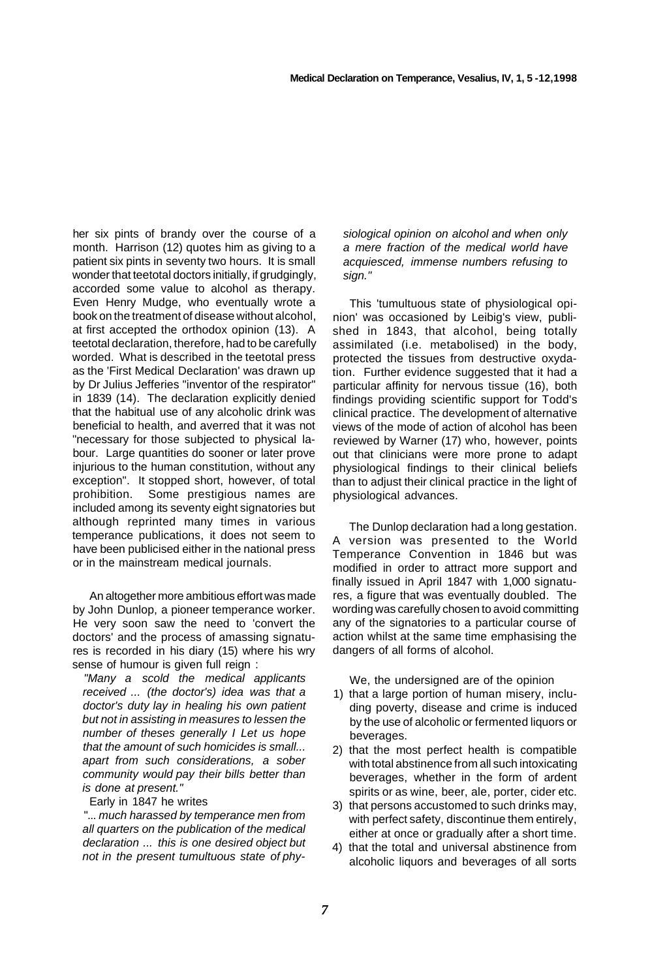her six pints of brandy over the course of a month. Harrison (12) quotes him as giving to a patient six pints in seventy two hours. It is small wonder that teetotal doctors initially, if grudgingly, accorded some value to alcohol as therapy. Even Henry Mudge, who eventually wrote a book on the treatment of disease without alcohol, at first accepted the orthodox opinion (13). A teetotal declaration, therefore, had to be carefully worded. What is described in the teetotal press as the 'First Medical Declaration' was drawn up by Dr Julius Jefferies "inventor of the respirator" in 1839 (14). The declaration explicitly denied that the habitual use of any alcoholic drink was beneficial to health, and averred that it was not "necessary for those subjected to physical labour. Large quantities do sooner or later prove iniurious to the human constitution, without any exception". It stopped short, however, of total prohibition. Some prestigious names are included among its seventy eight signatories but although reprinted many times in various temperance publications, it does not seem to have been publicised either in the national press or in the mainstream medical journals.

An altogether more ambitious effort was made by John Dunlop, a pioneer temperance worker. He very soon saw the need to 'convert the doctors' and the process of amassing signatures is recorded in his diary (15) where his wry sense of humour is given full reign :

"Many a scold the medical applicants received ... (the doctor's) idea was that a doctor's duty lay in healing his own patient but not in assisting in measures to lessen the number of theses generally I Let us hope that the amount of such homicides is small... apart from such considerations, a sober community would pay their bills better than is done at present."

#### Early in 1847 he writes

"... much harassed by temperance men from all quarters on the publication of the medical declaration ... this is one desired object but not in the present tumultuous state of physiological opinion on alcohol and when only a mere fraction of the medical world have acquiesced, immense numbers refusing to sign."

This 'tumultuous state of physiological opinion' was occasioned by Leibig's view, published in 1843, that alcohol, being totally assimilated (i.e. metabolised) in the body, protected the tissues from destructive oxydation. Further evidence suggested that it had a particular affinity for nervous tissue (16), both findings providing scientific support for Todd's clinical practice. The development of alternative views of the mode of action of alcohol has been reviewed by Warner (17) who, however, points out that clinicians were more prone to adapt physiological findings to their clinical beliefs than to adjust their clinical practice in the light of physiological advances.

The Dunlop declaration had a long gestation. A version was presented to the World Temperance Convention in 1846 but was modified in order to attract more support and finally issued in April 1847 with 1,000 signatures, a figure that was eventually doubled. The wording was carefully chosen to avoid committing any of the signatories to a particular course of action whilst at the same time emphasising the dangers of all forms of alcohol.

We, the undersigned are of the opinion

- 1) that a large portion of human misery, including poverty, disease and crime is induced by the use of alcoholic or fermented liquors or beverages.
- 2) that the most perfect health is compatible with total abstinence from all such intoxicating beverages, whether in the form of ardent spirits or as wine, beer, ale, porter, cider etc.
- 3) that persons accustomed to such drinks may, with perfect safety, discontinue them entirely, either at once or gradually after a short time.
- 4) that the total and universal abstinence from alcoholic liquors and beverages of all sorts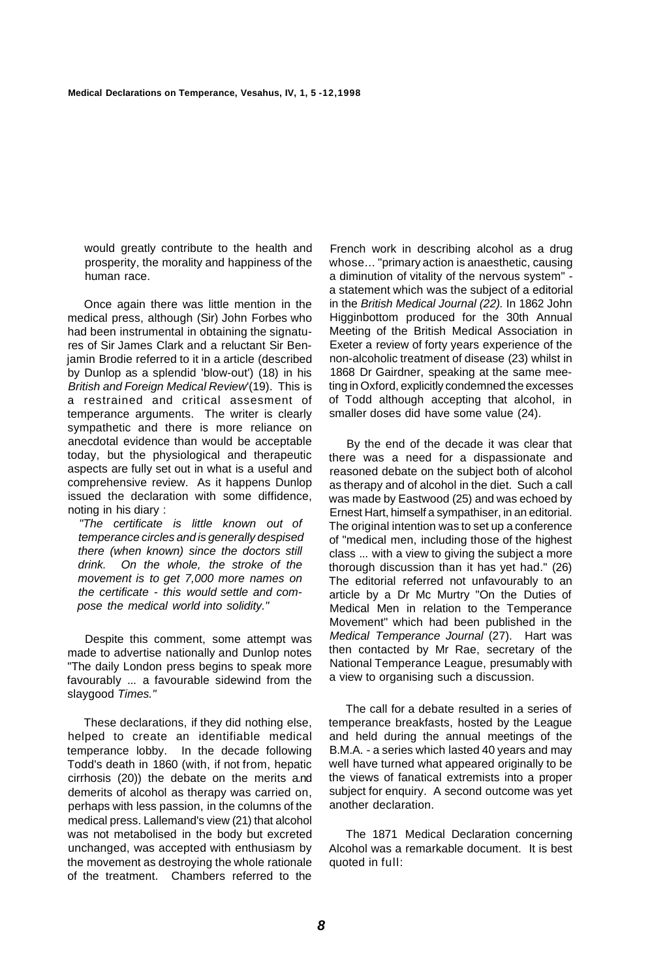would greatly contribute to the health and prosperity, the morality and happiness of the human race.

Once again there was little mention in the medical press, although (Sir) John Forbes who had been instrumental in obtaining the signatures of Sir James Clark and a reluctant Sir Benjamin Brodie referred to it in a article (described by Dunlop as a splendid 'blow-out') (18) in his British and Foreign Medical Review'(19). This is a restrained and critical assesment of temperance arguments. The writer is clearly sympathetic and there is more reliance on anecdotal evidence than would be acceptable today, but the physiological and therapeutic aspects are fully set out in what is a useful and comprehensive review. As it happens Dunlop issued the declaration with some diffidence, noting in his diary :

"The certificate is little known out of temperance circles and is generally despised there (when known) since the doctors still drink. On the whole, the stroke of the movement is to get 7,000 more names on the certificate - this would settle and compose the medical world into solidity."

Despite this comment, some attempt was made to advertise nationally and Dunlop notes "The daily London press begins to speak more favourably ... a favourable sidewind from the slaygood Times."

These declarations, if they did nothing else, helped to create an identifiable medical temperance lobby. In the decade following Todd's death in 1860 (with, if not from, hepatic cirrhosis (20)) the debate on the merits a.nd demerits of alcohol as therapy was carried on, perhaps with less passion, in the columns of the medical press. Lallemand's view (21) that alcohol was not metabolised in the body but excreted unchanged, was accepted with enthusiasm by the movement as destroying the whole rationale of the treatment. Chambers referred to the

French work in describing alcohol as a drug whose... "primary action is anaesthetic, causing a diminution of vitality of the nervous system" a statement which was the subject of a editorial in the British Medical Journal (22). In 1862 John Higginbottom produced for the 30th Annual Meeting of the British Medical Association in Exeter a review of forty years experience of the non-alcoholic treatment of disease (23) whilst in 1868 Dr Gairdner, speaking at the same meeting in Oxford, explicitly condemned the excesses of Todd although accepting that alcohol, in smaller doses did have some value (24).

By the end of the decade it was clear that there was a need for a dispassionate and reasoned debate on the subject both of alcohol as therapy and of alcohol in the diet. Such a call was made by Eastwood (25) and was echoed by Ernest Hart, himself a sympathiser, in an editorial. The original intention was to set up a conference of "medical men, including those of the highest class ... with a view to giving the subject a more thorough discussion than it has yet had." (26) The editorial referred not unfavourably to an article by a Dr Mc Murtry "On the Duties of Medical Men in relation to the Temperance Movement" which had been published in the Medical Temperance Journal (27). Hart was then contacted by Mr Rae, secretary of the National Temperance League, presumably with a view to organising such a discussion.

The call for a debate resulted in a series of temperance breakfasts, hosted by the League and held during the annual meetings of the B.M.A. - a series which lasted 40 years and may well have turned what appeared originally to be the views of fanatical extremists into a proper subject for enquiry. A second outcome was yet another declaration.

The 1871 Medical Declaration concerning Alcohol was a remarkable document. It is best quoted in full: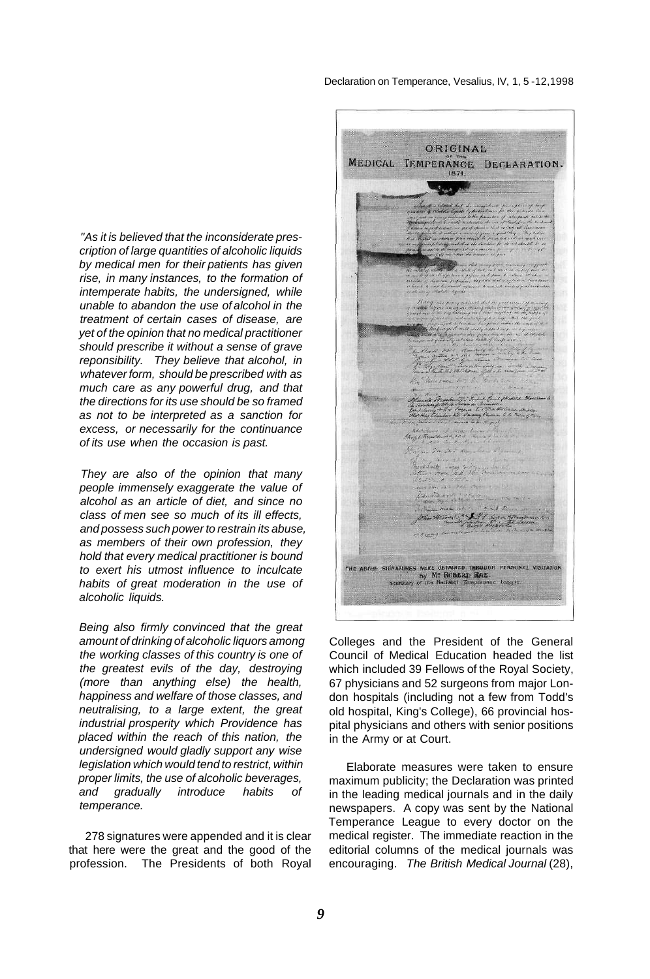Declaration on Temperance, Vesalius, IV, 1, 5 -12,1998

"As it is believed that the inconsiderate prescription of large quantities of alcoholic liquids by medical men for their patients has given rise, in many instances, to the formation of intemperate habits, the undersigned, while unable to abandon the use of alcohol in the treatment of certain cases of disease, are yet of the opinion that no medical practitioner should prescribe it without a sense of grave reponsibility. They believe that alcohol, in whatever form, should be prescribed with as much care as any powerful drug, and that the directions for its use should be so framed as not to be interpreted as a sanction for excess, or necessarily for the continuance of its use when the occasion is past.

They are also of the opinion that many people immensely exaggerate the value of alcohol as an article of diet, and since no class of men see so much of its ill effects, and possess such power to restrain its abuse, as members of their own profession, they hold that every medical practitioner is bound to exert his utmost influence to inculcate habits of great moderation in the use of alcoholic liquids.

Being also firmly convinced that the great amount of drinking of alcoholic liquors among the working classes of this country is one of the greatest evils of the day, destroying (more than anything else) the health, happiness and welfare of those classes, and neutralising, to a large extent, the great industrial prosperity which Providence has placed within the reach of this nation, the undersigned would gladly support any wise legislation which would tend to restrict, within proper limits, the use of alcoholic beverages, and gradually introduce habits of temperance.

278 signatures were appended and it is clear that here were the great and the good of the profession. The Presidents of both Royal

ORIGINAL MEDICAL TEMPERANCE DECLARATION.  $1871$  $12.1$ THE ABOUL SIGNATURES WERE DETAINED THROUGH PERSONAL VISITATION By M5 ROBERT: RAE.

Colleges and the President of the General Council of Medical Education headed the list which included 39 Fellows of the Royal Society, 67 physicians and 52 surgeons from major London hospitals (including not a few from Todd's old hospital, King's College), 66 provincial hospital physicians and others with senior positions in the Army or at Court.

Elaborate measures were taken to ensure maximum publicity; the Declaration was printed in the leading medical journals and in the daily newspapers. A copy was sent by the National Temperance League to every doctor on the medical register. The immediate reaction in the editorial columns of the medical journals was encouraging. The British Medical Journal (28),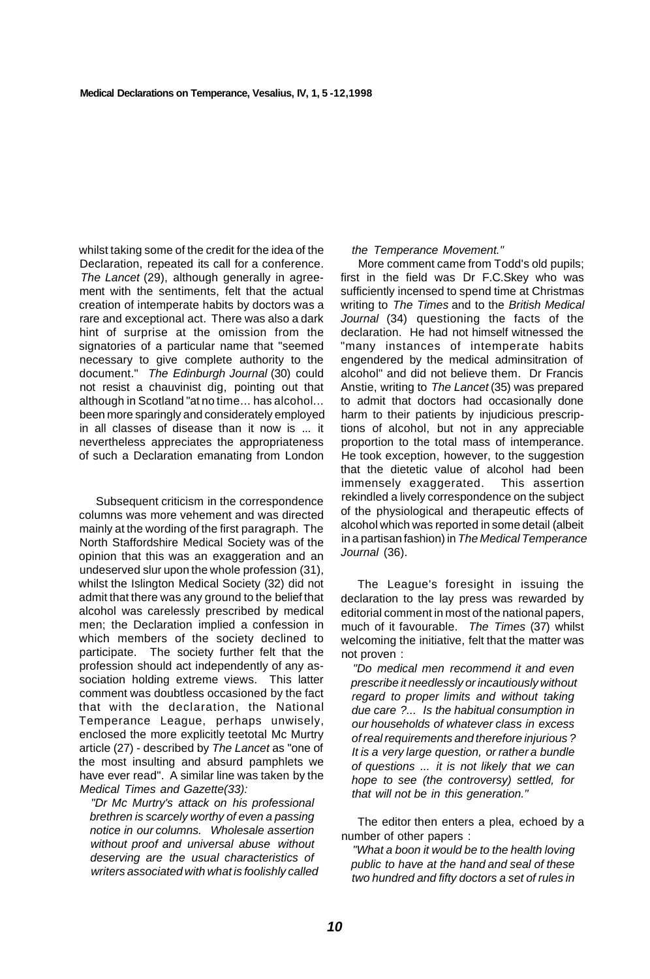whilst taking some of the credit for the idea of the Declaration, repeated its call for a conference. The Lancet (29), although generally in agreement with the sentiments, felt that the actual creation of intemperate habits by doctors was a rare and exceptional act. There was also a dark hint of surprise at the omission from the signatories of a particular name that "seemed necessary to give complete authority to the document." The Edinburgh Journal (30) could not resist a chauvinist dig, pointing out that although in Scotland "at no time... has alcohol... been more sparingly and considerately employed in all classes of disease than it now is ... it nevertheless appreciates the appropriateness of such a Declaration emanating from London

Subsequent criticism in the correspondence columns was more vehement and was directed mainly at the wording of the first paragraph. The North Staffordshire Medical Society was of the opinion that this was an exaggeration and an undeserved slur upon the whole profession (31), whilst the Islington Medical Society (32) did not admit that there was any ground to the belief that alcohol was carelessly prescribed by medical men; the Declaration implied a confession in which members of the society declined to participate. The society further felt that the profession should act independently of any association holding extreme views. This latter comment was doubtless occasioned by the fact that with the declaration, the National Temperance League, perhaps unwisely, enclosed the more explicitly teetotal Mc Murtry article (27) - described by The Lancet as "one of the most insulting and absurd pamphlets we have ever read". A similar line was taken by the Medical Times and Gazette(33):

"Dr Mc Murtry's attack on his professional brethren is scarcely worthy of even a passing notice in our columns. Wholesale assertion without proof and universal abuse without deserving are the usual characteristics of writers associated with what is foolishly called

#### the Temperance Movement."

More comment came from Todd's old pupils; first in the field was Dr F.C.Skey who was sufficiently incensed to spend time at Christmas writing to The Times and to the British Medical Journal (34) questioning the facts of the declaration. He had not himself witnessed the "many instances of intemperate habits engendered by the medical adminsitration of alcohol" and did not believe them. Dr Francis Anstie, writing to The Lancet (35) was prepared to admit that doctors had occasionally done harm to their patients by injudicious prescriptions of alcohol, but not in any appreciable proportion to the total mass of intemperance. He took exception, however, to the suggestion that the dietetic value of alcohol had been immensely exaggerated. This assertion rekindled a lively correspondence on the subject of the physiological and therapeutic effects of alcohol which was reported in some detail (albeit in a partisan fashion) in The Medical Temperance Journal (36).

The League's foresight in issuing the declaration to the lay press was rewarded by editorial comment in most of the national papers, much of it favourable. The Times (37) whilst welcoming the initiative, felt that the matter was not proven :

"Do medical men recommend it and even prescribe it needlessly or incautiously without regard to proper limits and without taking due care ?... Is the habitual consumption in our households of whatever class in excess of real requirements and therefore injurious ? It is a very large question, or rather a bundle of questions ... it is not likely that we can hope to see (the controversy) settled, for that will not be in this generation."

The editor then enters a plea, echoed by a number of other papers :

"What a boon it would be to the health loving public to have at the hand and seal of these two hundred and fifty doctors a set of rules in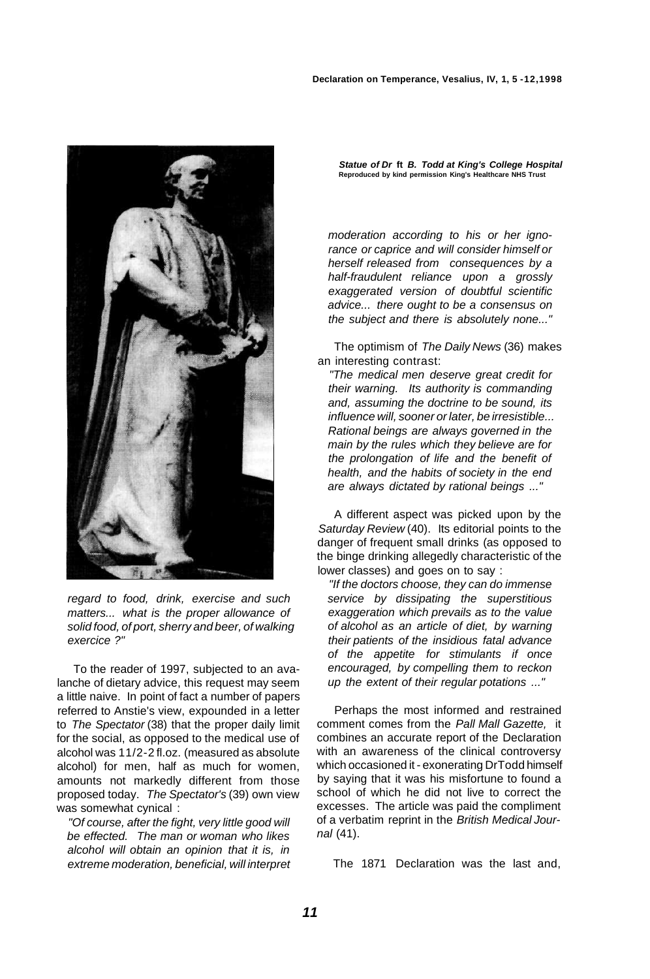

regard to food, drink, exercise and such matters... what is the proper allowance of solid food, of port, sherry and beer, of walking exercice ?"

To the reader of 1997, subjected to an avalanche of dietary advice, this request may seem a little naive. In point of fact a number of papers referred to Anstie's view, expounded in a letter to The Spectator (38) that the proper daily limit for the social, as opposed to the medical use of alcohol was 11/2-2 fl.oz. (measured as absolute alcohol) for men, half as much for women, amounts not markedly different from those proposed today. The Spectator's (39) own view was somewhat cynical :

"Of course, after the fight, very little good will be effected. The man or woman who likes alcohol will obtain an opinion that it is, in extreme moderation, beneficial, will interpret

**Statue of Dr ft B. Todd at King's College Hospital Reproduced by kind permission King's Healthcare NHS Trust** 

moderation according to his or her ignorance or caprice and will consider himself or herself released from consequences by a half-fraudulent reliance upon a grossly exaggerated version of doubtful scientific advice... there ought to be a consensus on the subject and there is absolutely none..."

The optimism of The Daily News (36) makes an interesting contrast:

"The medical men deserve great credit for their warning. Its authority is commanding and, assuming the doctrine to be sound, its influence will, sooner or later, be irresistible... Rational beings are always governed in the main by the rules which they believe are for the prolongation of life and the benefit of health, and the habits of society in the end are always dictated by rational beings ..."

A different aspect was picked upon by the Saturday Review (40). Its editorial points to the danger of frequent small drinks (as opposed to the binge drinking allegedly characteristic of the lower classes) and goes on to say :

"If the doctors choose, they can do immense service by dissipating the superstitious exaggeration which prevails as to the value of alcohol as an article of diet, by warning their patients of the insidious fatal advance of the appetite for stimulants if once encouraged, by compelling them to reckon up the extent of their regular potations ..."

Perhaps the most informed and restrained comment comes from the Pall Mall Gazette, it combines an accurate report of the Declaration with an awareness of the clinical controversy which occasioned it - exonerating DrTodd himself by saying that it was his misfortune to found a school of which he did not live to correct the excesses. The article was paid the compliment of a verbatim reprint in the British Medical Journal (41).

The 1871 Declaration was the last and,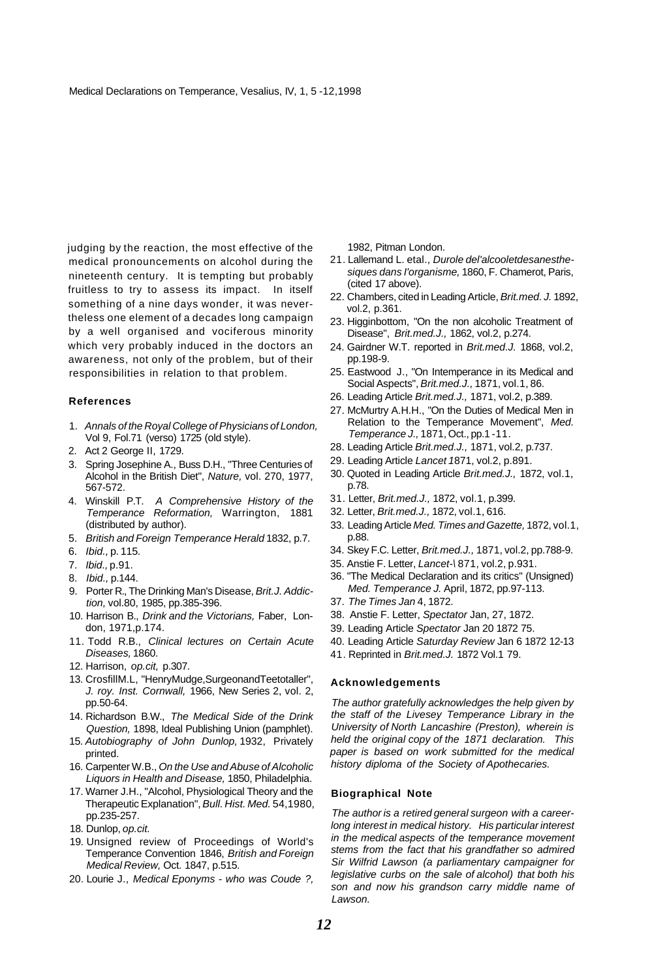judging by the reaction, the most effective of the medical pronouncements on alcohol during the nineteenth century. It is tempting but probably fruitless to try to assess its impact. In itself something of a nine days wonder, it was nevertheless one element of a decades long campaign by a well organised and vociferous minority which very probably induced in the doctors an awareness, not only of the problem, but of their responsibilities in relation to that problem.

#### **References**

- 1. Annals of the Royal College of Physicians of London, Vol 9, Fol.71 (verso) 1725 (old style).
- 2. Act 2 George II, 1729.
- 3. Spring Josephine A., Buss D.H., "Three Centuries of Alcohol in the British Diet", Nature, vol. 270, 1977, 567-572.
- 4. Winskill P.T. A Comprehensive History of the Temperance Reformation, Warrington, 1881 (distributed by author).
- 5. British and Foreign Temperance Herald 1832, p.7.
- 6. Ibid., p. 115.
- 7. Ibid., p.91.
- 8. Ibid., p.144.
- 9. Porter R., The Drinking Man's Disease, Brit.J. Addiction, vol.80, 1985, pp.385-396.
- 10. Harrison B., Drink and the Victorians, Faber, London, 1971,p.174.
- 11. Todd R.B., Clinical lectures on Certain Acute Diseases, 1860.
- 12. Harrison, op.cit, p.307.
- 13. CrosfillM.L, "HenryMudge,SurgeonandTeetotaller", J. roy. Inst. Cornwall, 1966, New Series 2, vol. 2, pp.50-64.
- 14. Richardson B.W., The Medical Side of the Drink Question, 1898, Ideal Publishing Union (pamphlet).
- 15. Autobiography of John Dunlop, 1932, Privately printed.
- 16. Carpenter W.B., On the Use and Abuse of Alcoholic Liquors in Health and Disease, 1850, Philadelphia.
- 17. Warner J.H., "Alcohol, Physiological Theory and the Therapeutic Explanation", Bull. Hist. Med. 54,1980, pp.235-257.
- 18. Dunlop, op.cit.
- 19. Unsigned review of Proceedings of World's Temperance Convention 1846, British and Foreign Medical Review, Oct. 1847, p.515.
- 20. Lourie J., Medical Eponyms who was Coude ?,

1982, Pitman London.

- 21. Lallemand L. etal., Durole del'alcooletdesanesthesiques dans I'organisme, 1860, F. Chamerot, Paris, (cited 17 above).
- 22. Chambers, cited in Leading Article, Brit.med. J. 1892, vol.2, p.361.
- 23. Higginbottom, "On the non alcoholic Treatment of Disease", Brit.med.J., 1862, vol.2, p.274.
- 24. Gairdner W.T. reported in Brit.med.J. 1868, vol.2, pp.198-9.
- 25. Eastwood J., "On Intemperance in its Medical and Social Aspects", Brit.med.J., 1871, vol.1, 86.
- 26. Leading Article Brit.med.J., 1871, vol.2, p.389.
- 27. McMurtry A.H.H., "On the Duties of Medical Men in Relation to the Temperance Movement", Med. Temperance J., 1871, Oct., pp.1 -11.
- 28. Leading Article Brit.med.J., 1871, vol.2, p.737.
- 29. Leading Article Lancet 1871, vol.2, p.891.
- 30. Quoted in Leading Article Brit.med.J., 1872, vol.1, p.78.
- 31. Letter, Brit.med.J., 1872, vol.1, p.399.
- 32. Letter, Brit.med.J., 1872, vol.1, 616.
- 33. Leading Article Med. Times and Gazette, 1872, vol.1, p.88.
- 34. Skey F.C. Letter, Brit.med.J., 1871, vol.2, pp.788-9.
- 35. Anstie F. Letter, Lancet-\ 871, vol.2, p.931.
- 36. "The Medical Declaration and its critics" (Unsigned) Med. Temperance J. April, 1872, pp.97-113.
- 37. The Times Jan 4, 1872.
- 38. Anstie F. Letter, Spectator Jan, 27, 1872.
- 39. Leading Article Spectator Jan 20 1872 75.
- 40. Leading Article Saturday Review Jan 6 1872 12-13
- 41. Reprinted in Brit.med.J. 1872 Vol.1 79.

#### **Acknowledgements**

The author gratefully acknowledges the help given by the staff of the Livesey Temperance Library in the University of North Lancashire (Preston), wherein is held the original copy of the 1871 declaration. This paper is based on work submitted for the medical history diploma of the Society of Apothecaries.

#### **Biographical Note**

The author is a retired general surgeon with a careerlong interest in medical history. His particular interest in the medical aspects of the temperance movement stems from the fact that his grandfather so admired Sir Wilfrid Lawson (a parliamentary campaigner for legislative curbs on the sale of alcohol) that both his son and now his grandson carry middle name of Lawson.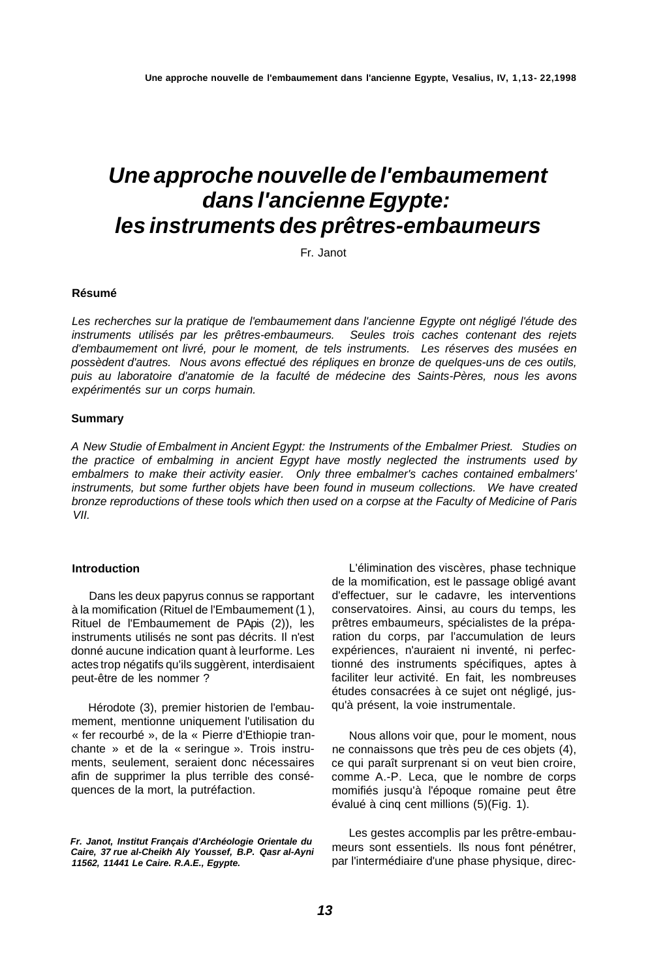# **Une approche nouvelle de l'embaumement dans l'ancienne Egypte: les instruments des prêtres-embaumeurs**

Fr. Janot

#### **Résumé**

Les recherches sur la pratique de l'embaumement dans l'ancienne Egypte ont négligé l'étude des instruments utilisés par les prêtres-embaumeurs. Seules trois caches contenant des rejets d'embaumement ont livré, pour le moment, de tels instruments. Les réserves des musées en possèdent d'autres. Nous avons effectué des répliques en bronze de quelques-uns de ces outils, puis au laboratoire d'anatomie de la faculté de médecine des Saints-Pères, nous les avons expérimentés sur un corps humain.

#### **Summary**

A New Studie of Embalment in Ancient Egypt: the Instruments of the Embalmer Priest. Studies on the practice of embalming in ancient Egypt have mostly neglected the instruments used by embalmers to make their activity easier. Only three embalmer's caches contained embalmers' instruments, but some further objets have been found in museum collections. We have created bronze reproductions of these tools which then used on a corpse at the Faculty of Medicine of Paris VII.

#### **Introduction**

Dans les deux papyrus connus se rapportant à la momification (Rituel de l'Embaumement (1 ), Rituel de l'Embaumement de PApis (2)), les instruments utilisés ne sont pas décrits. Il n'est donné aucune indication quant à leurforme. Les actes trop négatifs qu'ils suggèrent, interdisaient peut-être de les nommer ?

Hérodote (3), premier historien de l'embaumement, mentionne uniquement l'utilisation du « fer recourbé », de la « Pierre d'Ethiopie tranchante » et de la « seringue ». Trois instruments, seulement, seraient donc nécessaires afin de supprimer la plus terrible des conséquences de la mort, la putréfaction.

**Fr. Janot, Institut Français d'Archéologie Orientale du Caire, 37 rue al-Cheikh Aly Youssef, B.P. Qasr al-Ayni 11562, 11441 Le Caire. R.A.E., Egypte.** 

L'élimination des viscères, phase technique de la momification, est le passage obligé avant d'effectuer, sur le cadavre, les interventions conservatoires. Ainsi, au cours du temps, les prêtres embaumeurs, spécialistes de la préparation du corps, par l'accumulation de leurs expériences, n'auraient ni inventé, ni perfectionné des instruments spécifiques, aptes à faciliter leur activité. En fait, les nombreuses études consacrées à ce sujet ont négligé, jusqu'à présent, la voie instrumentale.

Nous allons voir que, pour le moment, nous ne connaissons que très peu de ces objets (4), ce qui paraît surprenant si on veut bien croire, comme A.-P. Leca, que le nombre de corps momifiés jusqu'à l'époque romaine peut être évalué à cinq cent millions (5)(Fig. 1).

Les gestes accomplis par les prêtre-embaumeurs sont essentiels. Ils nous font pénétrer, par l'intermédiaire d'une phase physique, direc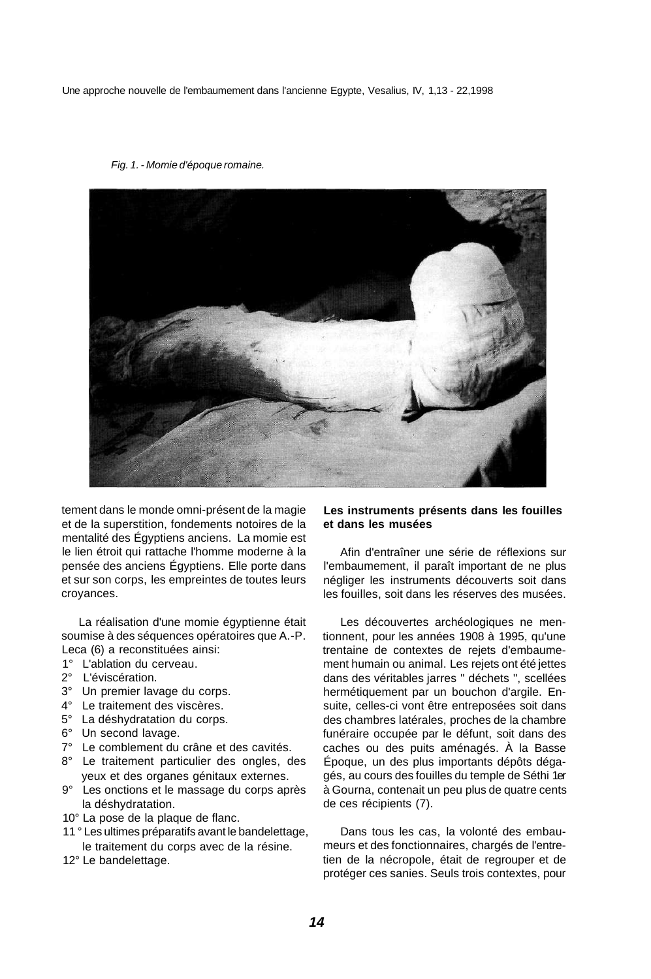Une approche nouvelle de l'embaumement dans l'ancienne Egypte, Vesalius, IV, 1,13 - 22,1998

Fig. 1. - Momie d'époque romaine.



tement dans le monde omni-présent de la magie et de la superstition, fondements notoires de la mentalité des Égyptiens anciens. La momie est le lien étroit qui rattache l'homme moderne à la pensée des anciens Égyptiens. Elle porte dans et sur son corps, les empreintes de toutes leurs croyances.

La réalisation d'une momie égyptienne était soumise à des séquences opératoires que A.-P. Leca (6) a reconstituées ainsi:

- 1° L'ablation du cerveau.
- 2° L'éviscération.
- 3° Un premier lavage du corps.
- 4° Le traitement des viscères.
- 5° La déshydratation du corps.
- 6° Un second lavage.
- 7° Le comblement du crâne et des cavités.
- 8° Le traitement particulier des ongles, des yeux et des organes génitaux externes.
- 9° Les onctions et le massage du corps après la déshydratation.
- 10° La pose de la plaque de flanc.
- 11 ° Les ultimes préparatifs avant le bandelettage, le traitement du corps avec de la résine.
- 12° Le bandelettage.

#### **Les instruments présents dans les fouilles et dans les musées**

Afin d'entraîner une série de réflexions sur l'embaumement, il paraît important de ne plus négliger les instruments découverts soit dans les fouilles, soit dans les réserves des musées.

Les découvertes archéologiques ne mentionnent, pour les années 1908 à 1995, qu'une trentaine de contextes de rejets d'embaumement humain ou animal. Les rejets ont été jettes dans des véritables jarres " déchets ", scellées hermétiquement par un bouchon d'argile. Ensuite, celles-ci vont être entreposées soit dans des chambres latérales, proches de la chambre funéraire occupée par le défunt, soit dans des caches ou des puits aménagés. À la Basse Époque, un des plus importants dépôts dégagés, au cours des fouilles du temple de Séthi 1er à Gourna, contenait un peu plus de quatre cents de ces récipients (7).

Dans tous les cas, la volonté des embaumeurs et des fonctionnaires, chargés de l'entretien de la nécropole, était de regrouper et de protéger ces sanies. Seuls trois contextes, pour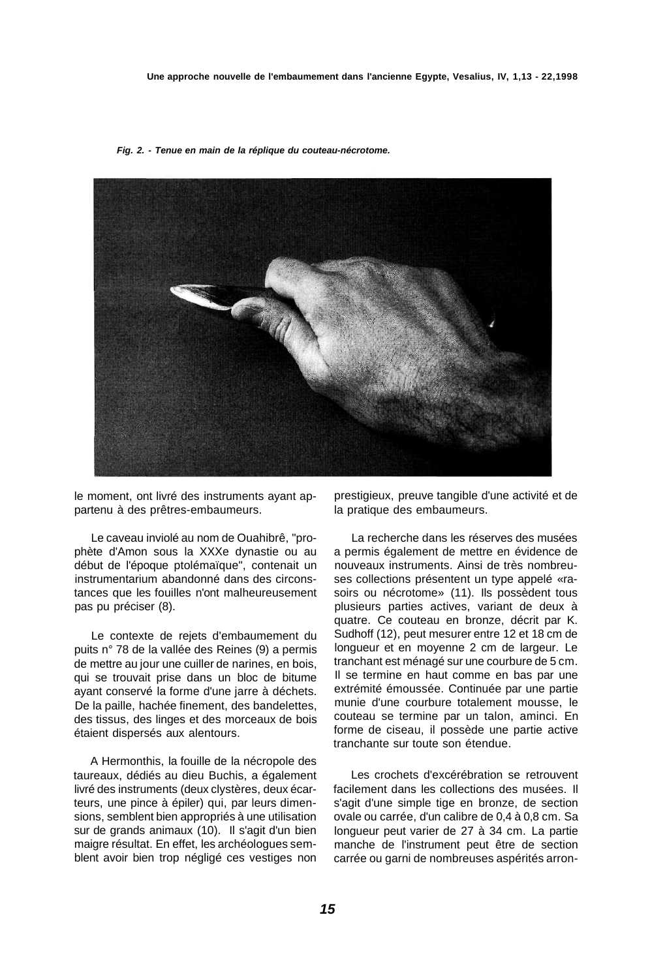**Fig. 2. - Tenue en main de la réplique du couteau-nécrotome.** 



le moment, ont livré des instruments ayant appartenu à des prêtres-embaumeurs.

Le caveau inviolé au nom de Ouahibrê, "prophète d'Amon sous la XXXe dynastie ou au début de l'époque ptolémaïque", contenait un instrumentarium abandonné dans des circonstances que les fouilles n'ont malheureusement pas pu préciser (8).

Le contexte de rejets d'embaumement du puits n° 78 de la vallée des Reines (9) a permis de mettre au jour une cuiller de narines, en bois, qui se trouvait prise dans un bloc de bitume ayant conservé la forme d'une jarre à déchets. De la paille, hachée finement, des bandelettes, des tissus, des linges et des morceaux de bois étaient dispersés aux alentours.

A Hermonthis, la fouille de la nécropole des taureaux, dédiés au dieu Buchis, a également livré des instruments (deux clystères, deux écarteurs, une pince à épiler) qui, par leurs dimensions, semblent bien appropriés à une utilisation sur de grands animaux (10). Il s'agit d'un bien maigre résultat. En effet, les archéologues semblent avoir bien trop négligé ces vestiges non

prestigieux, preuve tangible d'une activité et de la pratique des embaumeurs.

La recherche dans les réserves des musées a permis également de mettre en évidence de nouveaux instruments. Ainsi de très nombreuses collections présentent un type appelé «rasoirs ou nécrotome» (11). Ils possèdent tous plusieurs parties actives, variant de deux à quatre. Ce couteau en bronze, décrit par K. Sudhoff (12), peut mesurer entre 12 et 18 cm de longueur et en moyenne 2 cm de largeur. Le tranchant est ménagé sur une courbure de 5 cm. Il se termine en haut comme en bas par une extrémité émoussée. Continuée par une partie munie d'une courbure totalement mousse, le couteau se termine par un talon, aminci. En forme de ciseau, il possède une partie active tranchante sur toute son étendue.

Les crochets d'excérébration se retrouvent facilement dans les collections des musées. Il s'agit d'une simple tige en bronze, de section ovale ou carrée, d'un calibre de 0,4 à 0,8 cm. Sa longueur peut varier de 27 à 34 cm. La partie manche de l'instrument peut être de section carrée ou garni de nombreuses aspérités arron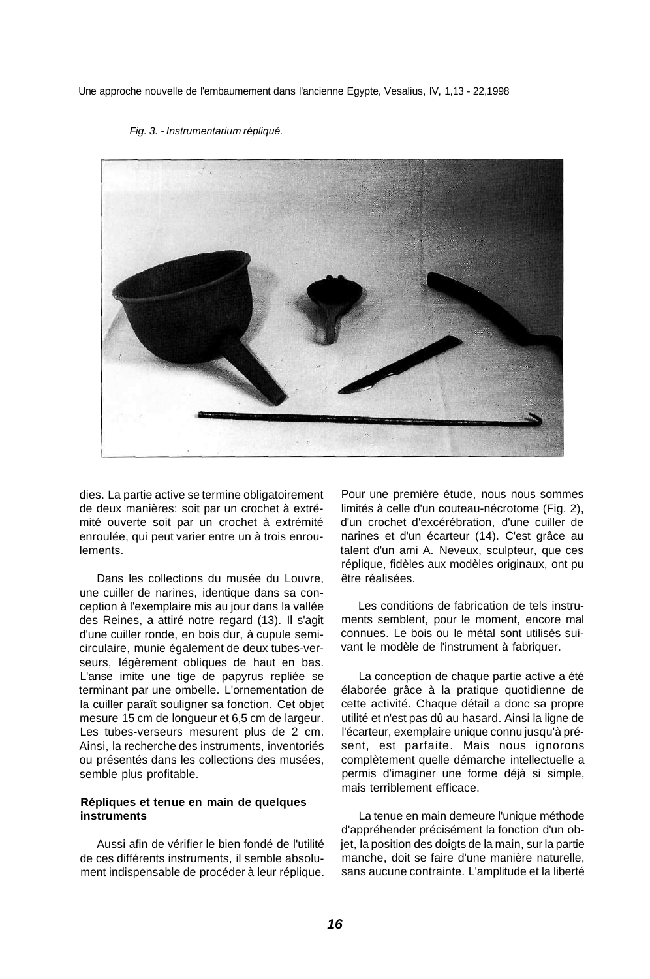Une approche nouvelle de l'embaumement dans l'ancienne Egypte, Vesalius, IV, 1,13 - 22,1998



#### Fig. 3. - Instrumentarium répliqué.

dies. La partie active se termine obligatoirement de deux manières: soit par un crochet à extrémité ouverte soit par un crochet à extrémité enroulée, qui peut varier entre un à trois enroulements.

Dans les collections du musée du Louvre, une cuiller de narines, identique dans sa conception à l'exemplaire mis au jour dans la vallée des Reines, a attiré notre regard (13). Il s'agit d'une cuiller ronde, en bois dur, à cupule semicirculaire, munie également de deux tubes-verseurs, légèrement obliques de haut en bas. L'anse imite une tige de papyrus repliée se terminant par une ombelle. L'ornementation de la cuiller paraît souligner sa fonction. Cet objet mesure 15 cm de longueur et 6,5 cm de largeur. Les tubes-verseurs mesurent plus de 2 cm. Ainsi, la recherche des instruments, inventoriés ou présentés dans les collections des musées, semble plus profitable.

#### **Répliques et tenue en main de quelques instruments**

Aussi afin de vérifier le bien fondé de l'utilité de ces différents instruments, il semble absolument indispensable de procéder à leur réplique. Pour une première étude, nous nous sommes limités à celle d'un couteau-nécrotome (Fig. 2), d'un crochet d'excérébration, d'une cuiller de narines et d'un écarteur (14). C'est grâce au talent d'un ami A. Neveux, sculpteur, que ces réplique, fidèles aux modèles originaux, ont pu être réalisées.

Les conditions de fabrication de tels instruments semblent, pour le moment, encore mal connues. Le bois ou le métal sont utilisés suivant le modèle de l'instrument à fabriquer.

La conception de chaque partie active a été élaborée grâce à la pratique quotidienne de cette activité. Chaque détail a donc sa propre utilité et n'est pas dû au hasard. Ainsi la ligne de l'écarteur, exemplaire unique connu jusqu'à présent, est parfaite. Mais nous ignorons complètement quelle démarche intellectuelle a permis d'imaginer une forme déjà si simple, mais terriblement efficace.

La tenue en main demeure l'unique méthode d'appréhender précisément la fonction d'un objet, la position des doigts de la main, sur la partie manche, doit se faire d'une manière naturelle, sans aucune contrainte. L'amplitude et la liberté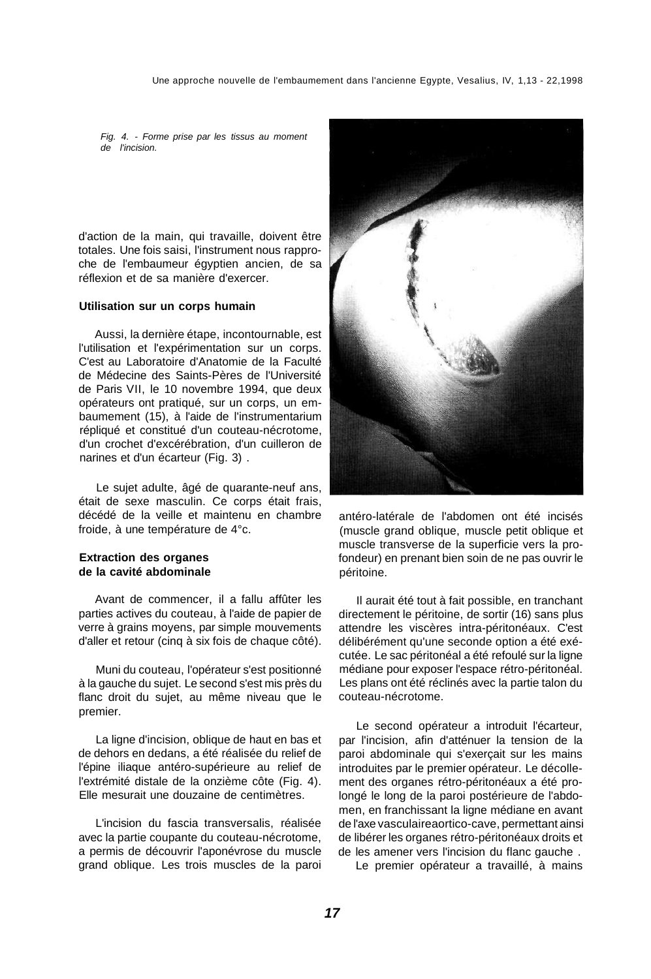Fig. 4. - Forme prise par les tissus au moment de l'incision.

d'action de la main, qui travaille, doivent être totales. Une fois saisi, l'instrument nous rapproche de l'embaumeur égyptien ancien, de sa réflexion et de sa manière d'exercer.

#### **Utilisation sur un corps humain**

Aussi, la dernière étape, incontournable, est l'utilisation et l'expérimentation sur un corps. C'est au Laboratoire d'Anatomie de la Faculté de Médecine des Saints-Pères de l'Université de Paris VII, le 10 novembre 1994, que deux opérateurs ont pratiqué, sur un corps, un embaumement (15), à l'aide de l'instrumentarium répliqué et constitué d'un couteau-nécrotome, d'un crochet d'excérébration, d'un cuilleron de narines et d'un écarteur (Fig. 3) .

Le sujet adulte, âgé de quarante-neuf ans, était de sexe masculin. Ce corps était frais, décédé de la veille et maintenu en chambre froide, à une température de 4°c.

#### **Extraction des organes de la cavité abdominale**

Avant de commencer, il a fallu affûter les parties actives du couteau, à l'aide de papier de verre à grains moyens, par simple mouvements d'aller et retour (cinq à six fois de chaque côté).

Muni du couteau, l'opérateur s'est positionné à la gauche du sujet. Le second s'est mis près du flanc droit du sujet, au même niveau que le premier.

La ligne d'incision, oblique de haut en bas et de dehors en dedans, a été réalisée du relief de l'épine iliaque antéro-supérieure au relief de l'extrémité distale de la onzième côte (Fig. 4). Elle mesurait une douzaine de centimètres.

L'incision du fascia transversalis, réalisée avec la partie coupante du couteau-nécrotome, a permis de découvrir l'aponévrose du muscle grand oblique. Les trois muscles de la paroi



antéro-latérale de l'abdomen ont été incisés (muscle grand oblique, muscle petit oblique et muscle transverse de la superficie vers la profondeur) en prenant bien soin de ne pas ouvrir le péritoine.

Il aurait été tout à fait possible, en tranchant directement le péritoine, de sortir (16) sans plus attendre les viscères intra-péritonéaux. C'est délibérément qu'une seconde option a été exécutée. Le sac péritonéal a été refoulé sur la ligne médiane pour exposer l'espace rétro-péritonéal. Les plans ont été réclinés avec la partie talon du couteau-nécrotome.

Le second opérateur a introduit l'écarteur, par l'incision, afin d'atténuer la tension de la paroi abdominale qui s'exerçait sur les mains introduites par le premier opérateur. Le décollement des organes rétro-péritonéaux a été prolongé le long de la paroi postérieure de l'abdomen, en franchissant la ligne médiane en avant de l'axe vasculaireaortico-cave, permettant ainsi de libérer les organes rétro-péritonéaux droits et de les amener vers l'incision du flanc gauche .

Le premier opérateur a travaillé, à mains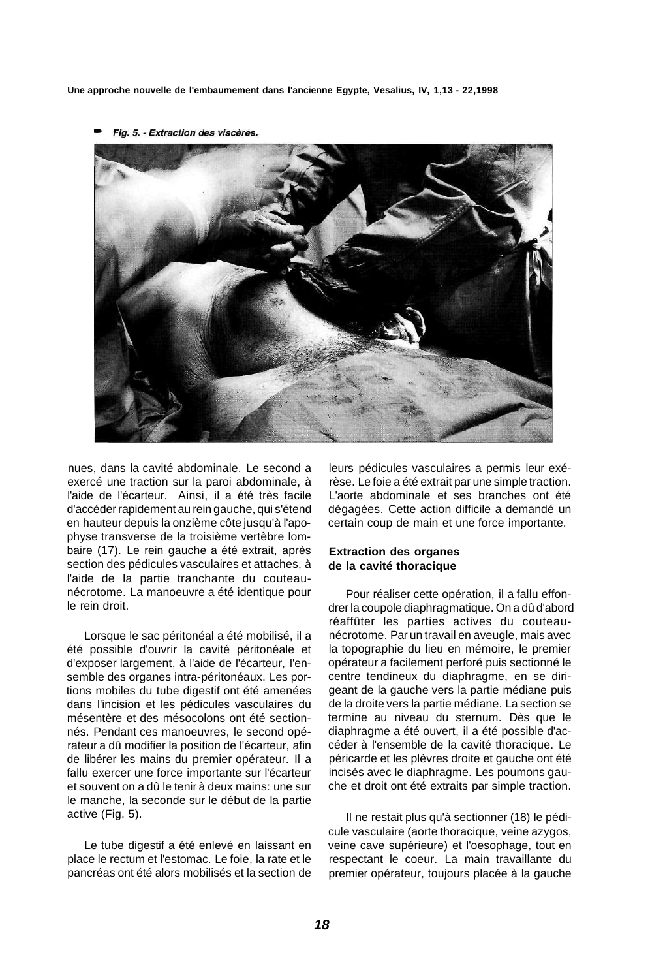**Une approche nouvelle de l'embaumement dans l'ancienne Egypte, Vesalius, IV, 1,13 - 22,1998** 



Fig. 5. - Extraction des viscères.

nues, dans la cavité abdominale. Le second a exercé une traction sur la paroi abdominale, à l'aide de l'écarteur. Ainsi, il a été très facile d'accéder rapidement au rein gauche, qui s'étend en hauteur depuis la onzième côte jusqu'à l'apophyse transverse de la troisième vertèbre lombaire (17). Le rein gauche a été extrait, après section des pédicules vasculaires et attaches, à l'aide de la partie tranchante du couteaunécrotome. La manoeuvre a été identique pour le rein droit.

Lorsque le sac péritonéal a été mobilisé, il a été possible d'ouvrir la cavité péritonéale et d'exposer largement, à l'aide de l'écarteur, l'ensemble des organes intra-péritonéaux. Les portions mobiles du tube digestif ont été amenées dans l'incision et les pédicules vasculaires du mésentère et des mésocolons ont été sectionnés. Pendant ces manoeuvres, le second opérateur a dû modifier la position de l'écarteur, afin de libérer les mains du premier opérateur. Il a fallu exercer une force importante sur l'écarteur et souvent on a dû le tenir à deux mains: une sur le manche, la seconde sur le début de la partie active (Fig. 5).

Le tube digestif a été enlevé en laissant en place le rectum et l'estomac. Le foie, la rate et le pancréas ont été alors mobilisés et la section de

leurs pédicules vasculaires a permis leur exérèse. Le foie a été extrait par une simple traction. L'aorte abdominale et ses branches ont été dégagées. Cette action difficile a demandé un certain coup de main et une force importante.

#### **Extraction des organes de la cavité thoracique**

Pour réaliser cette opération, il a fallu effondrer la coupole diaphragmatique. On a dû d'abord réaffûter les parties actives du couteaunécrotome. Par un travail en aveugle, mais avec la topographie du lieu en mémoire, le premier opérateur a facilement perforé puis sectionné le centre tendineux du diaphragme, en se dirigeant de la gauche vers la partie médiane puis de la droite vers la partie médiane. La section se termine au niveau du sternum. Dès que le diaphragme a été ouvert, il a été possible d'accéder à l'ensemble de la cavité thoracique. Le péricarde et les plèvres droite et gauche ont été incisés avec le diaphragme. Les poumons gauche et droit ont été extraits par simple traction.

Il ne restait plus qu'à sectionner (18) le pédicule vasculaire (aorte thoracique, veine azygos, veine cave supérieure) et l'oesophage, tout en respectant le coeur. La main travaillante du premier opérateur, toujours placée à la gauche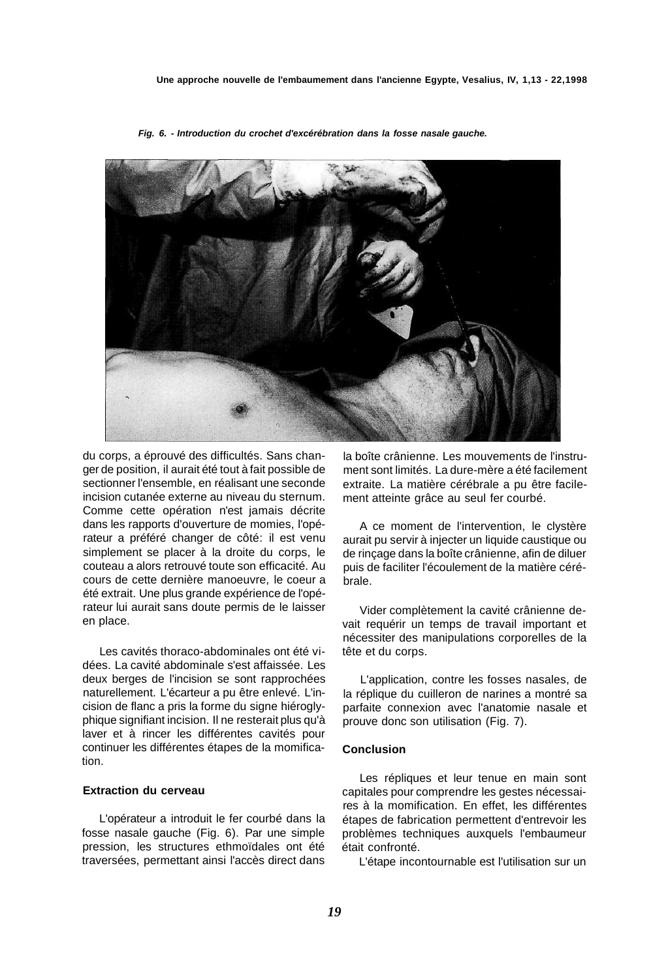

**Fig. 6. - Introduction du crochet d'excérébration dans la fosse nasale gauche.** 

du corps, a éprouvé des difficultés. Sans changer de position, il aurait été tout à fait possible de sectionner l'ensemble, en réalisant une seconde incision cutanée externe au niveau du sternum. Comme cette opération n'est jamais décrite dans les rapports d'ouverture de momies, l'opérateur a préféré changer de côté: il est venu simplement se placer à la droite du corps, le couteau a alors retrouvé toute son efficacité. Au cours de cette dernière manoeuvre, le coeur a été extrait. Une plus grande expérience de l'opérateur lui aurait sans doute permis de le laisser en place.

Les cavités thoraco-abdominales ont été vidées. La cavité abdominale s'est affaissée. Les deux berges de l'incision se sont rapprochées naturellement. L'écarteur a pu être enlevé. L'incision de flanc a pris la forme du signe hiéroglyphique signifiant incision. Il ne resterait plus qu'à laver et à rincer les différentes cavités pour continuer les différentes étapes de la momification.

#### **Extraction du cerveau**

L'opérateur a introduit le fer courbé dans la fosse nasale gauche (Fig. 6). Par une simple pression, les structures ethmoïdales ont été traversées, permettant ainsi l'accès direct dans la boîte crânienne. Les mouvements de l'instrument sont limités. La dure-mère a été facilement extraite. La matière cérébrale a pu être facilement atteinte grâce au seul fer courbé.

A ce moment de l'intervention, le clystère aurait pu servir à injecter un liquide caustique ou de rinçage dans la boîte crânienne, afin de diluer puis de faciliter l'écoulement de la matière cérébrale.

Vider complètement la cavité crânienne devait requérir un temps de travail important et nécessiter des manipulations corporelles de la tête et du corps.

L'application, contre les fosses nasales, de la réplique du cuilleron de narines a montré sa parfaite connexion avec l'anatomie nasale et prouve donc son utilisation (Fig. 7).

#### **Conclusion**

Les répliques et leur tenue en main sont capitales pour comprendre les gestes nécessaires à la momification. En effet, les différentes étapes de fabrication permettent d'entrevoir les problèmes techniques auxquels l'embaumeur était confronté.

L'étape incontournable est l'utilisation sur un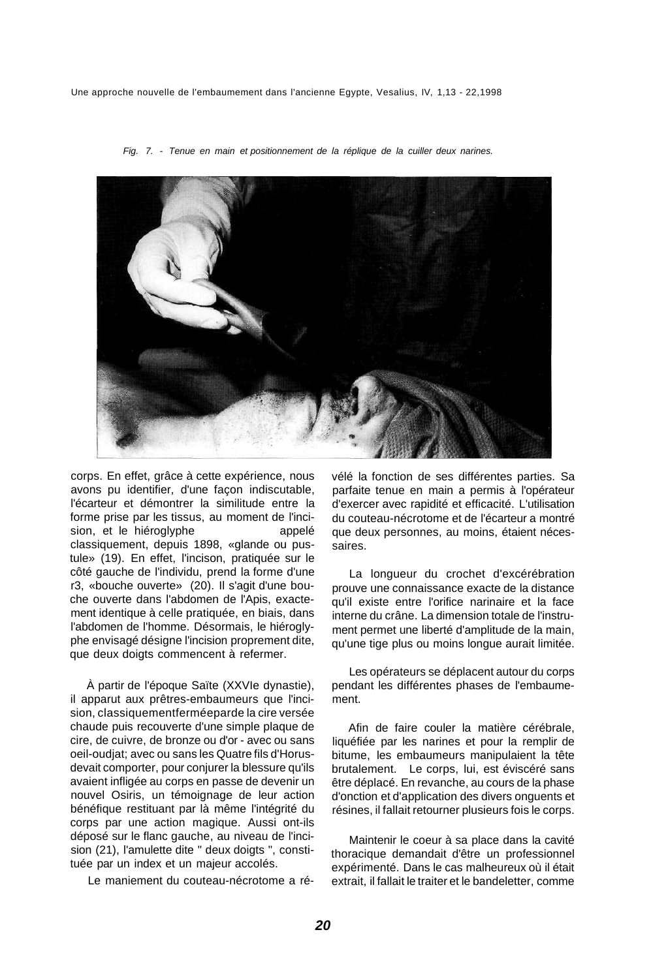Une approche nouvelle de l'embaumement dans l'ancienne Egypte, Vesalius, IV, 1,13 - 22,1998



Fig. 7. - Tenue en main et positionnement de la réplique de la cuiller deux narines.

corps. En effet, grâce à cette expérience, nous avons pu identifier, d'une façon indiscutable, l'écarteur et démontrer la similitude entre la forme prise par les tissus, au moment de l'incision, et le hiéroglyphe appelé classiquement, depuis 1898, «glande ou pustule» (19). En effet, l'incison, pratiquée sur le côté gauche de l'individu, prend la forme d'une r3, «bouche ouverte» (20). Il s'agit d'une bouche ouverte dans l'abdomen de l'Apis, exactement identique à celle pratiquée, en biais, dans l'abdomen de l'homme. Désormais, le hiéroglyphe envisagé désigne l'incision proprement dite, que deux doigts commencent à refermer.

À partir de l'époque Saïte (XXVIe dynastie), il apparut aux prêtres-embaumeurs que l'incision, classiquementferméeparde la cire versée chaude puis recouverte d'une simple plaque de cire, de cuivre, de bronze ou d'or - avec ou sans oeil-oudjat; avec ou sans les Quatre fils d'Horusdevait comporter, pour conjurer la blessure qu'ils avaient infligée au corps en passe de devenir un nouvel Osiris, un témoignage de leur action bénéfique restituant par là même l'intégrité du corps par une action magique. Aussi ont-ils déposé sur le flanc gauche, au niveau de l'incision (21), l'amulette dite " deux doigts ", constituée par un index et un majeur accolés.

Le maniement du couteau-nécrotome a ré-

vélé la fonction de ses différentes parties. Sa parfaite tenue en main a permis à l'opérateur d'exercer avec rapidité et efficacité. L'utilisation du couteau-nécrotome et de l'écarteur a montré que deux personnes, au moins, étaient nécessaires.

La longueur du crochet d'excérébration prouve une connaissance exacte de la distance qu'il existe entre l'orifice narinaire et la face interne du crâne. La dimension totale de l'instrument permet une liberté d'amplitude de la main, qu'une tige plus ou moins longue aurait limitée.

Les opérateurs se déplacent autour du corps pendant les différentes phases de l'embaumement.

Afin de faire couler la matière cérébrale, liquéfiée par les narines et pour la remplir de bitume, les embaumeurs manipulaient la tête brutalement. Le corps, lui, est éviscéré sans être déplacé. En revanche, au cours de la phase d'onction et d'application des divers onguents et résines, il fallait retourner plusieurs fois le corps.

Maintenir le coeur à sa place dans la cavité thoracique demandait d'être un professionnel expérimenté. Dans le cas malheureux où il était extrait, il fallait le traiter et le bandeletter, comme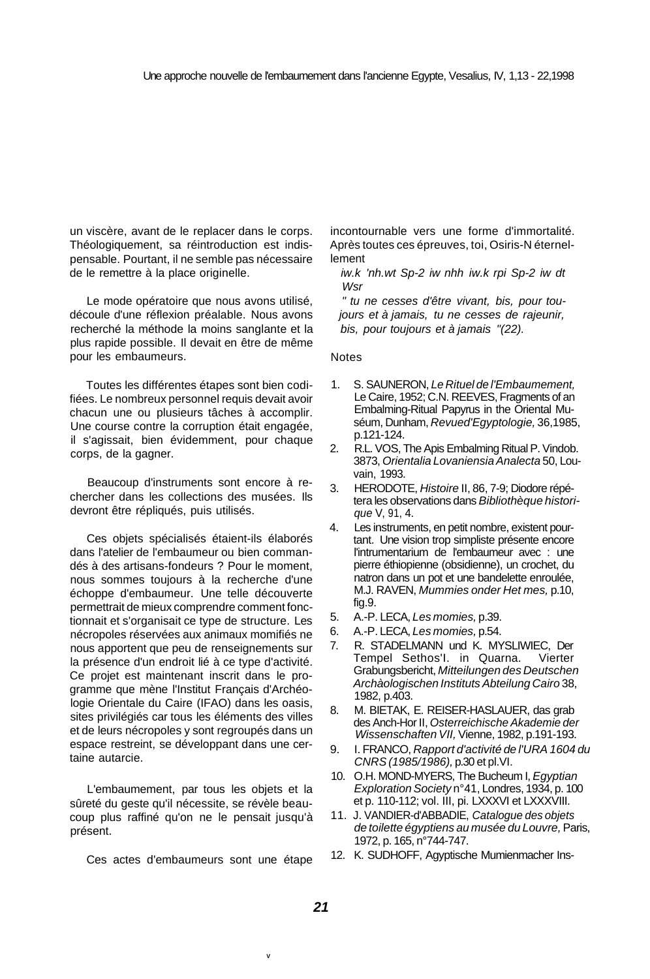un viscère, avant de le replacer dans le corps. Théologiquement, sa réintroduction est indispensable. Pourtant, il ne semble pas nécessaire de le remettre à la place originelle.

Le mode opératoire que nous avons utilisé, découle d'une réflexion préalable. Nous avons recherché la méthode la moins sanglante et la plus rapide possible. Il devait en être de même pour les embaumeurs.

Toutes les différentes étapes sont bien codifiées. Le nombreux personnel requis devait avoir chacun une ou plusieurs tâches à accomplir. Une course contre la corruption était engagée, il s'agissait, bien évidemment, pour chaque corps, de la gagner.

Beaucoup d'instruments sont encore à rechercher dans les collections des musées. Ils devront être répliqués, puis utilisés.

Ces objets spécialisés étaient-ils élaborés dans l'atelier de l'embaumeur ou bien commandés à des artisans-fondeurs ? Pour le moment, nous sommes toujours à la recherche d'une échoppe d'embaumeur. Une telle découverte permettrait de mieux comprendre comment fonctionnait et s'organisait ce type de structure. Les nécropoles réservées aux animaux momifiés ne nous apportent que peu de renseignements sur la présence d'un endroit lié à ce type d'activité. Ce projet est maintenant inscrit dans le programme que mène l'Institut Français d'Archéologie Orientale du Caire (IFAO) dans les oasis, sites privilégiés car tous les éléments des villes et de leurs nécropoles y sont regroupés dans un espace restreint, se développant dans une certaine autarcie.

L'embaumement, par tous les objets et la sûreté du geste qu'il nécessite, se révèle beaucoup plus raffiné qu'on ne le pensait jusqu'à présent.

Ces actes d'embaumeurs sont une étape

incontournable vers une forme d'immortalité. Après toutes ces épreuves, toi, Osiris-N éternellement

iw.k 'nh.wt Sp-2 iw nhh iw.k rpi Sp-2 iw dt **Wsr** 

" tu ne cesses d'être vivant, bis, pour toujours et à jamais, tu ne cesses de rajeunir, bis, pour toujours et à jamais "(22).

#### **Notes**

- 1. S. SAUNERON, Le Rituel de l'Embaumement, Le Caire, 1952; C.N. REEVES, Fragments of an Embalming-Ritual Papyrus in the Oriental Muséum, Dunham, Revued'Egyptologie, 36,1985, p.121-124.
- 2. R.L. VOS, The Apis Embalming Ritual P. Vindob. 3873, Orientalia Lovaniensia Analecta 50, Louvain, 1993.
- 3. HERODOTE, Histoire II, 86, 7-9; Diodore répétera les observations dans Bibliothèque historique V, 91, 4.
- 4. Les instruments, en petit nombre, existent pourtant. Une vision trop simpliste présente encore l'intrumentarium de l'embaumeur avec : une pierre éthiopienne (obsidienne), un crochet, du natron dans un pot et une bandelette enroulée, M.J. RAVEN, Mummies onder Het mes, p.10, fig.9.
- 5. A.-P. LECA, Les momies, p.39.
- 6. A.-P. LECA, Les momies, p.54.
- 7. R. STADELMANN und K. MYSLIWIEC, Der Tempel Sethos'I. in Quarna. Vierter Grabungsbericht, Mitteilungen des Deutschen Archàologischen Instituts Abteilung Cairo 38, 1982, p.403.
- 8. M. BIETAK, E. REISER-HASLAUER, das grab des Anch-Hor II, Osterreichische Akademie der Wissenschaften VII, Vienne, 1982, p.191-193.
- 9. I. FRANCO, Rapport d'activité de l'URA 1604 du CNRS (1985/1986), p.30 et pl.VI.
- 10. O.H. MOND-MYERS, The Bucheum I, Eqyptian Exploration Society n°41, Londres, 1934, p. 100 et p. 110-112; vol. III, pi. LXXXVI et LXXXVIII.
- 11. J. VANDIER-d'ABBADIE, Catalogue des objets de toilette égyptiens au musée du Louvre, Paris, 1972, p. 165, n°744-747.
- 12. K. SUDHOFF, Agyptische Mumienmacher Ins-

**V**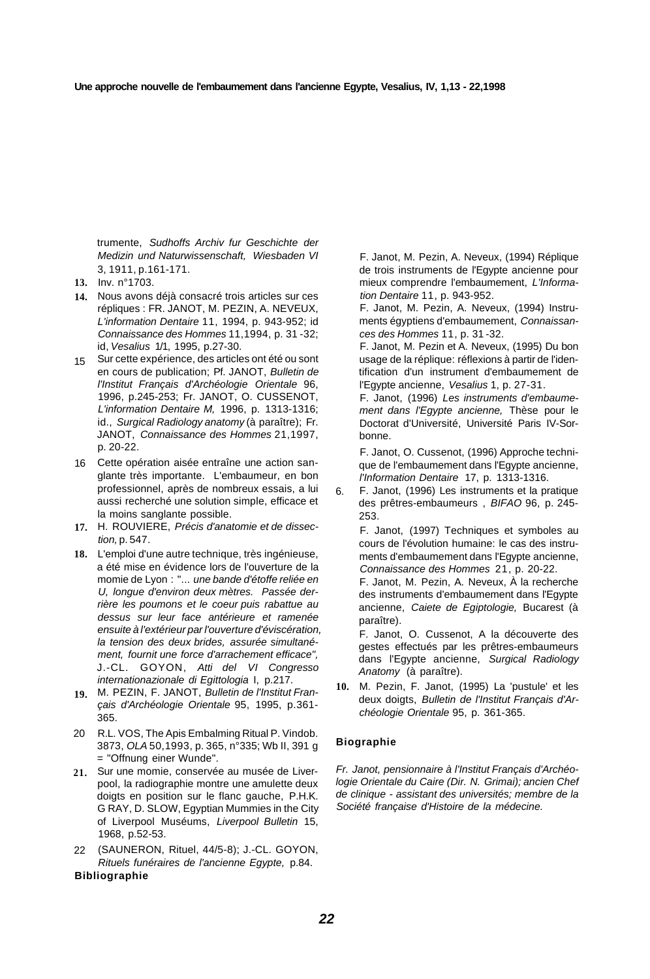trumente, Sudhoffs Archiv fur Geschichte der Medizin und Naturwissenschaft, Wiesbaden VI 3, 1911, p.161-171.

- **13.**  Inv. n°1703.
- **14.**  Nous avons déjà consacré trois articles sur ces répliques : FR. JANOT, M. PEZIN, A. NEVEUX, L'information Dentaire 11, 1994, p. 943-952; id Connaissance des Hommes 11,1994, p. 31 -32; id, Vesalius 1/1, 1995, p.27-30.
- 15 Sur cette expérience, des articles ont été ou sont en cours de publication; Pf. JANOT, Bulletin de l'Institut Français d'Archéologie Orientale 96, 1996, p.245-253; Fr. JANOT, O. CUSSENOT, L'information Dentaire M, 1996, p. 1313-1316; id., Surgical Radiology anatomy (à paraître); Fr. JANOT, Connaissance des Hommes 21,1997, p. 20-22.
- 16 Cette opération aisée entraîne une action sanglante très importante. L'embaumeur, en bon professionnel, après de nombreux essais, a lui aussi recherché une solution simple, efficace et la moins sanglante possible.
- **17.**  H. ROUVIERE, Précis d'anatomie et de dissection, p. 547.
- **18.**  L'emploi d'une autre technique, très ingénieuse, a été mise en évidence lors de l'ouverture de la momie de Lyon : "... une bande d'étoffe reliée en U, longue d'environ deux mètres. Passée derrière les poumons et le coeur puis rabattue au dessus sur leur face antérieure et ramenée ensuite à l'extérieur par l'ouverture d'éviscération, la tension des deux brides, assurée simultanément, fournit une force d'arrachement efficace", J.-CL. GOYON, Atti del VI Congresso internationazionale di Egittologia I, p.217.
- M. PEZIN, F. JANOT, Bulletin de l'Institut Fran-**19.**  çais d'Archéologie Orientale 95, 1995, p.361- 365.
- R.L. VOS, The Apis Embalming Ritual P. Vindob. 3873, OLA 50,1993, p. 365, n°335; Wb II, 391 g = "Offnung einer Wunde". 20
- 21. Sur une momie, conservée au musée de Liverpool, la radiographie montre une amulette deux doigts en position sur le flanc gauche, P.H.K. G RAY, D. SLOW, Egyptian Mummies in the City of Liverpool Muséums, Liverpool Bulletin 15, 1968, p.52-53.
- (SAUNERON, Rituel, 44/5-8); J.-CL. GOYON, Rituels funéraires de l'ancienne Egypte, p.84.  $22<sub>2</sub>$

#### **Bibliographie**

F. Janot, M. Pezin, A. Neveux, (1994) Réplique de trois instruments de l'Egypte ancienne pour mieux comprendre l'embaumement, L'Information Dentaire 11, p. 943-952.

F. Janot, M. Pezin, A. Neveux, (1994) Instruments égyptiens d'embaumement, Connaissances des Hommes 11, p. 31 -32.

F. Janot, M. Pezin et A. Neveux, (1995) Du bon usage de la réplique: réflexions à partir de l'identification d'un instrument d'embaumement de l'Egypte ancienne, Vesalius 1, p. 27-31.

F. Janot, (1996) Les instruments d'embaumement dans l'Egypte ancienne, Thèse pour le Doctorat d'Université, Université Paris IV-Sorbonne.

F. Janot, O. Cussenot, (1996) Approche technique de l'embaumement dans l'Egypte ancienne, l'Information Dentaire 17, p. 1313-1316.

6. F. Janot, (1996) Les instruments et la pratique des prêtres-embaumeurs , BIFAO 96, p. 245- 253.

F. Janot, (1997) Techniques et symboles au cours de l'évolution humaine: le cas des instruments d'embaumement dans l'Egypte ancienne, Connaissance des Hommes 21, p. 20-22.

F. Janot, M. Pezin, A. Neveux, À la recherche des instruments d'embaumement dans l'Egypte ancienne, Caiete de Egiptologie, Bucarest (à paraître).

F. Janot, O. Cussenot, A la découverte des gestes effectués par les prêtres-embaumeurs dans l'Egypte ancienne, Surgical Radiology Anatomy (à paraître).

**10.**  M. Pezin, F. Janot, (1995) La 'pustule' et les deux doigts, Bulletin de l'Institut Français d'Archéologie Orientale 95, p. 361-365.

#### **Biographie**

Fr. Janot, pensionnaire à l'Institut Français d'Archéologie Orientale du Caire (Dir. N. Grimai); ancien Chef de clinique - assistant des universités; membre de la Société française d'Histoire de la médecine.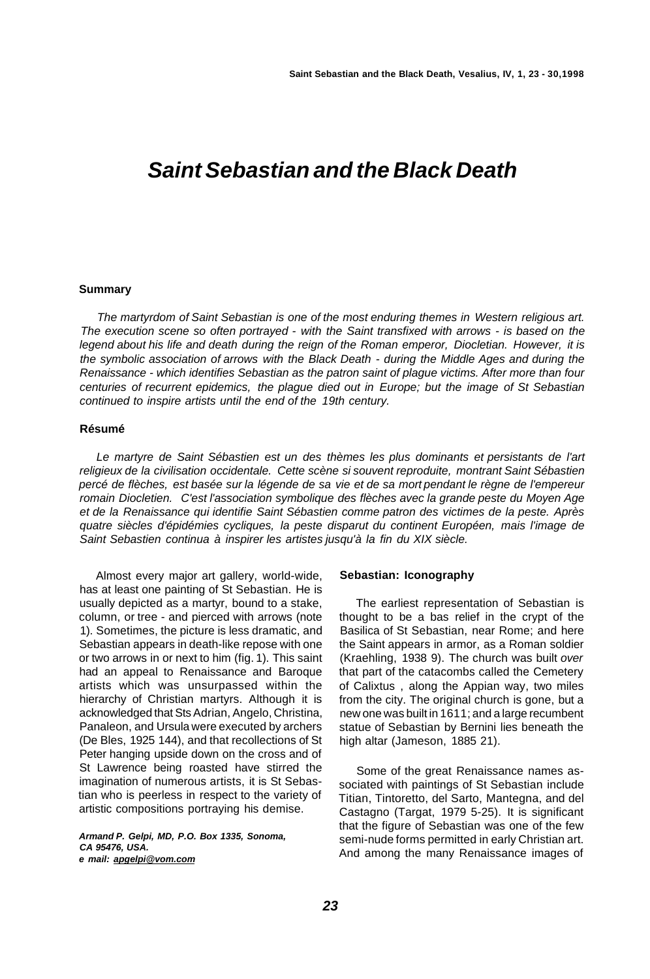## **Saint Sebastian and the Black Death**

#### **Summary**

The martyrdom of Saint Sebastian is one of the most enduring themes in Western religious art. The execution scene so often portrayed - with the Saint transfixed with arrows - is based on the legend about his life and death during the reign of the Roman emperor, Diocletian. However, it is the symbolic association of arrows with the Black Death - during the Middle Ages and during the Renaissance - which identifies Sebastian as the patron saint of plague victims. After more than four centuries of recurrent epidemics, the plague died out in Europe; but the image of St Sebastian continued to inspire artists until the end of the 19th century.

#### **Résumé**

Le martyre de Saint Sébastien est un des thèmes les plus dominants et persistants de l'art religieux de la civilisation occidentale. Cette scène si souvent reproduite, montrant Saint Sébastien percé de flèches, est basée sur la légende de sa vie et de sa mort pendant le règne de l'empereur romain Diocletien. C'est l'association symbolique des flèches avec la grande peste du Moyen Age et de la Renaissance qui identifie Saint Sébastien comme patron des victimes de la peste. Après quatre siècles d'épidémies cycliques, la peste disparut du continent Européen, mais l'image de Saint Sebastien continua à inspirer les artistes jusqu'à la fin du XIX siècle.

Almost every major art gallery, world-wide, has at least one painting of St Sebastian. He is usually depicted as a martyr, bound to a stake, column, or tree - and pierced with arrows (note 1). Sometimes, the picture is less dramatic, and Sebastian appears in death-like repose with one or two arrows in or next to him (fig. 1). This saint had an appeal to Renaissance and Baroque artists which was unsurpassed within the hierarchy of Christian martyrs. Although it is acknowledged that Sts Adrian, Angelo, Christina, Panaleon, and Ursula were executed by archers (De Bles, 1925 144), and that recollections of St Peter hanging upside down on the cross and of St Lawrence being roasted have stirred the imagination of numerous artists, it is St Sebastian who is peerless in respect to the variety of artistic compositions portraying his demise.

**Armand P. Gelpi, MD, P.O. Box 1335, Sonoma, CA 95476, USA. e mail: [apgelpi@vom.com](mailto:apgelpi@vom.com)** 

#### **Sebastian: Iconography**

The earliest representation of Sebastian is thought to be a bas relief in the crypt of the Basilica of St Sebastian, near Rome; and here the Saint appears in armor, as a Roman soldier (Kraehling, 1938 9). The church was built over that part of the catacombs called the Cemetery of Calixtus , along the Appian way, two miles from the city. The original church is gone, but a new one was built in 1611; and a large recumbent statue of Sebastian by Bernini lies beneath the high altar (Jameson, 1885 21).

Some of the great Renaissance names associated with paintings of St Sebastian include Titian, Tintoretto, del Sarto, Mantegna, and del Castagno (Targat, 1979 5-25). It is significant that the figure of Sebastian was one of the few semi-nude forms permitted in early Christian art. And among the many Renaissance images of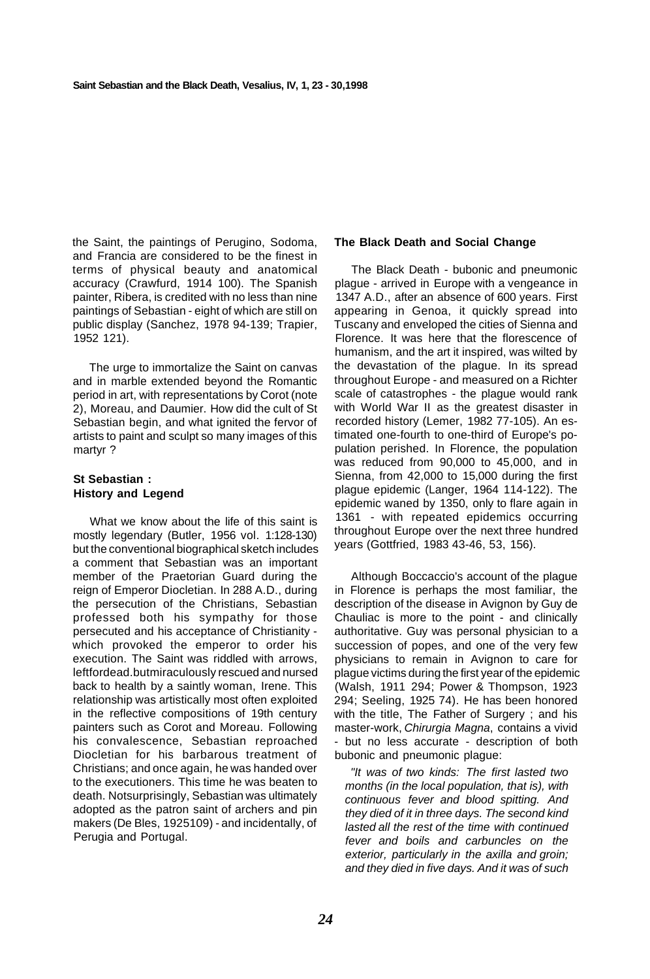the Saint, the paintings of Perugino, Sodoma, and Francia are considered to be the finest in terms of physical beauty and anatomical accuracy (Crawfurd, 1914 100). The Spanish painter, Ribera, is credited with no less than nine paintings of Sebastian - eight of which are still on public display (Sanchez, 1978 94-139; Trapier, 1952 121).

The urge to immortalize the Saint on canvas and in marble extended beyond the Romantic period in art, with representations by Corot (note 2), Moreau, and Daumier. How did the cult of St Sebastian begin, and what ignited the fervor of artists to paint and sculpt so many images of this martyr ?

### **St Sebastian : History and Legend**

What we know about the life of this saint is mostly legendary (Butler, 1956 vol. 1:128-130) but the conventional biographical sketch includes a comment that Sebastian was an important member of the Praetorian Guard during the reign of Emperor Diocletian. In 288 A.D., during the persecution of the Christians, Sebastian professed both his sympathy for those persecuted and his acceptance of Christianity which provoked the emperor to order his execution. The Saint was riddled with arrows, leftfordead.butmiraculously rescued and nursed back to health by a saintly woman, Irene. This relationship was artistically most often exploited in the reflective compositions of 19th century painters such as Corot and Moreau. Following his convalescence, Sebastian reproached Diocletian for his barbarous treatment of Christians; and once again, he was handed over to the executioners. This time he was beaten to death. Notsurprisingly, Sebastian was ultimately adopted as the patron saint of archers and pin makers (De Bles, 1925109) - and incidentally, of Perugia and Portugal.

#### **The Black Death and Social Change**

The Black Death - bubonic and pneumonic plague - arrived in Europe with a vengeance in 1347 A.D., after an absence of 600 years. First appearing in Genoa, it quickly spread into Tuscany and enveloped the cities of Sienna and Florence. It was here that the florescence of humanism, and the art it inspired, was wilted by the devastation of the plague. In its spread throughout Europe - and measured on a Richter scale of catastrophes - the plague would rank with World War II as the greatest disaster in recorded history (Lemer, 1982 77-105). An estimated one-fourth to one-third of Europe's population perished. In Florence, the population was reduced from 90,000 to 45,000, and in Sienna, from 42,000 to 15,000 during the first plague epidemic (Langer, 1964 114-122). The epidemic waned by 1350, only to flare again in 1361 - with repeated epidemics occurring throughout Europe over the next three hundred years (Gottfried, 1983 43-46, 53, 156).

Although Boccaccio's account of the plague in Florence is perhaps the most familiar, the description of the disease in Avignon by Guy de Chauliac is more to the point - and clinically authoritative. Guy was personal physician to a succession of popes, and one of the very few physicians to remain in Avignon to care for plague victims during the first year of the epidemic (Walsh, 1911 294; Power & Thompson, 1923 294; Seeling, 1925 74). He has been honored with the title, The Father of Surgery ; and his master-work, Chirurgia Magna, contains a vivid - but no less accurate - description of both bubonic and pneumonic plague:

"It was of two kinds: The first lasted two months (in the local population, that is), with continuous fever and blood spitting. And they died of it in three days. The second kind lasted all the rest of the time with continued fever and boils and carbuncles on the exterior, particularly in the axilla and groin; and they died in five days. And it was of such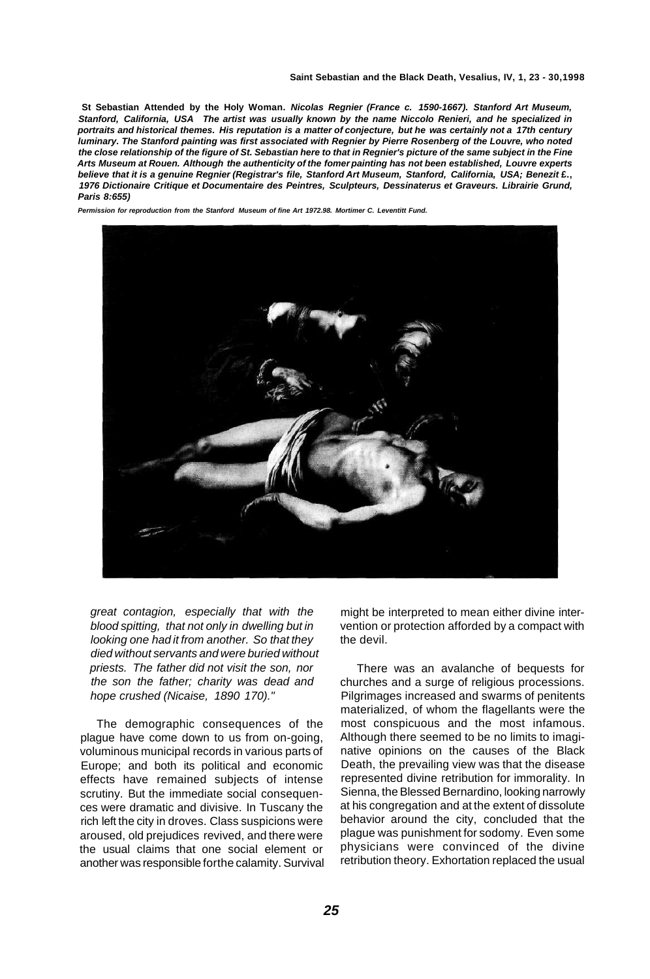**St Sebastian Attended by the Holy Woman. Nicolas Regnier (France c. 1590-1667). Stanford Art Museum, Stanford, California, USA The artist was usually known by the name Niccolo Renieri, and he specialized in portraits and historical themes. His reputation is a matter of conjecture, but he was certainly not a 17th century luminary. The Stanford painting was first associated with Regnier by Pierre Rosenberg of the Louvre, who noted the close relationship of the figure of St. Sebastian here to that in Regnier's picture of the same subject in the Fine Arts Museum at Rouen. Although the authenticity of the fomer painting has not been established, Louvre experts believe that it is a genuine Regnier (Registrar's file, Stanford Art Museum, Stanford, California, USA; Benezit £., 1976 Dictionaire Critique et Documentaire des Peintres, Sculpteurs, Dessinaterus et Graveurs. Librairie Grund, Paris 8:655)** 

**Permission for reproduction from the Stanford Museum of fine Art 1972.98. Mortimer C. Leventitt Fund.** 



great contagion, especially that with the blood spitting, that not only in dwelling but in looking one had it from another. So that they died without servants and were buried without priests. The father did not visit the son, nor the son the father; charity was dead and hope crushed (Nicaise, 1890 170)."

The demographic consequences of the plague have come down to us from on-going, voluminous municipal records in various parts of Europe; and both its political and economic effects have remained subjects of intense scrutiny. But the immediate social consequences were dramatic and divisive. In Tuscany the rich left the city in droves. Class suspicions were aroused, old prejudices revived, and there were the usual claims that one social element or another was responsible forthe calamity. Survival might be interpreted to mean either divine intervention or protection afforded by a compact with the devil.

There was an avalanche of bequests for churches and a surge of religious processions. Pilgrimages increased and swarms of penitents materialized, of whom the flagellants were the most conspicuous and the most infamous. Although there seemed to be no limits to imaginative opinions on the causes of the Black Death, the prevailing view was that the disease represented divine retribution for immorality. In Sienna, the Blessed Bernardino, looking narrowly at his congregation and at the extent of dissolute behavior around the city, concluded that the plague was punishment for sodomy. Even some physicians were convinced of the divine retribution theory. Exhortation replaced the usual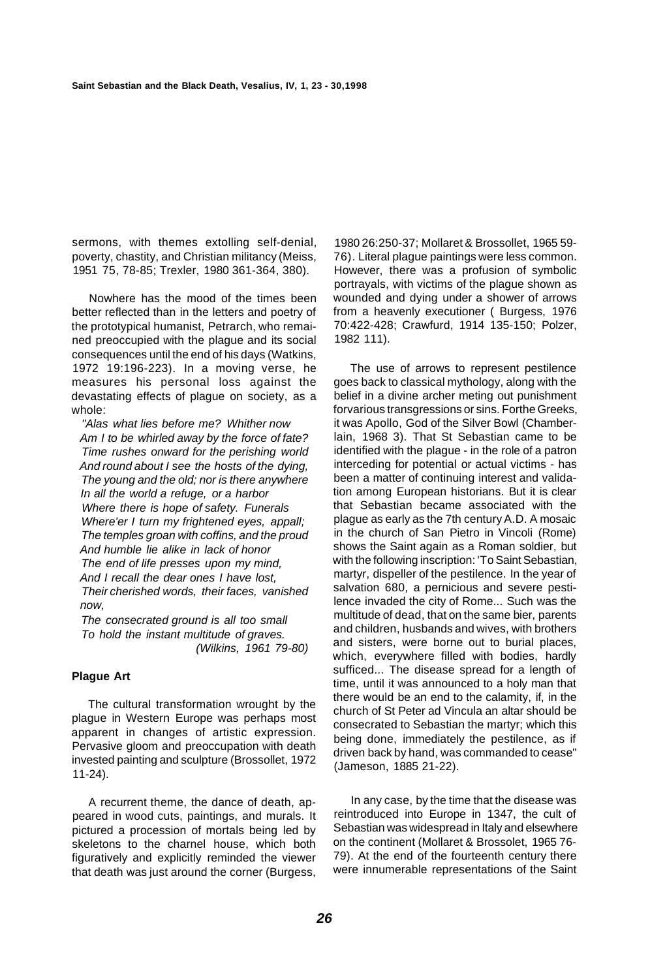sermons, with themes extolling self-denial, poverty, chastity, and Christian militancy (Meiss, 1951 75, 78-85; Trexler, 1980 361-364, 380).

Nowhere has the mood of the times been better reflected than in the letters and poetry of the prototypical humanist, Petrarch, who remained preoccupied with the plague and its social consequences until the end of his days (Watkins, 1972 19:196-223). In a moving verse, he measures his personal loss against the devastating effects of plague on society, as a whole:

"Alas what lies before me? Whither now Am I to be whirled away by the force of fate? Time rushes onward for the perishing world And round about I see the hosts of the dying, The young and the old; nor is there anywhere In all the world a refuge, or a harbor Where there is hope of safety. Funerals Where'er I turn my frightened eyes, appall; The temples groan with coffins, and the proud And humble lie alike in lack of honor The end of life presses upon my mind, And I recall the dear ones I have lost, Their cherished words, their faces, vanished now,

The consecrated ground is all too small To hold the instant multitude of graves. (Wilkins, 1961 79-80)

#### **Plague Art**

The cultural transformation wrought by the plague in Western Europe was perhaps most apparent in changes of artistic expression. Pervasive gloom and preoccupation with death invested painting and sculpture (Brossollet, 1972 11-24).

A recurrent theme, the dance of death, appeared in wood cuts, paintings, and murals. It pictured a procession of mortals being led by skeletons to the charnel house, which both figuratively and explicitly reminded the viewer that death was just around the corner (Burgess,

1980 26:250-37; Mollaret & Brossollet, 1965 59- 76). Literal plague paintings were less common. However, there was a profusion of symbolic portrayals, with victims of the plague shown as wounded and dying under a shower of arrows from a heavenly executioner ( Burgess, 1976 70:422-428; Crawfurd, 1914 135-150; Polzer, 1982 111).

The use of arrows to represent pestilence goes back to classical mythology, along with the belief in a divine archer meting out punishment forvarious transgressions or sins. Forthe Greeks, it was Apollo, God of the Silver Bowl (Chamberlain, 1968 3). That St Sebastian came to be identified with the plague - in the role of a patron interceding for potential or actual victims - has been a matter of continuing interest and validation among European historians. But it is clear that Sebastian became associated with the plague as early as the 7th century A.D. A mosaic in the church of San Pietro in Vincoli (Rome) shows the Saint again as a Roman soldier, but with the following inscription: 'To Saint Sebastian, martyr, dispeller of the pestilence. In the year of salvation 680, a pernicious and severe pestilence invaded the city of Rome... Such was the multitude of dead, that on the same bier, parents and children, husbands and wives, with brothers and sisters, were borne out to burial places, which, everywhere filled with bodies, hardly sufficed... The disease spread for a length of time, until it was announced to a holy man that there would be an end to the calamity, if, in the church of St Peter ad Vincula an altar should be consecrated to Sebastian the martyr; which this being done, immediately the pestilence, as if driven back by hand, was commanded to cease" (Jameson, 1885 21-22).

In any case, by the time that the disease was reintroduced into Europe in 1347, the cult of Sebastian was widespread in Italy and elsewhere on the continent (Mollaret & Brossolet, 1965 76- 79). At the end of the fourteenth century there were innumerable representations of the Saint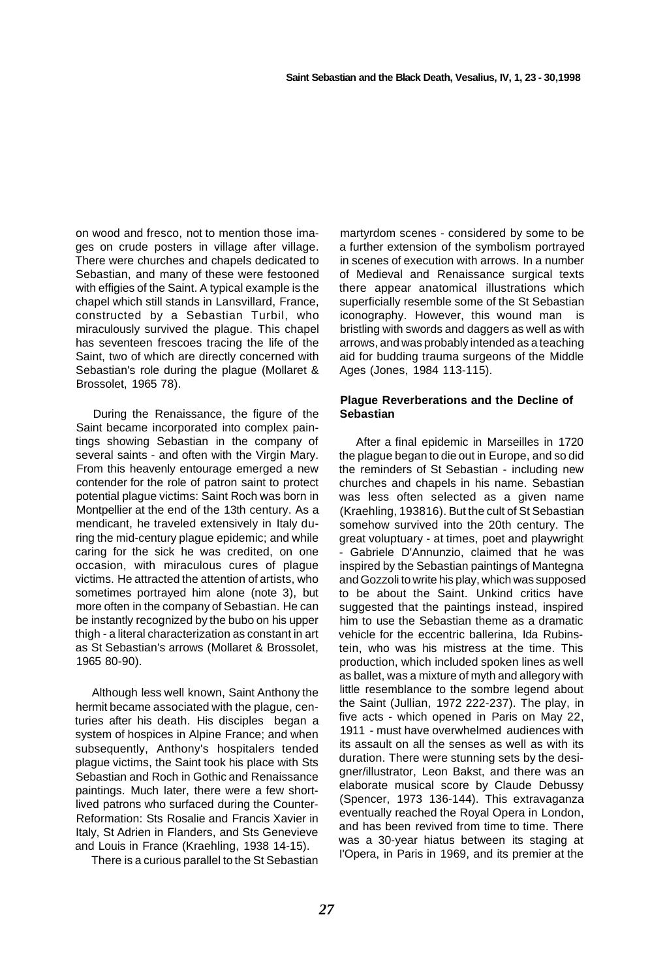on wood and fresco, not to mention those images on crude posters in village after village. There were churches and chapels dedicated to Sebastian, and many of these were festooned with effigies of the Saint. A typical example is the chapel which still stands in Lansvillard, France, constructed by a Sebastian Turbil, who miraculously survived the plague. This chapel has seventeen frescoes tracing the life of the Saint, two of which are directly concerned with Sebastian's role during the plague (Mollaret & Brossolet, 1965 78).

During the Renaissance, the figure of the Saint became incorporated into complex paintings showing Sebastian in the company of several saints - and often with the Virgin Mary. From this heavenly entourage emerged a new contender for the role of patron saint to protect potential plague victims: Saint Roch was born in Montpellier at the end of the 13th century. As a mendicant, he traveled extensively in Italy during the mid-century plague epidemic; and while caring for the sick he was credited, on one occasion, with miraculous cures of plague victims. He attracted the attention of artists, who sometimes portrayed him alone (note 3), but more often in the company of Sebastian. He can be instantly recognized by the bubo on his upper thigh - a literal characterization as constant in art as St Sebastian's arrows (Mollaret & Brossolet, 1965 80-90).

Although less well known, Saint Anthony the hermit became associated with the plague, centuries after his death. His disciples began a system of hospices in Alpine France; and when subsequently, Anthony's hospitalers tended plague victims, the Saint took his place with Sts Sebastian and Roch in Gothic and Renaissance paintings. Much later, there were a few shortlived patrons who surfaced during the Counter-Reformation: Sts Rosalie and Francis Xavier in Italy, St Adrien in Flanders, and Sts Genevieve and Louis in France (Kraehling, 1938 14-15).

There is a curious parallel to the St Sebastian

martyrdom scenes - considered by some to be a further extension of the symbolism portrayed in scenes of execution with arrows. In a number of Medieval and Renaissance surgical texts there appear anatomical illustrations which superficially resemble some of the St Sebastian iconography. However, this wound man is bristling with swords and daggers as well as with arrows, and was probably intended as a teaching aid for budding trauma surgeons of the Middle Ages (Jones, 1984 113-115).

#### **Plague Reverberations and the Decline of Sebastian**

After a final epidemic in Marseilles in 1720 the plague began to die out in Europe, and so did the reminders of St Sebastian - including new churches and chapels in his name. Sebastian was less often selected as a given name (Kraehling, 193816). But the cult of St Sebastian somehow survived into the 20th century. The great voluptuary - at times, poet and playwright - Gabriele D'Annunzio, claimed that he was inspired by the Sebastian paintings of Mantegna and Gozzoli to write his play, which was supposed to be about the Saint. Unkind critics have suggested that the paintings instead, inspired him to use the Sebastian theme as a dramatic vehicle for the eccentric ballerina, Ida Rubinstein, who was his mistress at the time. This production, which included spoken lines as well as ballet, was a mixture of myth and allegory with little resemblance to the sombre legend about the Saint (Jullian, 1972 222-237). The play, in five acts - which opened in Paris on May 22, 1911 - must have overwhelmed audiences with its assault on all the senses as well as with its duration. There were stunning sets by the designer/illustrator, Leon Bakst, and there was an elaborate musical score by Claude Debussy (Spencer, 1973 136-144). This extravaganza eventually reached the Royal Opera in London, and has been revived from time to time. There was a 30-year hiatus between its staging at I'Opera, in Paris in 1969, and its premier at the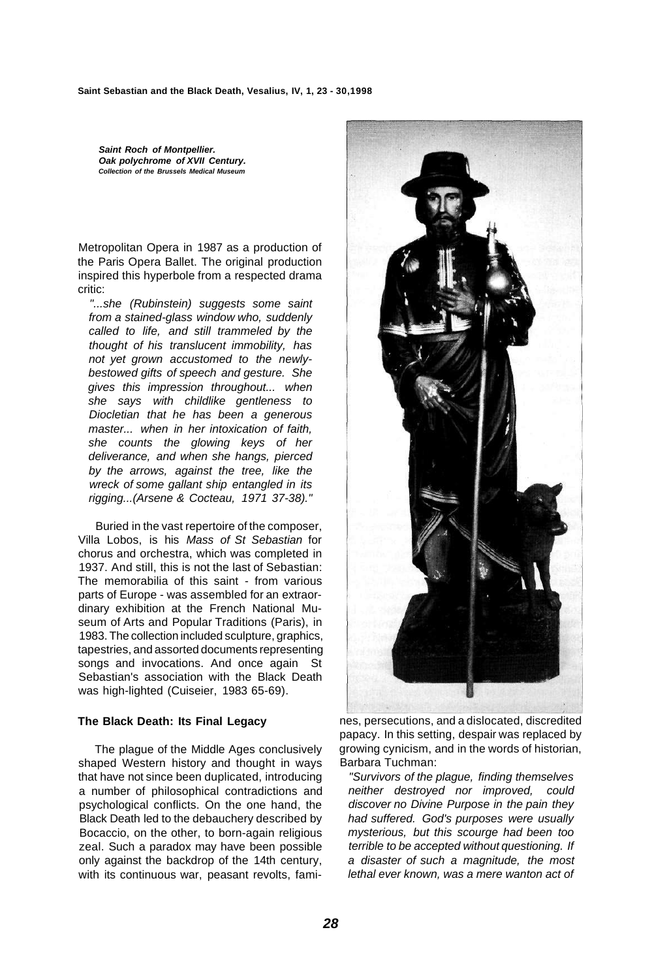**Saint Roch of Montpellier. Oak polychrome of XVII Century. Collection of the Brussels Medical Museum** 

Metropolitan Opera in 1987 as a production of the Paris Opera Ballet. The original production inspired this hyperbole from a respected drama critic:

"...she (Rubinstein) suggests some saint from a stained-glass window who, suddenly called to life, and still trammeled by the thought of his translucent immobility, has not yet grown accustomed to the newlybestowed gifts of speech and gesture. She gives this impression throughout... when she says with childlike gentleness to Diocletian that he has been a generous master... when in her intoxication of faith, she counts the glowing keys of her deliverance, and when she hangs, pierced by the arrows, against the tree, like the wreck of some gallant ship entangled in its rigging...(Arsene & Cocteau, 1971 37-38)."

Buried in the vast repertoire of the composer, Villa Lobos, is his Mass of St Sebastian for chorus and orchestra, which was completed in 1937. And still, this is not the last of Sebastian: The memorabilia of this saint - from various parts of Europe - was assembled for an extraordinary exhibition at the French National Museum of Arts and Popular Traditions (Paris), in 1983. The collection included sculpture, graphics, tapestries, and assorted documents representing songs and invocations. And once again St Sebastian's association with the Black Death was high-lighted (Cuiseier, 1983 65-69).

#### **The Black Death: Its Final Legacy**

The plague of the Middle Ages conclusively shaped Western history and thought in ways that have not since been duplicated, introducing a number of philosophical contradictions and psychological conflicts. On the one hand, the Black Death led to the debauchery described by Bocaccio, on the other, to born-again religious zeal. Such a paradox may have been possible only against the backdrop of the 14th century, with its continuous war, peasant revolts, fami-



nes, persecutions, and a dislocated, discredited papacy. In this setting, despair was replaced by growing cynicism, and in the words of historian, Barbara Tuchman:

"Survivors of the plague, finding themselves neither destroyed nor improved, could discover no Divine Purpose in the pain they had suffered. God's purposes were usually mysterious, but this scourge had been too terrible to be accepted without questioning. If a disaster of such a magnitude, the most lethal ever known, was a mere wanton act of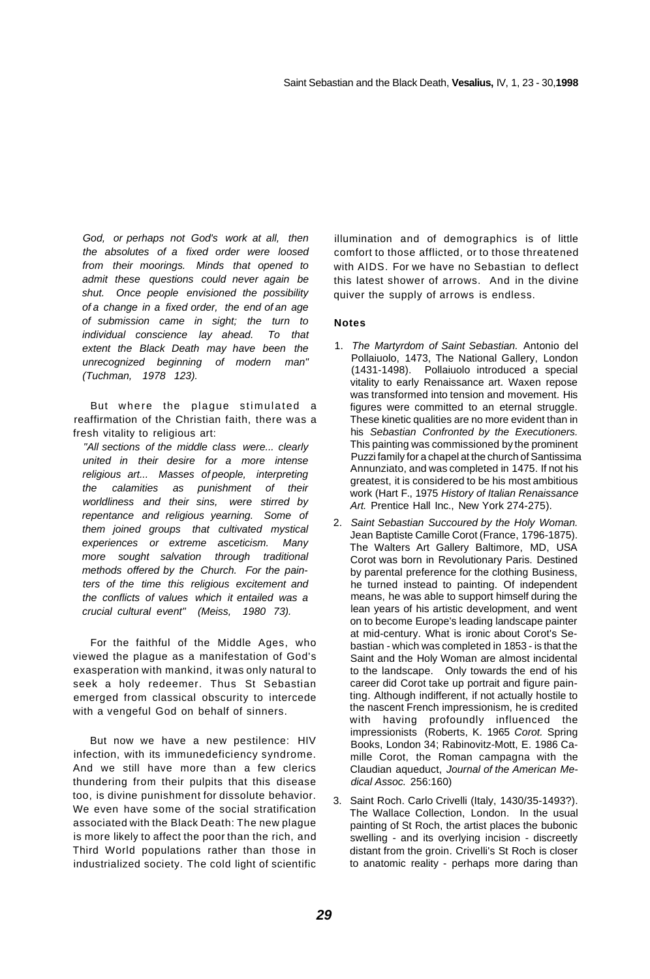God, or perhaps not God's work at all, then the absolutes of a fixed order were loosed from their moorings. Minds that opened to admit these questions could never again be shut. Once people envisioned the possibility of a change in a fixed order, the end of an age of submission came in sight; the turn to individual conscience lay ahead. To that extent the Black Death may have been the unrecognized beginning of modern man" (Tuchman, 1978 123).

But where the plague stimulated a reaffirmation of the Christian faith, there was a fresh vitality to religious art:

"All sections of the middle class were... clearly united in their desire for a more intense religious art... Masses of people, interpreting the calamities as punishment of their worldliness and their sins, were stirred by repentance and religious yearning. Some of them joined groups that cultivated mystical experiences or extreme asceticism. Many more sought salvation through traditional methods offered by the Church. For the painters of the time this religious excitement and the conflicts of values which it entailed was a crucial cultural event" (Meiss, 1980 73).

For the faithful of the Middle Ages, who viewed the plague as a manifestation of God's exasperation with mankind, it was only natural to seek a holy redeemer. Thus St Sebastian emerged from classical obscurity to intercede with a vengeful God on behalf of sinners.

But now we have a new pestilence: HIV infection, with its immunedeficiency syndrome. And we still have more than a few clerics thundering from their pulpits that this disease too, is divine punishment for dissolute behavior. We even have some of the social stratification associated with the Black Death: The new plague is more likely to affect the poor than the rich, and Third World populations rather than those in industrialized society. The cold light of scientific

illumination and of demographics is of little comfort to those afflicted, or to those threatened with AIDS. For we have no Sebastian to deflect this latest shower of arrows. And in the divine quiver the supply of arrows is endless.

#### **Notes**

- 1. The Martyrdom of Saint Sebastian. Antonio del Pollaiuolo, 1473, The National Gallery, London (1431-1498). Pollaiuolo introduced a special vitality to early Renaissance art. Waxen repose was transformed into tension and movement. His figures were committed to an eternal struggle. These kinetic qualities are no more evident than in his Sebastian Confronted by the Executioners. This painting was commissioned by the prominent Puzzi family for a chapel at the church of Santissima Annunziato, and was completed in 1475. If not his greatest, it is considered to be his most ambitious work (Hart F., 1975 History of Italian Renaissance Art. Prentice Hall Inc., New York 274-275).
- 2. Saint Sebastian Succoured by the Holy Woman. Jean Baptiste Camille Corot (France, 1796-1875). The Walters Art Gallery Baltimore, MD, USA Corot was born in Revolutionary Paris. Destined by parental preference for the clothing Business, he turned instead to painting. Of independent means, he was able to support himself during the lean years of his artistic development, and went on to become Europe's leading landscape painter at mid-century. What is ironic about Corot's Sebastian - which was completed in 1853 - is that the Saint and the Holy Woman are almost incidental to the landscape. Only towards the end of his career did Corot take up portrait and figure painting. Although indifferent, if not actually hostile to the nascent French impressionism, he is credited with having profoundly influenced the impressionists (Roberts, K. 1965 Corot. Spring Books, London 34; Rabinovitz-Mott, E. 1986 Camille Corot, the Roman campagna with the Claudian aqueduct, Journal of the American Medical Assoc. 256:160)
- 3. Saint Roch. Carlo Crivelli (Italy, 1430/35-1493?). The Wallace Collection, London. In the usual painting of St Roch, the artist places the bubonic swelling - and its overlying incision - discreetly distant from the groin. Crivelli's St Roch is closer to anatomic reality - perhaps more daring than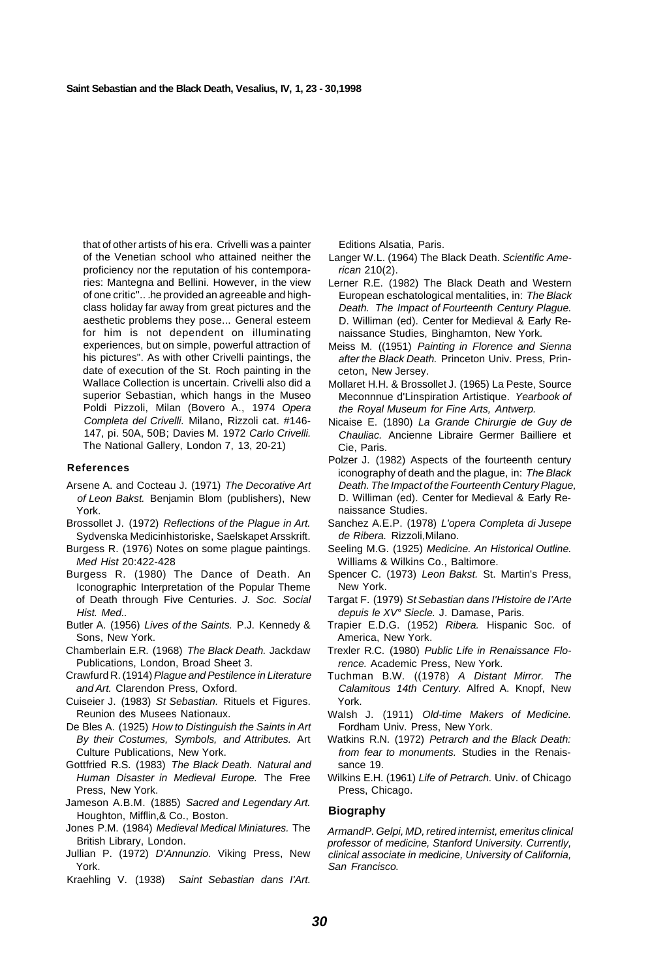that of other artists of his era. Crivelli was a painter of the Venetian school who attained neither the proficiency nor the reputation of his contemporaries: Mantegna and Bellini. However, in the view of one critic".. .he provided an agreeable and highclass holiday far away from great pictures and the aesthetic problems they pose... General esteem for him is not dependent on illuminating experiences, but on simple, powerful attraction of his pictures". As with other Crivelli paintings, the date of execution of the St. Roch painting in the Wallace Collection is uncertain. Crivelli also did a superior Sebastian, which hangs in the Museo Poldi Pizzoli, Milan (Bovero A., 1974 Opera Completa del Crivelli. Milano, Rizzoli cat. #146- 147, pi. 50A, 50B; Davies M. 1972 Carlo Crivelli. The National Gallery, London 7, 13, 20-21)

#### **References**

- Arsene A. and Cocteau J. (1971) The Decorative Art of Leon Bakst. Benjamin Blom (publishers), New York.
- Brossollet J. (1972) Reflections of the Plague in Art. Sydvenska Medicinhistoriske, Saelskapet Arsskrift.
- Burgess R. (1976) Notes on some plague paintings. Med Hist 20:422-428
- Burgess R. (1980) The Dance of Death. An Iconographic Interpretation of the Popular Theme of Death through Five Centuries. J. Soc. Social Hist. Med..
- Butler A. (1956) Lives of the Saints. P.J. Kennedy & Sons, New York.
- Chamberlain E.R. (1968) The Black Death. Jackdaw Publications, London, Broad Sheet 3.
- Crawfurd R. (1914) Plague and Pestilence in Literature and Art. Clarendon Press, Oxford.
- Cuiseier J. (1983) St Sebastian. Rituels et Figures. Reunion des Musees Nationaux.
- De Bles A. (1925) How to Distinguish the Saints in Art By their Costumes, Symbols, and Attributes. Art Culture Publications, New York.
- Gottfried R.S. (1983) The Black Death. Natural and Human Disaster in Medieval Europe. The Free Press, New York.
- Jameson A.B.M. (1885) Sacred and Legendary Art. Houghton, Mifflin,& Co., Boston.
- Jones P.M. (1984) Medieval Medical Miniatures. The British Library, London.
- Jullian P. (1972) D'Annunzio. Viking Press, New York.
- Kraehling V. (1938) Saint Sebastian dans I'Art.

Editions Alsatia, Paris.

- Langer W.L. (1964) The Black Death. Scientific American 210(2).
- Lerner R.E. (1982) The Black Death and Western European eschatological mentalities, in: The Black Death. The Impact of Fourteenth Century Plague. D. Williman (ed). Center for Medieval & Early Renaissance Studies, Binghamton, New York.
- Meiss M. ((1951) Painting in Florence and Sienna after the Black Death. Princeton Univ. Press, Princeton, New Jersey.
- Mollaret H.H. & Brossollet J. (1965) La Peste, Source Meconnnue d'Linspiration Artistique. Yearbook of the Royal Museum for Fine Arts, Antwerp.
- Nicaise E. (1890) La Grande Chirurgie de Guy de Chauliac. Ancienne Libraire Germer Bailliere et Cie, Paris.
- Polzer J. (1982) Aspects of the fourteenth century iconography of death and the plague, in: The Black Death. The Impact of the Fourteenth Century Plague, D. Williman (ed). Center for Medieval & Early Renaissance Studies.
- Sanchez A.E.P. (1978) L'opera Completa di Jusepe de Ribera. Rizzoli,Milano.
- Seeling M.G. (1925) Medicine. An Historical Outline. Williams & Wilkins Co., Baltimore.
- Spencer C. (1973) Leon Bakst. St. Martin's Press, New York.
- Targat F. (1979) St Sebastian dans I'Histoire de I'Arte depuis le XV° Siecle. J. Damase, Paris.
- Trapier E.D.G. (1952) Ribera. Hispanic Soc. of America, New York.
- Trexler R.C. (1980) Public Life in Renaissance Florence. Academic Press, New York.
- Tuchman B.W. ((1978) A Distant Mirror. The Calamitous 14th Century. Alfred A. Knopf, New York.
- Walsh J. (1911) Old-time Makers of Medicine. Fordham Univ. Press, New York.
- Watkins R.N. (1972) Petrarch and the Black Death: from fear to monuments. Studies in the Renaissance 19.
- Wilkins E.H. (1961) Life of Petrarch. Univ. of Chicago Press, Chicago.

#### **Biography**

ArmandP. Gelpi, MD, retired internist, emeritus clinical professor of medicine, Stanford University. Currently, clinical associate in medicine, University of California, San Francisco.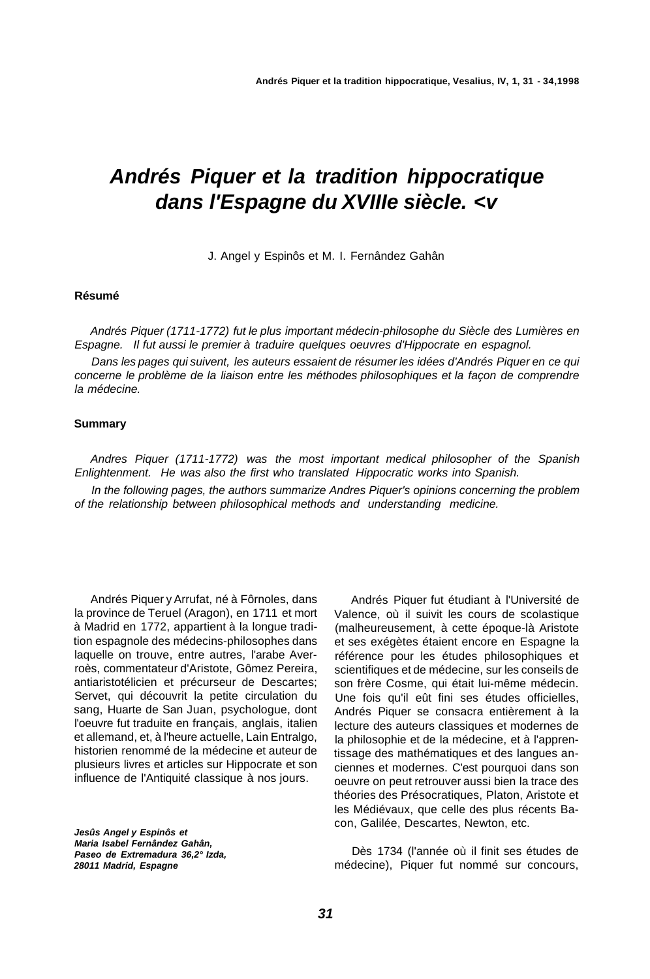# **Andrés Piquer et la tradition hippocratique dans l'Espagne du XVIIIe siècle. <v**

J. Angel y Espinôs et M. I. Fernândez Gahân

#### **Résumé**

Andrés Piquer (1711-1772) fut le plus important médecin-philosophe du Siècle des Lumières en Espagne. Il fut aussi le premier à traduire quelques oeuvres d'Hippocrate en espagnol.

Dans les pages qui suivent, les auteurs essaient de résumer les idées d'Andrés Piquer en ce qui concerne le problème de la liaison entre les méthodes philosophiques et la façon de comprendre la médecine.

#### **Summary**

Andres Piquer (1711-1772) was the most important medical philosopher of the Spanish Enlightenment. He was also the first who translated Hippocratic works into Spanish.

In the following pages, the authors summarize Andres Piquer's opinions concerning the problem of the relationship between philosophical methods and understanding medicine.

Andrés Piquer y Arrufat, né à Fôrnoles, dans la province de Teruel (Aragon), en 1711 et mort à Madrid en 1772, appartient à la longue tradition espagnole des médecins-philosophes dans laquelle on trouve, entre autres, l'arabe Averroès, commentateur d'Aristote, Gômez Pereira, antiaristotélicien et précurseur de Descartes; Servet, qui découvrit la petite circulation du sang, Huarte de San Juan, psychologue, dont l'oeuvre fut traduite en français, anglais, italien et allemand, et, à l'heure actuelle, Lain Entralgo, historien renommé de la médecine et auteur de plusieurs livres et articles sur Hippocrate et son influence de l'Antiquité classique à nos jours.

**Jesûs Angel y Espinôs et Maria Isabel Fernândez Gahân, Paseo de Extremadura 36,2° Izda, 28011 Madrid, Espagne** 

Andrés Piquer fut étudiant à l'Université de Valence, où il suivit les cours de scolastique (malheureusement, à cette époque-là Aristote et ses exégètes étaient encore en Espagne la référence pour les études philosophiques et scientifiques et de médecine, sur les conseils de son frère Cosme, qui était lui-même médecin. Une fois qu'il eût fini ses études officielles, Andrés Piquer se consacra entièrement à la lecture des auteurs classiques et modernes de la philosophie et de la médecine, et à l'apprentissage des mathématiques et des langues anciennes et modernes. C'est pourquoi dans son oeuvre on peut retrouver aussi bien la trace des théories des Présocratiques, Platon, Aristote et les Médiévaux, que celle des plus récents Bacon, Galilée, Descartes, Newton, etc.

Dès 1734 (l'année où il finit ses études de médecine), Piquer fut nommé sur concours,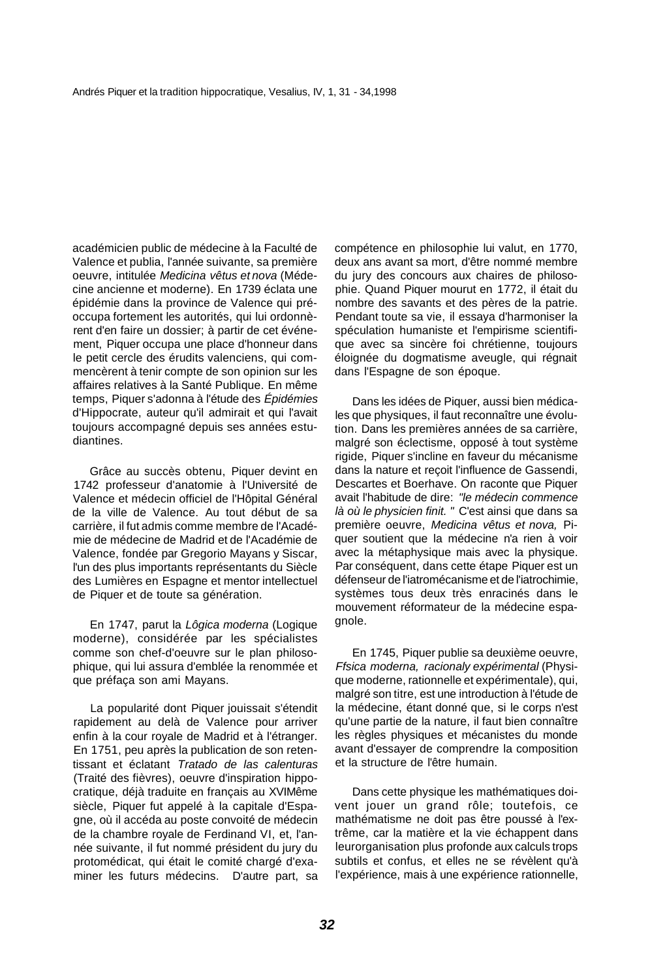académicien public de médecine à la Faculté de Valence et publia, l'année suivante, sa première oeuvre, intitulée Medicina vêtus et nova (Médecine ancienne et moderne). En 1739 éclata une épidémie dans la province de Valence qui préoccupa fortement les autorités, qui lui ordonnèrent d'en faire un dossier; à partir de cet événement, Piquer occupa une place d'honneur dans le petit cercle des érudits valenciens, qui commencèrent à tenir compte de son opinion sur les affaires relatives à la Santé Publique. En même temps, Piquer s'adonna à l'étude des Épidémies d'Hippocrate, auteur qu'il admirait et qui l'avait toujours accompagné depuis ses années estudiantines.

Grâce au succès obtenu, Piquer devint en 1742 professeur d'anatomie à l'Université de Valence et médecin officiel de l'Hôpital Général de la ville de Valence. Au tout début de sa carrière, il fut admis comme membre de l'Académie de médecine de Madrid et de l'Académie de Valence, fondée par Gregorio Mayans y Siscar, l'un des plus importants représentants du Siècle des Lumières en Espagne et mentor intellectuel de Piquer et de toute sa génération.

En 1747, parut la Lôgica moderna (Logique moderne), considérée par les spécialistes comme son chef-d'oeuvre sur le plan philosophique, qui lui assura d'emblée la renommée et que préfaça son ami Mayans.

La popularité dont Piquer jouissait s'étendit rapidement au delà de Valence pour arriver enfin à la cour royale de Madrid et à l'étranger. En 1751, peu après la publication de son retentissant et éclatant Tratado de las calenturas (Traité des fièvres), oeuvre d'inspiration hippocratique, déjà traduite en français au XVIMême siècle, Piquer fut appelé à la capitale d'Espagne, où il accéda au poste convoité de médecin de la chambre royale de Ferdinand VI, et, l'année suivante, il fut nommé président du jury du protomédicat, qui était le comité chargé d'examiner les futurs médecins. D'autre part, sa

compétence en philosophie lui valut, en 1770, deux ans avant sa mort, d'être nommé membre du jury des concours aux chaires de philosophie. Quand Piquer mourut en 1772, il était du nombre des savants et des pères de la patrie. Pendant toute sa vie, il essaya d'harmoniser la spéculation humaniste et l'empirisme scientifique avec sa sincère foi chrétienne, toujours éloignée du dogmatisme aveugle, qui régnait dans l'Espagne de son époque.

Dans les idées de Piquer, aussi bien médicales que physiques, il faut reconnaître une évolution. Dans les premières années de sa carrière, malgré son éclectisme, opposé à tout système rigide, Piquer s'incline en faveur du mécanisme dans la nature et reçoit l'influence de Gassendi, Descartes et Boerhave. On raconte que Piquer avait l'habitude de dire: "le médecin commence là où le physicien finit. " C'est ainsi que dans sa première oeuvre, Medicina vêtus et nova, Piquer soutient que la médecine n'a rien à voir avec la métaphysique mais avec la physique. Par conséquent, dans cette étape Piquer est un défenseur de l'iatromécanisme et de l'iatrochimie, systèmes tous deux très enracinés dans le mouvement réformateur de la médecine espaanole.

En 1745, Piquer publie sa deuxième oeuvre, Ffsica moderna, racionaly expérimental (Physique moderne, rationnelle et expérimentale), qui, malgré son titre, est une introduction à l'étude de la médecine, étant donné que, si le corps n'est qu'une partie de la nature, il faut bien connaître les règles physiques et mécanistes du monde avant d'essayer de comprendre la composition et la structure de l'être humain.

Dans cette physique les mathématiques doivent jouer un grand rôle; toutefois, ce mathématisme ne doit pas être poussé à l'extrême, car la matière et la vie échappent dans leurorganisation plus profonde aux calculs trops subtils et confus, et elles ne se révèlent qu'à l'expérience, mais à une expérience rationnelle,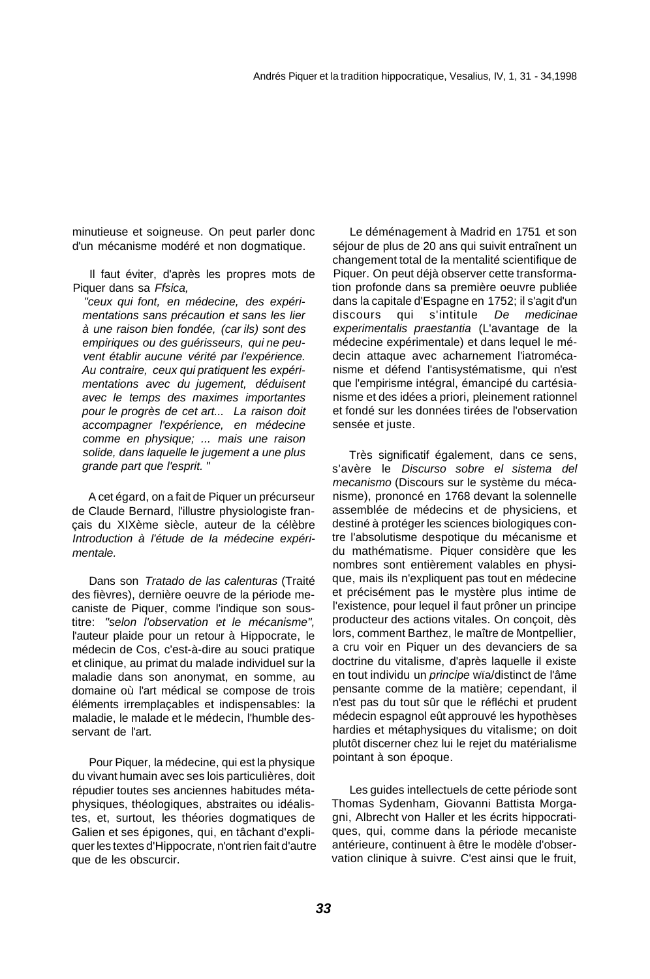minutieuse et soigneuse. On peut parler donc d'un mécanisme modéré et non dogmatique.

Il faut éviter, d'après les propres mots de Piquer dans sa Ffsica,

"ceux qui font, en médecine, des expérimentations sans précaution et sans les lier à une raison bien fondée, (car ils) sont des empiriques ou des guérisseurs, qui ne peuvent établir aucune vérité par l'expérience. Au contraire, ceux qui pratiquent les expérimentations avec du jugement, déduisent avec le temps des maximes importantes pour le progrès de cet art... La raison doit accompagner l'expérience, en médecine comme en physique; ... mais une raison solide, dans laquelle le jugement a une plus grande part que l'esprit. "

A cet égard, on a fait de Piquer un précurseur de Claude Bernard, l'illustre physiologiste français du XIXème siècle, auteur de la célèbre Introduction à l'étude de la médecine expérimentale.

Dans son Tratado de las calenturas (Traité des fièvres), dernière oeuvre de la période mecaniste de Piquer, comme l'indique son soustitre: "selon l'observation et le mécanisme", l'auteur plaide pour un retour à Hippocrate, le médecin de Cos, c'est-à-dire au souci pratique et clinique, au primat du malade individuel sur la maladie dans son anonymat, en somme, au domaine où l'art médical se compose de trois éléments irremplaçables et indispensables: la maladie, le malade et le médecin, l'humble desservant de l'art.

Pour Piquer, la médecine, qui est la physique du vivant humain avec ses lois particulières, doit répudier toutes ses anciennes habitudes métaphysiques, théologiques, abstraites ou idéalistes, et, surtout, les théories dogmatiques de Galien et ses épigones, qui, en tâchant d'expliquer les textes d'Hippocrate, n'ont rien fait d'autre que de les obscurcir.

Le déménagement à Madrid en 1751 et son séjour de plus de 20 ans qui suivit entraînent un changement total de la mentalité scientifique de Piquer. On peut déjà observer cette transformation profonde dans sa première oeuvre publiée dans la capitale d'Espagne en 1752; il s'agit d'un discours qui s'intitule De medicinae experimentalis praestantia (L'avantage de la médecine expérimentale) et dans lequel le médecin attaque avec acharnement l'iatromécanisme et défend l'antisystématisme, qui n'est que l'empirisme intégral, émancipé du cartésianisme et des idées a priori, pleinement rationnel et fondé sur les données tirées de l'observation sensée et juste.

Très significatif également, dans ce sens, s'avère le Discurso sobre el sistema del mecanismo (Discours sur le système du mécanisme), prononcé en 1768 devant la solennelle assemblée de médecins et de physiciens, et destiné à protéger les sciences biologiques contre l'absolutisme despotique du mécanisme et du mathématisme. Piquer considère que les nombres sont entièrement valables en physique, mais ils n'expliquent pas tout en médecine et précisément pas le mystère plus intime de l'existence, pour lequel il faut prôner un principe producteur des actions vitales. On conçoit, dès lors, comment Barthez, le maître de Montpellier, a cru voir en Piquer un des devanciers de sa doctrine du vitalisme, d'après laquelle il existe en tout individu un principe wïa/distinct de l'âme pensante comme de la matière; cependant, il n'est pas du tout sûr que le réfléchi et prudent médecin espagnol eût approuvé les hypothèses hardies et métaphysiques du vitalisme; on doit plutôt discerner chez lui le rejet du matérialisme pointant à son époque.

Les guides intellectuels de cette période sont Thomas Sydenham, Giovanni Battista Morgagni, Albrecht von Haller et les écrits hippocratiques, qui, comme dans la période mecaniste antérieure, continuent à être le modèle d'observation clinique à suivre. C'est ainsi que le fruit,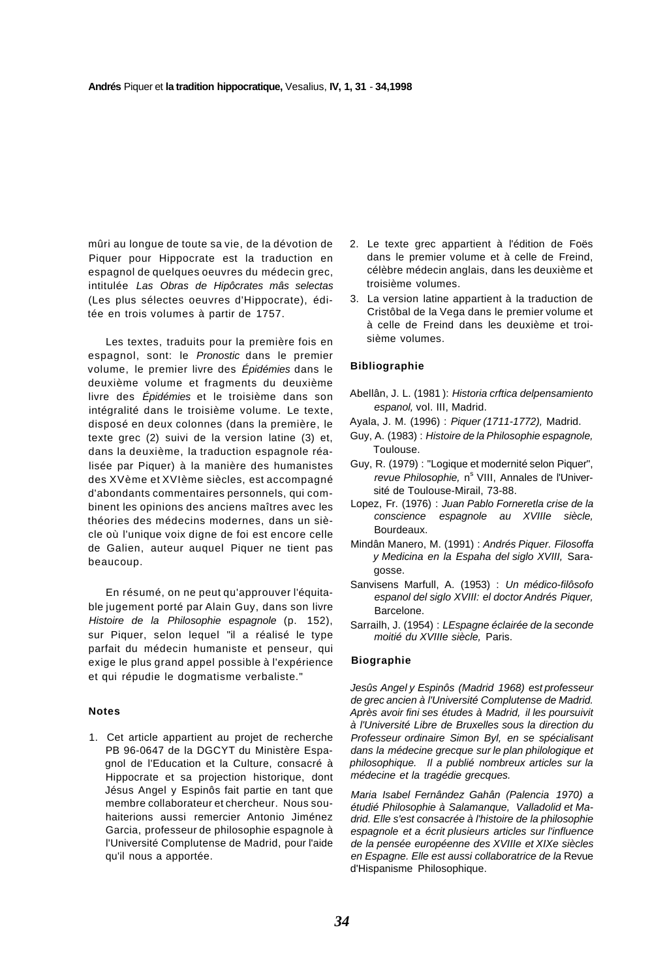mûri au longue de toute sa vie, de la dévotion de Piquer pour Hippocrate est la traduction en espagnol de quelques oeuvres du médecin grec, intitulée Las Obras de Hipôcrates mâs selectas (Les plus sélectes oeuvres d'Hippocrate), éditée en trois volumes à partir de 1757.

Les textes, traduits pour la première fois en espagnol, sont: le Pronostic dans le premier volume, le premier livre des Épidémies dans le deuxième volume et fragments du deuxième livre des Épidémies et le troisième dans son intégralité dans le troisième volume. Le texte, disposé en deux colonnes (dans la première, le texte grec (2) suivi de la version latine (3) et, dans la deuxième, la traduction espagnole réalisée par Piquer) à la manière des humanistes des XVème et XVIème siècles, est accompagné d'abondants commentaires personnels, qui combinent les opinions des anciens maîtres avec les théories des médecins modernes, dans un siècle où l'unique voix digne de foi est encore celle de Galien, auteur auquel Piquer ne tient pas beaucoup.

En résumé, on ne peut qu'approuver l'équitable jugement porté par Alain Guy, dans son livre Histoire de la Philosophie espagnole (p. 152), sur Piquer, selon lequel "il a réalisé le type parfait du médecin humaniste et penseur, qui exige le plus grand appel possible à l'expérience et qui répudie le dogmatisme verbaliste."

#### **Notes**

1. Cet article appartient au projet de recherche PB 96-0647 de la DGCYT du Ministère Espagnol de l'Education et la Culture, consacré à Hippocrate et sa projection historique, dont Jésus Angel y Espinôs fait partie en tant que membre collaborateur et chercheur. Nous souhaiterions aussi remercier Antonio Jiménez Garcia, professeur de philosophie espagnole à l'Université Complutense de Madrid, pour l'aide qu'il nous a apportée.

- 2. Le texte grec appartient à l'édition de Foës dans le premier volume et à celle de Freind, célèbre médecin anglais, dans les deuxième et troisième volumes.
- 3. La version latine appartient à la traduction de Cristôbal de la Vega dans le premier volume et à celle de Freind dans les deuxième et troisième volumes.

#### **Bibliographie**

- Abellân, J. L. (1981 ): Historia crftica delpensamiento espanol, vol. III, Madrid.
- Ayala, J. M. (1996) : Piquer (1711-1772), Madrid.
- Guy, A. (1983) : Histoire de la Philosophie espagnole, Toulouse.
- Guy, R. (1979) : "Logique et modernité selon Piquer", revue Philosophie, n<sup>s</sup> VIII, Annales de l'Université de Toulouse-Mirail, 73-88.
- Lopez, Fr. (1976) : Juan Pablo Forneretla crise de la conscience espagnole au XVIIIe siècle, Bourdeaux.
- Mindân Manero, M. (1991) : Andrés Piquer. Filosoffa y Medicina en la Espaha del siglo XVIII, Saragosse.
- Sanvisens Marfull, A. (1953) : Un médico-filôsofo espanol del siglo XVIII: el doctor Andrés Piquer, Barcelone.
- Sarrailh, J. (1954) : LEspagne éclairée de la seconde moitié du XVIIIe siècle, Paris.

#### **Biographie**

Jesûs Angel y Espinôs (Madrid 1968) est professeur de grec ancien à l'Université Complutense de Madrid. Après avoir fini ses études à Madrid, il les poursuivit à l'Université Libre de Bruxelles sous la direction du Professeur ordinaire Simon Byl, en se spécialisant dans la médecine grecque sur le plan philologique et philosophique. Il a publié nombreux articles sur la médecine et la tragédie grecques.

Maria Isabel Fernândez Gahân (Palencia 1970) a étudié Philosophie à Salamanque, Valladolid et Madrid. Elle s'est consacrée à l'histoire de la philosophie espagnole et a écrit plusieurs articles sur l'influence de la pensée européenne des XVIIIe et XIXe siècles en Espagne. Elle est aussi collaboratrice de la Revue d'Hispanisme Philosophique.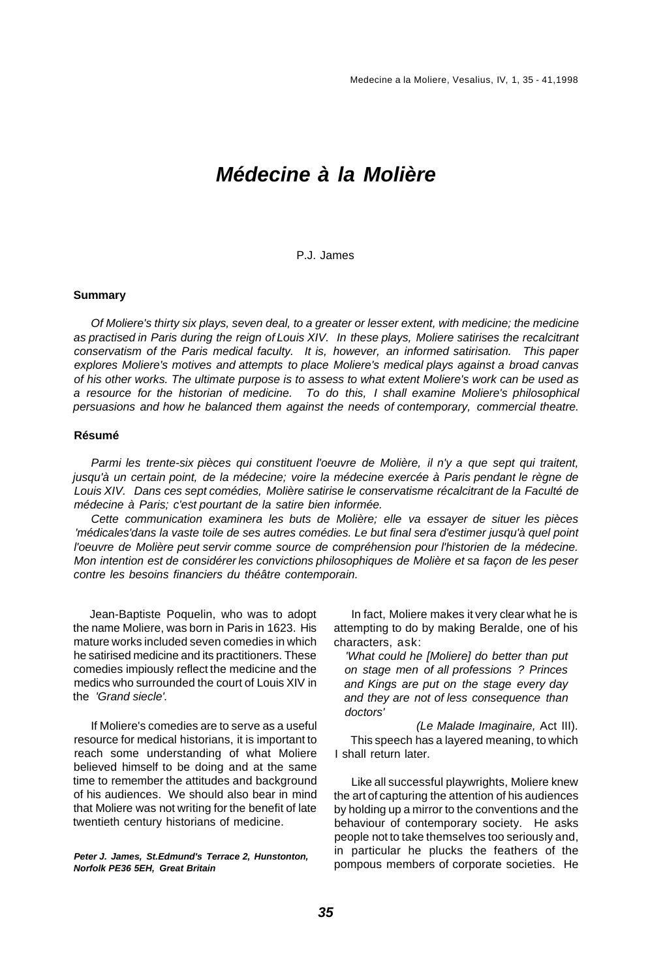## **Médecine à la Molière**

#### P.J. James

#### **Summary**

Of Moliere's thirty six plays, seven deal, to a greater or lesser extent, with medicine; the medicine as practised in Paris during the reign of Louis XIV. In these plays, Moliere satirises the recalcitrant conservatism of the Paris medical faculty. It is, however, an informed satirisation. This paper explores Moliere's motives and attempts to place Moliere's medical plays against a broad canvas of his other works. The ultimate purpose is to assess to what extent Moliere's work can be used as a resource for the historian of medicine. To do this, I shall examine Moliere's philosophical persuasions and how he balanced them against the needs of contemporary, commercial theatre.

#### **Résumé**

Parmi les trente-six pièces qui constituent l'oeuvre de Molière, il n'y a que sept qui traitent, jusqu'à un certain point, de la médecine; voire la médecine exercée à Paris pendant le règne de Louis XIV. Dans ces sept comédies, Molière satirise le conservatisme récalcitrant de la Faculté de médecine à Paris; c'est pourtant de la satire bien informée.

Cette communication examinera les buts de Molière; elle va essayer de situer les pièces 'médicales'dans la vaste toile de ses autres comédies. Le but final sera d'estimer jusqu'à quel point l'oeuvre de Molière peut servir comme source de compréhension pour l'historien de la médecine. Mon intention est de considérer les convictions philosophiques de Molière et sa façon de les peser contre les besoins financiers du théâtre contemporain.

Jean-Baptiste Poquelin, who was to adopt the name Moliere, was born in Paris in 1623. His mature works included seven comedies in which he satirised medicine and its practitioners. These comedies impiously reflect the medicine and the medics who surrounded the court of Louis XIV in the 'Grand siecle'.

If Moliere's comedies are to serve as a useful resource for medical historians, it is important to reach some understanding of what Moliere believed himself to be doing and at the same time to remember the attitudes and background of his audiences. We should also bear in mind that Moliere was not writing for the benefit of late twentieth century historians of medicine.

**Peter J. James, St.Edmund's Terrace 2, Hunstonton, Norfolk PE36 5EH, Great Britain** 

In fact, Moliere makes it very clear what he is attempting to do by making Beralde, one of his characters, ask:

'What could he [Moliere] do better than put on stage men of all professions ? Princes and Kings are put on the stage every day and they are not of less consequence than doctors'

(Le Malade Imaginaire, Act III). This speech has a layered meaning, to which I shall return later.

Like all successful playwrights, Moliere knew the art of capturing the attention of his audiences by holding up a mirror to the conventions and the behaviour of contemporary society. He asks people not to take themselves too seriously and, in particular he plucks the feathers of the pompous members of corporate societies. He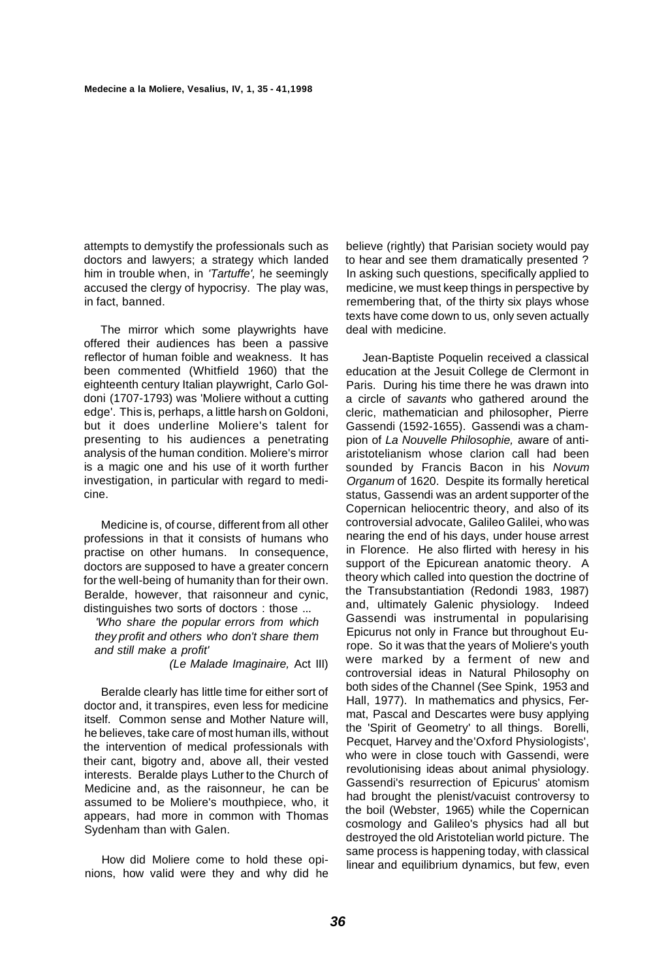attempts to demystify the professionals such as doctors and lawyers; a strategy which landed him in trouble when, in 'Tartuffe', he seemingly accused the clergy of hypocrisy. The play was, in fact, banned.

The mirror which some playwrights have offered their audiences has been a passive reflector of human foible and weakness. It has been commented (Whitfield 1960) that the eighteenth century Italian playwright, Carlo Goldoni (1707-1793) was 'Moliere without a cutting edge'. This is, perhaps, a little harsh on Goldoni, but it does underline Moliere's talent for presenting to his audiences a penetrating analysis of the human condition. Moliere's mirror is a magic one and his use of it worth further investigation, in particular with regard to medicine.

Medicine is, of course, different from all other professions in that it consists of humans who practise on other humans. In consequence, doctors are supposed to have a greater concern for the well-being of humanity than for their own. Beralde, however, that raisonneur and cynic, distinguishes two sorts of doctors : those ...

'Who share the popular errors from which they profit and others who don't share them and still make a profit'

(Le Malade Imaginaire, Act III)

Beralde clearly has little time for either sort of doctor and, it transpires, even less for medicine itself. Common sense and Mother Nature will, he believes, take care of most human ills, without the intervention of medical professionals with their cant, bigotry and, above all, their vested interests. Beralde plays Luther to the Church of Medicine and, as the raisonneur, he can be assumed to be Moliere's mouthpiece, who, it appears, had more in common with Thomas Sydenham than with Galen.

How did Moliere come to hold these opinions, how valid were they and why did he

believe (rightly) that Parisian society would pay to hear and see them dramatically presented ? In asking such questions, specifically applied to medicine, we must keep things in perspective by remembering that, of the thirty six plays whose texts have come down to us, only seven actually deal with medicine.

Jean-Baptiste Poquelin received a classical education at the Jesuit College de Clermont in Paris. During his time there he was drawn into a circle of savants who gathered around the cleric, mathematician and philosopher, Pierre Gassendi (1592-1655). Gassendi was a champion of La Nouvelle Philosophie, aware of antiaristotelianism whose clarion call had been sounded by Francis Bacon in his Novum Organum of 1620. Despite its formally heretical status, Gassendi was an ardent supporter of the Copernican heliocentric theory, and also of its controversial advocate, Galileo Galilei, who was nearing the end of his days, under house arrest in Florence. He also flirted with heresy in his support of the Epicurean anatomic theory. A theory which called into question the doctrine of the Transubstantiation (Redondi 1983, 1987) and, ultimately Galenic physiology. Indeed Gassendi was instrumental in popularising Epicurus not only in France but throughout Europe. So it was that the years of Moliere's youth were marked by a ferment of new and controversial ideas in Natural Philosophy on both sides of the Channel (See Spink, 1953 and Hall, 1977). In mathematics and physics, Fermat, Pascal and Descartes were busy applying the 'Spirit of Geometry' to all things. Borelli, Pecquet, Harvey and the'Oxford Physiologists', who were in close touch with Gassendi, were revolutionising ideas about animal physiology. Gassendi's resurrection of Epicurus' atomism had brought the plenist/vacuist controversy to the boil (Webster, 1965) while the Copernican cosmology and Galileo's physics had all but destroyed the old Aristotelian world picture. The same process is happening today, with classical linear and equilibrium dynamics, but few, even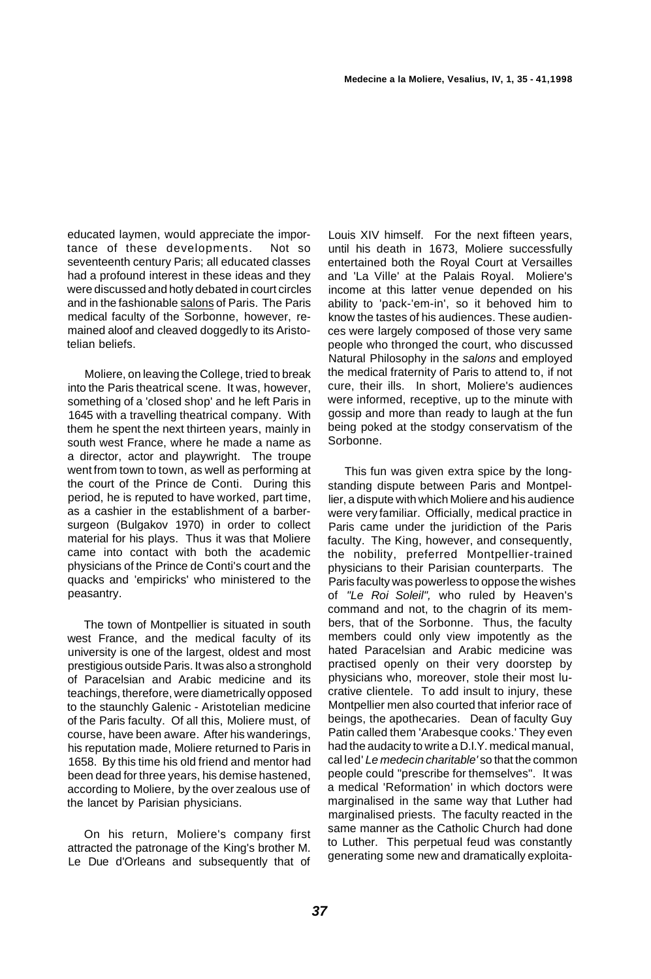educated laymen, would appreciate the importance of these developments. Not so seventeenth century Paris; all educated classes had a profound interest in these ideas and they were discussed and hotly debated in court circles and in the fashionable salons of Paris. The Paris medical faculty of the Sorbonne, however, remained aloof and cleaved doggedly to its Aristotelian beliefs.

Moliere, on leaving the College, tried to break into the Paris theatrical scene. It was, however, something of a 'closed shop' and he left Paris in 1645 with a travelling theatrical company. With them he spent the next thirteen years, mainly in south west France, where he made a name as a director, actor and playwright. The troupe went from town to town, as well as performing at the court of the Prince de Conti. During this period, he is reputed to have worked, part time, as a cashier in the establishment of a barbersurgeon (Bulgakov 1970) in order to collect material for his plays. Thus it was that Moliere came into contact with both the academic physicians of the Prince de Conti's court and the quacks and 'empiricks' who ministered to the peasantry.

The town of Montpellier is situated in south west France, and the medical faculty of its university is one of the largest, oldest and most prestigious outside Paris. It was also a stronghold of Paracelsian and Arabic medicine and its teachings, therefore, were diametrically opposed to the staunchly Galenic - Aristotelian medicine of the Paris faculty. Of all this, Moliere must, of course, have been aware. After his wanderings, his reputation made, Moliere returned to Paris in 1658. By this time his old friend and mentor had been dead for three years, his demise hastened, according to Moliere, by the over zealous use of the lancet by Parisian physicians.

On his return, Moliere's company first attracted the patronage of the King's brother M. Le Due d'Orleans and subsequently that of

Louis XIV himself. For the next fifteen years, until his death in 1673, Moliere successfully entertained both the Royal Court at Versailles and 'La Ville' at the Palais Royal. Moliere's income at this latter venue depended on his ability to 'pack-'em-in', so it behoved him to know the tastes of his audiences. These audiences were largely composed of those very same people who thronged the court, who discussed Natural Philosophy in the salons and employed the medical fraternity of Paris to attend to, if not cure, their ills. In short, Moliere's audiences were informed, receptive, up to the minute with gossip and more than ready to laugh at the fun being poked at the stodgy conservatism of the Sorbonne.

This fun was given extra spice by the longstanding dispute between Paris and Montpellier, a dispute with which Moliere and his audience were very familiar. Officially, medical practice in Paris came under the juridiction of the Paris faculty. The King, however, and consequently, the nobility, preferred Montpellier-trained physicians to their Parisian counterparts. The Paris faculty was powerless to oppose the wishes of "Le Roi Soleil", who ruled by Heaven's command and not, to the chagrin of its members, that of the Sorbonne. Thus, the faculty members could only view impotently as the hated Paracelsian and Arabic medicine was practised openly on their very doorstep by physicians who, moreover, stole their most lucrative clientele. To add insult to injury, these Montpellier men also courted that inferior race of beings, the apothecaries. Dean of faculty Guy Patin called them 'Arabesque cooks.' They even had the audacity to write a D.I.Y. medical manual, cal led' Le medecin charitable' so that the common people could "prescribe for themselves". It was a medical 'Reformation' in which doctors were marginalised in the same way that Luther had marginalised priests. The faculty reacted in the same manner as the Catholic Church had done to Luther. This perpetual feud was constantly generating some new and dramatically exploita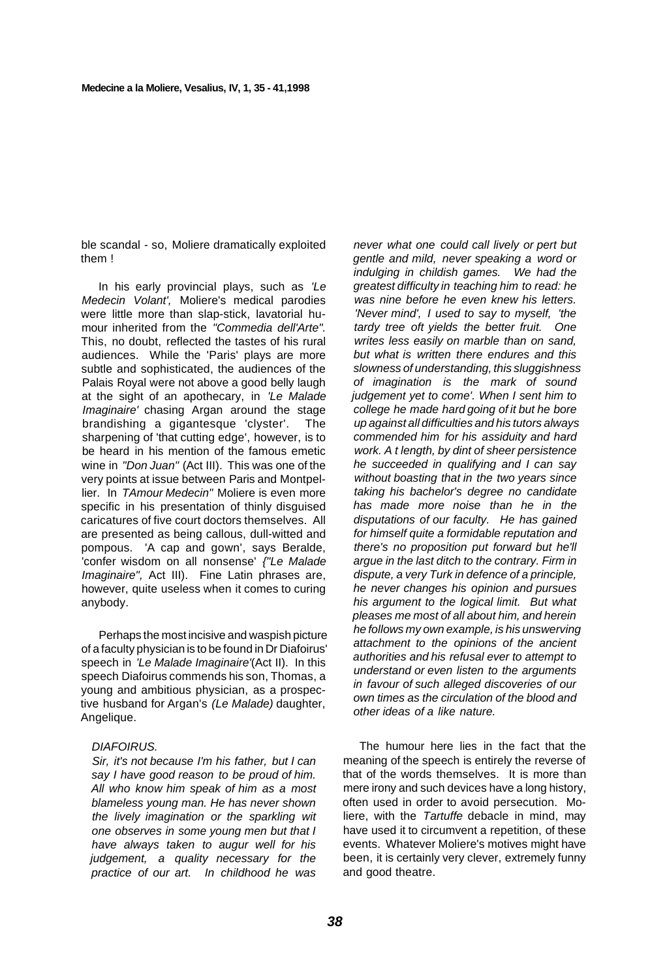ble scandal - so, Moliere dramatically exploited them !

In his early provincial plays, such as 'Le Medecin Volant', Moliere's medical parodies were little more than slap-stick, lavatorial humour inherited from the "Commedia dell'Arte". This, no doubt, reflected the tastes of his rural audiences. While the 'Paris' plays are more subtle and sophisticated, the audiences of the Palais Royal were not above a good belly laugh at the sight of an apothecary, in 'Le Malade Imaginaire' chasing Argan around the stage brandishing a gigantesque 'clyster'. The sharpening of 'that cutting edge', however, is to be heard in his mention of the famous emetic wine in "Don Juan" (Act III). This was one of the very points at issue between Paris and Montpellier. In TAmour Medecin" Moliere is even more specific in his presentation of thinly disguised caricatures of five court doctors themselves. All are presented as being callous, dull-witted and pompous. 'A cap and gown', says Beralde, 'confer wisdom on all nonsense' {"Le Malade Imaginaire", Act III). Fine Latin phrases are, however, quite useless when it comes to curing anybody.

Perhaps the most incisive and waspish picture of a faculty physician is to be found in Dr Diafoirus' speech in 'Le Malade Imaginaire'(Act II). In this speech Diafoirus commends his son, Thomas, a young and ambitious physician, as a prospective husband for Argan's (Le Malade) daughter, Angelique.

#### DIAFOIRUS.

Sir, it's not because I'm his father, but I can say I have good reason to be proud of him. All who know him speak of him as a most blameless young man. He has never shown the lively imagination or the sparkling wit one observes in some young men but that I have always taken to augur well for his judgement, a quality necessary for the practice of our art. In childhood he was

never what one could call lively or pert but gentle and mild, never speaking a word or indulging in childish games. We had the greatest difficulty in teaching him to read: he was nine before he even knew his letters. 'Never mind', I used to say to myself, 'the tardy tree oft yields the better fruit. One writes less easily on marble than on sand, but what is written there endures and this slowness of understanding, this sluggishness of imagination is the mark of sound judgement yet to come'. When I sent him to college he made hard going of it but he bore up against all difficulties and his tutors always commended him for his assiduity and hard work. A t length, by dint of sheer persistence he succeeded in qualifying and I can say without boasting that in the two years since taking his bachelor's degree no candidate has made more noise than he in the disputations of our faculty. He has gained for himself quite a formidable reputation and there's no proposition put forward but he'll argue in the last ditch to the contrary. Firm in dispute, a very Turk in defence of a principle, he never changes his opinion and pursues his argument to the logical limit. But what pleases me most of all about him, and herein he follows my own example, is his unswerving attachment to the opinions of the ancient authorities and his refusal ever to attempt to understand or even listen to the arguments in favour of such alleged discoveries of our own times as the circulation of the blood and other ideas of a like nature.

The humour here lies in the fact that the meaning of the speech is entirely the reverse of that of the words themselves. It is more than mere irony and such devices have a long history, often used in order to avoid persecution. Moliere, with the Tartuffe debacle in mind, may have used it to circumvent a repetition, of these events. Whatever Moliere's motives might have been, it is certainly very clever, extremely funny and good theatre.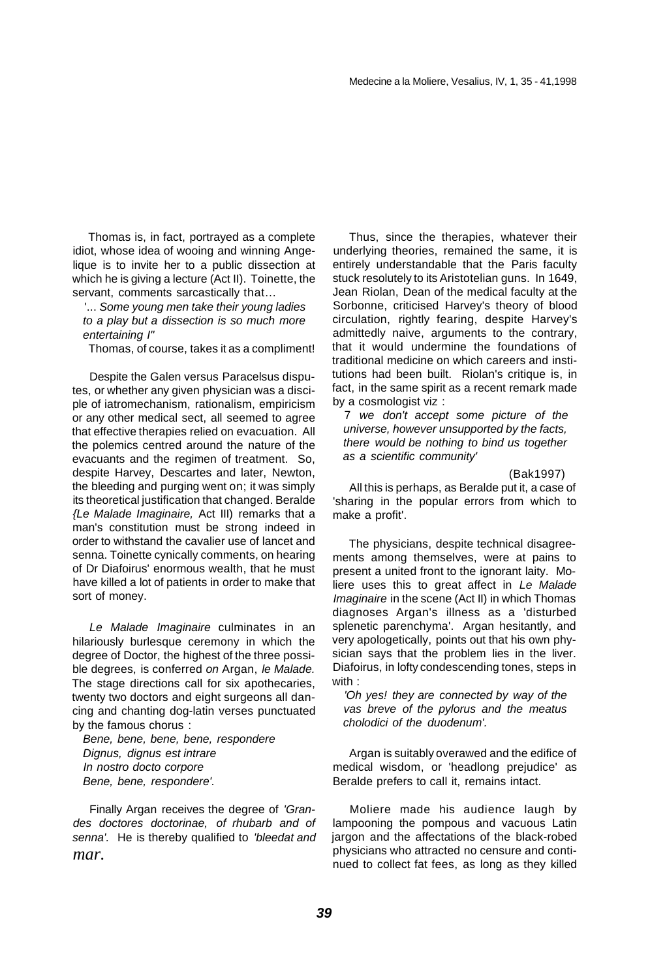Thomas is, in fact, portrayed as a complete idiot, whose idea of wooing and winning Angelique is to invite her to a public dissection at which he is giving a lecture (Act II). Toinette, the servant, comments sarcastically that...

'... Some young men take their young ladies to a play but a dissection is so much more entertaining I"

Thomas, of course, takes it as a compliment!

Despite the Galen versus Paracelsus disputes, or whether any given physician was a disciple of iatromechanism, rationalism, empiricism or any other medical sect, all seemed to agree that effective therapies relied on evacuation. All the polemics centred around the nature of the evacuants and the regimen of treatment. So, despite Harvey, Descartes and later, Newton, the bleeding and purging went on; it was simply its theoretical justification that changed. Beralde {Le Malade Imaginaire, Act III) remarks that a man's constitution must be strong indeed in order to withstand the cavalier use of lancet and senna. Toinette cynically comments, on hearing of Dr Diafoirus' enormous wealth, that he must have killed a lot of patients in order to make that sort of money.

Le Malade Imaginaire culminates in an hilariously burlesque ceremony in which the degree of Doctor, the highest of the three possible degrees, is conferred on Argan, le Malade. The stage directions call for six apothecaries, twenty two doctors and eight surgeons all dancing and chanting dog-latin verses punctuated by the famous chorus :

Bene, bene, bene, bene, respondere Dignus, dignus est intrare In nostro docto corpore Bene, bene, respondere'.

Finally Argan receives the degree of 'Grandes doctores doctorinae, of rhubarb and of senna'. He is thereby qualified to 'bleedat and *mar.* 

Thus, since the therapies, whatever their underlying theories, remained the same, it is entirely understandable that the Paris faculty stuck resolutely to its Aristotelian guns. In 1649, Jean Riolan, Dean of the medical faculty at the Sorbonne, criticised Harvey's theory of blood circulation, rightly fearing, despite Harvey's admittedly naive, arguments to the contrary, that it would undermine the foundations of traditional medicine on which careers and institutions had been built. Riolan's critique is, in fact, in the same spirit as a recent remark made by a cosmologist viz :

7 we don't accept some picture of the universe, however unsupported by the facts, there would be nothing to bind us together as a scientific community'

(Bak1997)

All this is perhaps, as Beralde put it, a case of 'sharing in the popular errors from which to make a profit'.

The physicians, despite technical disagreements among themselves, were at pains to present a united front to the ignorant laity. Moliere uses this to great affect in Le Malade Imaginaire in the scene (Act II) in which Thomas diagnoses Argan's illness as a 'disturbed splenetic parenchyma'. Argan hesitantly, and very apologetically, points out that his own physician says that the problem lies in the liver. Diafoirus, in lofty condescending tones, steps in with :

'Oh yes! they are connected by way of the vas breve of the pylorus and the meatus cholodici of the duodenum'.

Argan is suitably overawed and the edifice of medical wisdom, or 'headlong prejudice' as Beralde prefers to call it, remains intact.

Moliere made his audience laugh by lampooning the pompous and vacuous Latin jargon and the affectations of the black-robed physicians who attracted no censure and continued to collect fat fees, as long as they killed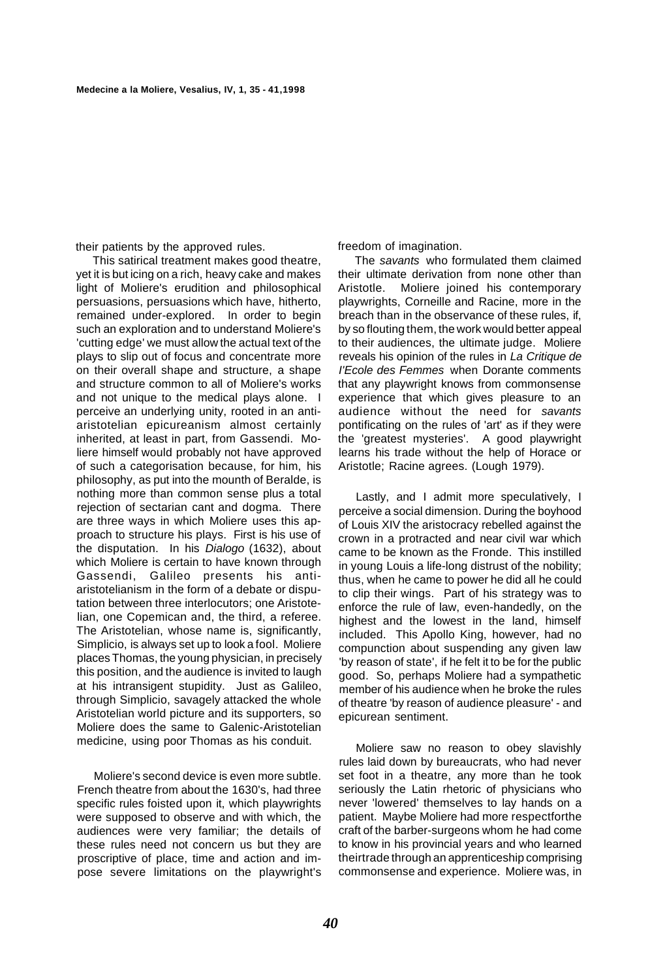their patients by the approved rules.

This satirical treatment makes good theatre, yet it is but icing on a rich, heavy cake and makes light of Moliere's erudition and philosophical persuasions, persuasions which have, hitherto, remained under-explored. In order to begin such an exploration and to understand Moliere's 'cutting edge' we must allow the actual text of the plays to slip out of focus and concentrate more on their overall shape and structure, a shape and structure common to all of Moliere's works and not unique to the medical plays alone. I perceive an underlying unity, rooted in an antiaristotelian epicureanism almost certainly inherited, at least in part, from Gassendi. Moliere himself would probably not have approved of such a categorisation because, for him, his philosophy, as put into the mounth of Beralde, is nothing more than common sense plus a total rejection of sectarian cant and dogma. There are three ways in which Moliere uses this approach to structure his plays. First is his use of the disputation. In his Dialogo (1632), about which Moliere is certain to have known through Gassendi, Galileo presents his antiaristotelianism in the form of a debate or disputation between three interlocutors; one Aristotelian, one Copemican and, the third, a referee. The Aristotelian, whose name is, significantly, Simplicio, is always set up to look a fool. Moliere places Thomas, the young physician, in precisely this position, and the audience is invited to laugh at his intransigent stupidity. Just as Galileo, through Simplicio, savagely attacked the whole Aristotelian world picture and its supporters, so Moliere does the same to Galenic-Aristotelian medicine, using poor Thomas as his conduit.

Moliere's second device is even more subtle. French theatre from about the 1630's, had three specific rules foisted upon it, which playwrights were supposed to observe and with which, the audiences were very familiar; the details of these rules need not concern us but they are proscriptive of place, time and action and impose severe limitations on the playwright's freedom of imagination.

The savants who formulated them claimed their ultimate derivation from none other than Aristotle. Moliere joined his contemporary playwrights, Corneille and Racine, more in the breach than in the observance of these rules, if, by so flouting them, the work would better appeal to their audiences, the ultimate judge. Moliere reveals his opinion of the rules in La Critique de I'Ecole des Femmes when Dorante comments that any playwright knows from commonsense experience that which gives pleasure to an audience without the need for savants pontificating on the rules of 'art' as if they were the 'greatest mysteries'. A good playwright learns his trade without the help of Horace or Aristotle; Racine agrees. (Lough 1979).

Lastly, and I admit more speculatively, I perceive a social dimension. During the boyhood of Louis XIV the aristocracy rebelled against the crown in a protracted and near civil war which came to be known as the Fronde. This instilled in young Louis a life-long distrust of the nobility; thus, when he came to power he did all he could to clip their wings. Part of his strategy was to enforce the rule of law, even-handedly, on the highest and the lowest in the land, himself included. This Apollo King, however, had no compunction about suspending any given law 'by reason of state', if he felt it to be for the public good. So, perhaps Moliere had a sympathetic member of his audience when he broke the rules of theatre 'by reason of audience pleasure' - and epicurean sentiment.

Moliere saw no reason to obey slavishly rules laid down by bureaucrats, who had never set foot in a theatre, any more than he took seriously the Latin rhetoric of physicians who never 'lowered' themselves to lay hands on a patient. Maybe Moliere had more respectforthe craft of the barber-surgeons whom he had come to know in his provincial years and who learned theirtrade through an apprenticeship comprising commonsense and experience. Moliere was, in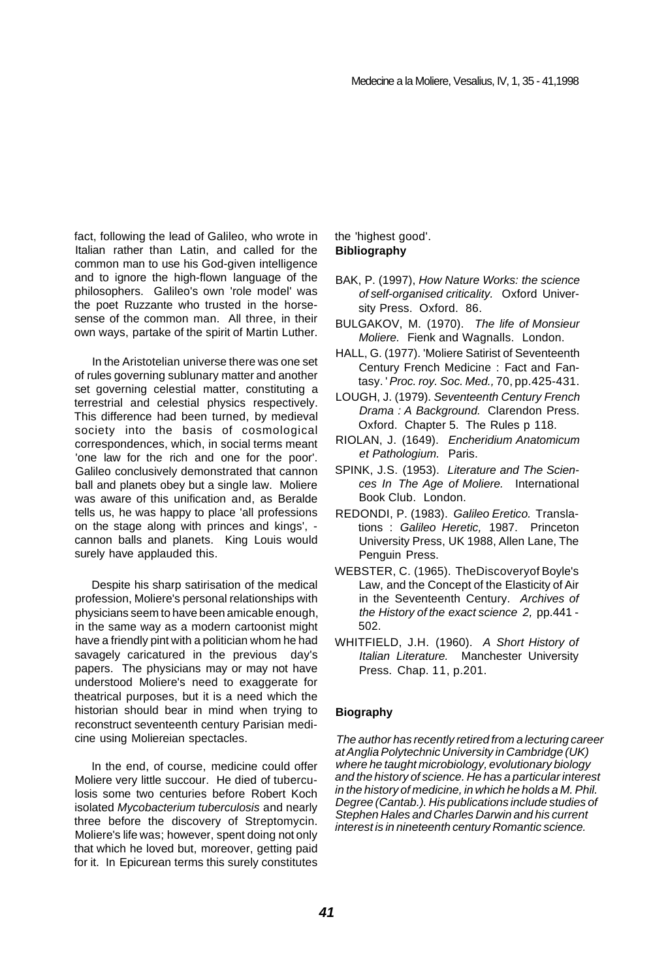fact, following the lead of Galileo, who wrote in Italian rather than Latin, and called for the common man to use his God-given intelligence and to ignore the high-flown language of the philosophers. Galileo's own 'role model' was the poet Ruzzante who trusted in the horsesense of the common man. All three, in their own ways, partake of the spirit of Martin Luther.

In the Aristotelian universe there was one set of rules governing sublunary matter and another set governing celestial matter, constituting a terrestrial and celestial physics respectively. This difference had been turned, by medieval society into the basis of cosmological correspondences, which, in social terms meant 'one law for the rich and one for the poor'. Galileo conclusively demonstrated that cannon ball and planets obey but a single law. Moliere was aware of this unification and, as Beralde tells us, he was happy to place 'all professions on the stage along with princes and kings', cannon balls and planets. King Louis would surely have applauded this.

Despite his sharp satirisation of the medical profession, Moliere's personal relationships with physicians seem to have been amicable enough, in the same way as a modern cartoonist might have a friendly pint with a politician whom he had savagely caricatured in the previous day's papers. The physicians may or may not have understood Moliere's need to exaggerate for theatrical purposes, but it is a need which the historian should bear in mind when trying to reconstruct seventeenth century Parisian medicine using Moliereian spectacles.

In the end, of course, medicine could offer Moliere very little succour. He died of tuberculosis some two centuries before Robert Koch isolated Mycobacterium tuberculosis and nearly three before the discovery of Streptomycin. Moliere's life was; however, spent doing not only that which he loved but, moreover, getting paid for it. In Epicurean terms this surely constitutes

#### the 'highest good'. **Bibliography**

- BAK, P. (1997), How Nature Works: the science of self-organised criticality. Oxford University Press. Oxford. 86.
- BULGAKOV, M. (1970). The life of Monsieur Moliere. Fienk and Wagnalls. London.
- HALL, G. (1977). 'Moliere Satirist of Seventeenth Century French Medicine : Fact and Fantasy. ' Proc. roy. Soc. Med., 70, pp.425-431.
- LOUGH, J. (1979). Seventeenth Century French Drama : A Background. Clarendon Press. Oxford. Chapter 5. The Rules p 118.
- RIOLAN, J. (1649). Encheridium Anatomicum et Pathologium. Paris.
- SPINK, J.S. (1953). Literature and The Sciences In The Age of Moliere. International Book Club. London.
- REDONDI, P. (1983). Galileo Eretico. Translations : Galileo Heretic, 1987. Princeton University Press, UK 1988, Allen Lane, The Penguin Press.
- WEBSTER, C. (1965). TheDiscoveryof Boyle's Law, and the Concept of the Elasticity of Air in the Seventeenth Century. Archives of the History of the exact science 2, pp.441 - 502.
- WHITFIELD, J.H. (1960). A Short History of Italian Literature. Manchester University Press. Chap. 11, p.201.

#### **Biography**

The author has recently retired from a lecturing career at Anglia Polytechnic University in Cambridge (UK) where he taught microbiology, evolutionary biology and the history of science. He has a particular interest in the history of medicine, in which he holds a M. Phil. Degree (Cantab.). His publications include studies of Stephen Hales and Charles Darwin and his current interest is in nineteenth century Romantic science.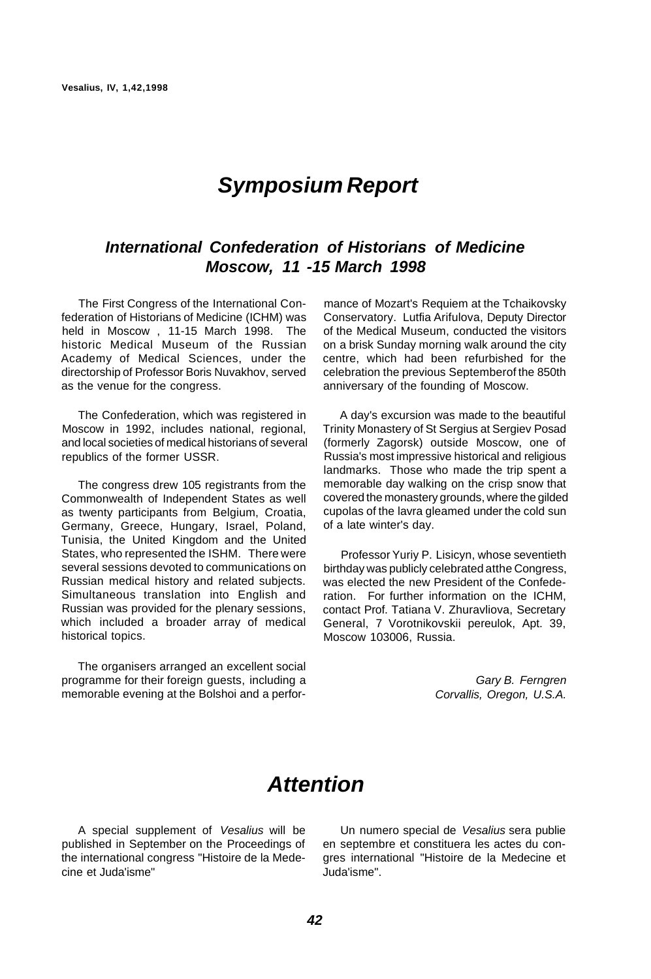# **Symposium Report**

## **International Confederation of Historians of Medicine Moscow, 11 -15 March 1998**

The First Congress of the International Confederation of Historians of Medicine (ICHM) was held in Moscow , 11-15 March 1998. The historic Medical Museum of the Russian Academy of Medical Sciences, under the directorship of Professor Boris Nuvakhov, served as the venue for the congress.

The Confederation, which was registered in Moscow in 1992, includes national, regional, and local societies of medical historians of several republics of the former USSR.

The congress drew 105 registrants from the Commonwealth of Independent States as well as twenty participants from Belgium, Croatia, Germany, Greece, Hungary, Israel, Poland, Tunisia, the United Kingdom and the United States, who represented the ISHM. There were several sessions devoted to communications on Russian medical history and related subjects. Simultaneous translation into English and Russian was provided for the plenary sessions, which included a broader array of medical historical topics.

The organisers arranged an excellent social programme for their foreign guests, including a memorable evening at the Bolshoi and a perfor-

mance of Mozart's Requiem at the Tchaikovsky Conservatory. Lutfia Arifulova, Deputy Director of the Medical Museum, conducted the visitors on a brisk Sunday morning walk around the city centre, which had been refurbished for the celebration the previous Septemberof the 850th anniversary of the founding of Moscow.

A day's excursion was made to the beautiful Trinity Monastery of St Sergius at Sergiev Posad (formerly Zagorsk) outside Moscow, one of Russia's most impressive historical and religious landmarks. Those who made the trip spent a memorable day walking on the crisp snow that covered the monastery grounds, where the gilded cupolas of the lavra gleamed under the cold sun of a late winter's day.

Professor Yuriy P. Lisicyn, whose seventieth birthday was publicly celebrated atthe Congress, was elected the new President of the Confederation. For further information on the ICHM, contact Prof. Tatiana V. Zhuravliova, Secretary General, 7 Vorotnikovskii pereulok, Apt. 39, Moscow 103006, Russia.

> Gary B. Ferngren Corvallis, Oregon, U.S.A.

# **Attention**

A special supplement of Vesalius will be published in September on the Proceedings of the international congress "Histoire de la Medecine et Juda'isme"

Un numero special de Vesalius sera publie en septembre et constituera les actes du congres international "Histoire de la Medecine et Juda'isme".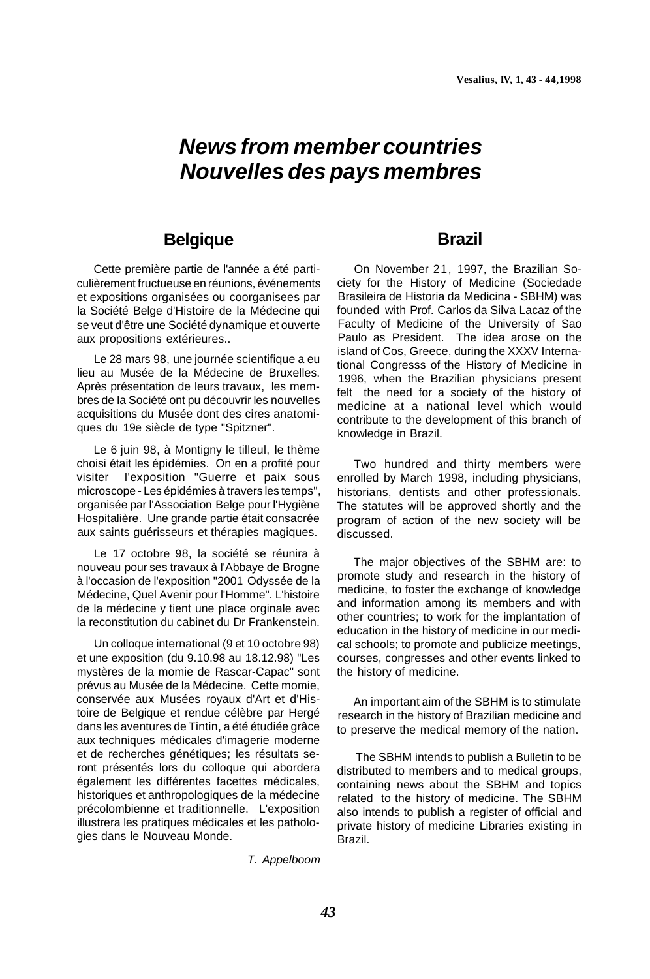# **News from member countries Nouvelles des pays membres**

## **Belgique**

Cette première partie de l'année a été particulièrement fructueuse en réunions, événements et expositions organisées ou coorganisees par la Société Belge d'Histoire de la Médecine qui se veut d'être une Société dynamique et ouverte aux propositions extérieures..

Le 28 mars 98, une journée scientifique a eu lieu au Musée de la Médecine de Bruxelles. Après présentation de leurs travaux, les membres de la Société ont pu découvrir les nouvelles acquisitions du Musée dont des cires anatomiques du 19e siècle de type "Spitzner".

Le 6 juin 98, à Montigny le tilleul, le thème choisi était les épidémies. On en a profité pour visiter l'exposition "Guerre et paix sous microscope - Les épidémies à travers les temps", organisée par l'Association Belge pour l'Hygiène Hospitalière. Une grande partie était consacrée aux saints guérisseurs et thérapies magiques.

Le 17 octobre 98, la société se réunira à nouveau pour ses travaux à l'Abbaye de Brogne à l'occasion de l'exposition "2001 Odyssée de la Médecine, Quel Avenir pour l'Homme". L'histoire de la médecine y tient une place orginale avec la reconstitution du cabinet du Dr Frankenstein.

Un colloque international (9 et 10 octobre 98) et une exposition (du 9.10.98 au 18.12.98) "Les mystères de la momie de Rascar-Capac" sont prévus au Musée de la Médecine. Cette momie, conservée aux Musées royaux d'Art et d'Histoire de Belgique et rendue célèbre par Hergé dans les aventures de Tintin, a été étudiée grâce aux techniques médicales d'imagerie moderne et de recherches génétiques; les résultats seront présentés lors du colloque qui abordera également les différentes facettes médicales, historiques et anthropologiques de la médecine précolombienne et traditionnelle. L'exposition illustrera les pratiques médicales et les pathologies dans le Nouveau Monde.

## **Brazil**

On November 21, 1997, the Brazilian Society for the History of Medicine (Sociedade Brasileira de Historia da Medicina - SBHM) was founded with Prof. Carlos da Silva Lacaz of the Faculty of Medicine of the University of Sao Paulo as President. The idea arose on the island of Cos, Greece, during the XXXV International Congresss of the History of Medicine in 1996, when the Brazilian physicians present felt the need for a society of the history of medicine at a national level which would contribute to the development of this branch of knowledge in Brazil.

Two hundred and thirty members were enrolled by March 1998, including physicians, historians, dentists and other professionals. The statutes will be approved shortly and the program of action of the new society will be discussed.

The major objectives of the SBHM are: to promote study and research in the history of medicine, to foster the exchange of knowledge and information among its members and with other countries; to work for the implantation of education in the history of medicine in our medical schools; to promote and publicize meetings, courses, congresses and other events linked to the history of medicine.

An important aim of the SBHM is to stimulate research in the history of Brazilian medicine and to preserve the medical memory of the nation.

The SBHM intends to publish a Bulletin to be distributed to members and to medical groups, containing news about the SBHM and topics related to the history of medicine. The SBHM also intends to publish a register of official and private history of medicine Libraries existing in Brazil.

#### T. Appelboom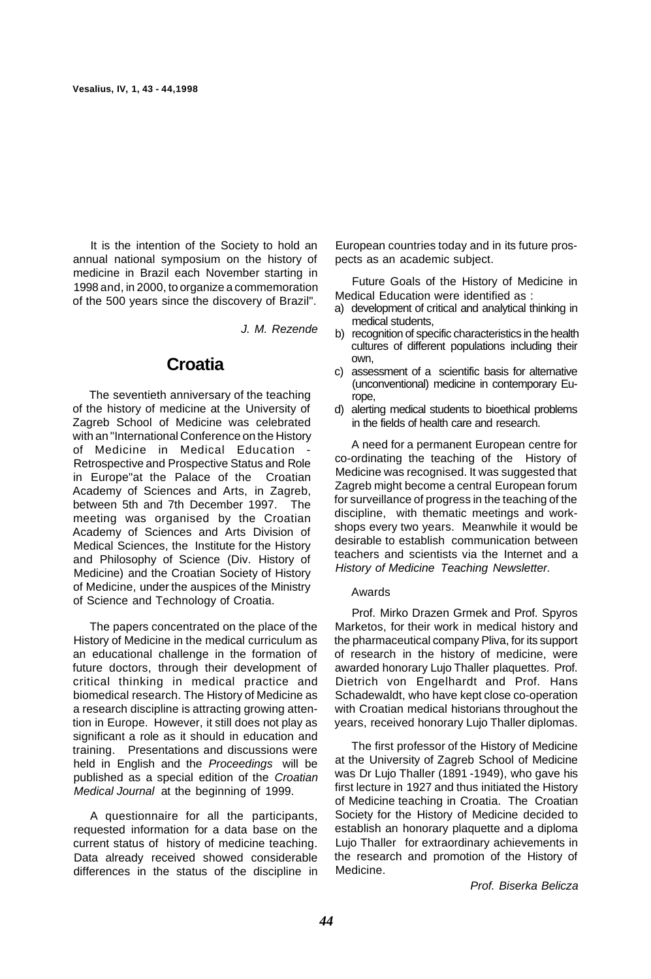It is the intention of the Society to hold an annual national symposium on the history of medicine in Brazil each November starting in 1998 and, in 2000, to organize a commemoration of the 500 years since the discovery of Brazil".

J. M. Rezende

## **Croatia**

The seventieth anniversary of the teaching of the history of medicine at the University of Zagreb School of Medicine was celebrated with an "International Conference on the History of Medicine in Medical Education Retrospective and Prospective Status and Role in Europe"at the Palace of the Croatian Academy of Sciences and Arts, in Zagreb, between 5th and 7th December 1997. The meeting was organised by the Croatian Academy of Sciences and Arts Division of Medical Sciences, the Institute for the History and Philosophy of Science (Div. History of Medicine) and the Croatian Society of History of Medicine, under the auspices of the Ministry of Science and Technology of Croatia.

The papers concentrated on the place of the History of Medicine in the medical curriculum as an educational challenge in the formation of future doctors, through their development of critical thinking in medical practice and biomedical research. The History of Medicine as a research discipline is attracting growing attention in Europe. However, it still does not play as significant a role as it should in education and training. Presentations and discussions were held in English and the Proceedings will be published as a special edition of the Croatian Medical Journal at the beginning of 1999.

A questionnaire for all the participants, requested information for a data base on the current status of history of medicine teaching. Data already received showed considerable differences in the status of the discipline in

European countries today and in its future prospects as an academic subject.

Future Goals of the History of Medicine in Medical Education were identified as :

- a) development of critical and analytical thinking in medical students,
- b) recognition of specific characteristics in the health cultures of different populations including their own,
- c) assessment of a scientific basis for alternative (unconventional) medicine in contemporary Europe,
- d) alerting medical students to bioethical problems in the fields of health care and research.

A need for a permanent European centre for co-ordinating the teaching of the History of Medicine was recognised. It was suggested that Zagreb might become a central European forum for surveillance of progress in the teaching of the discipline, with thematic meetings and workshops every two years. Meanwhile it would be desirable to establish communication between teachers and scientists via the Internet and a History of Medicine Teaching Newsletter.

#### Awards

Prof. Mirko Drazen Grmek and Prof. Spyros Marketos, for their work in medical history and the pharmaceutical company Pliva, for its support of research in the history of medicine, were awarded honorary Lujo Thaller plaquettes. Prof. Dietrich von Engelhardt and Prof. Hans Schadewaldt, who have kept close co-operation with Croatian medical historians throughout the years, received honorary Lujo Thaller diplomas.

The first professor of the History of Medicine at the University of Zagreb School of Medicine was Dr Lujo Thaller (1891 -1949), who gave his first lecture in 1927 and thus initiated the History of Medicine teaching in Croatia. The Croatian Society for the History of Medicine decided to establish an honorary plaquette and a diploma Lujo Thaller for extraordinary achievements in the research and promotion of the History of Medicine.

Prof. Biserka Belicza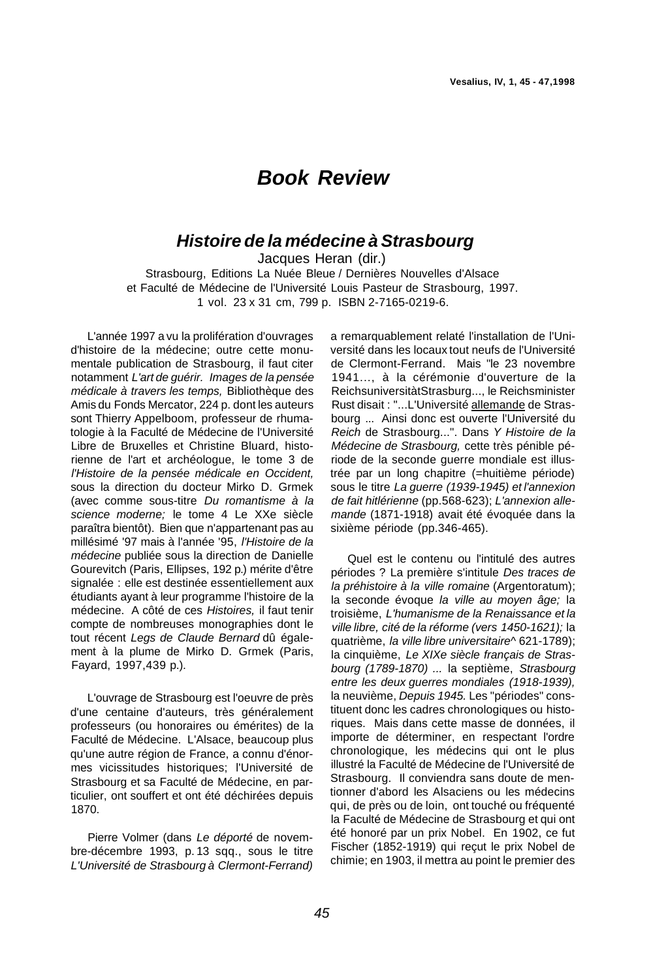## **Book Review**

## **Histoire de la médecine à Strasbourg**

Jacques Heran (dir.) Strasbourg, Editions La Nuée Bleue / Dernières Nouvelles d'Alsace et Faculté de Médecine de l'Université Louis Pasteur de Strasbourg, 1997.

1 vol. 23 x 31 cm, 799 p. ISBN 2-7165-0219-6.

L'année 1997 a vu la prolifération d'ouvrages d'histoire de la médecine; outre cette monumentale publication de Strasbourg, il faut citer notamment L'art de guérir. Images de la pensée médicale à travers les temps, Bibliothèque des Amis du Fonds Mercator, 224 p. dont les auteurs sont Thierry Appelboom, professeur de rhumatologie à la Faculté de Médecine de l'Université Libre de Bruxelles et Christine Bluard, historienne de l'art et archéologue, le tome 3 de l'Histoire de la pensée médicale en Occident, sous la direction du docteur Mirko D. Grmek (avec comme sous-titre Du romantisme à la science moderne; le tome 4 Le XXe siècle paraîtra bientôt). Bien que n'appartenant pas au millésimé '97 mais à l'année '95, l'Histoire de la médecine publiée sous la direction de Danielle Gourevitch (Paris, Ellipses, 192 p.) mérite d'être signalée : elle est destinée essentiellement aux étudiants ayant à leur programme l'histoire de la médecine. A côté de ces Histoires, il faut tenir compte de nombreuses monographies dont le tout récent Legs de Claude Bernard dû également à la plume de Mirko D. Grmek (Paris, Fayard, 1997,439 p.).

L'ouvrage de Strasbourg est l'oeuvre de près d'une centaine d'auteurs, très généralement professeurs (ou honoraires ou émérites) de la Faculté de Médecine. L'Alsace, beaucoup plus qu'une autre région de France, a connu d'énormes vicissitudes historiques; l'Université de Strasbourg et sa Faculté de Médecine, en particulier, ont souffert et ont été déchirées depuis 1870.

Pierre Volmer (dans Le déporté de novembre-décembre 1993, p. 13 sqq., sous le titre L'Université de Strasbourg à Clermont-Ferrand) a remarquablement relaté l'installation de l'Université dans les locaux tout neufs de l'Université de Clermont-Ferrand. Mais "le 23 novembre 1941..., à la cérémonie d'ouverture de la ReichsuniversitàtStrasburg..., le Reichsminister Rust disait : "...L'Université allemande de Strasbourg ... Ainsi donc est ouverte l'Université du Reich de Strasbourg...". Dans Y Histoire de la Médecine de Strasbourg, cette très pénible période de la seconde guerre mondiale est illustrée par un long chapitre (=huitième période) sous le titre La guerre (1939-1945) et l'annexion de fait hitlérienne (pp.568-623); L'annexion allemande (1871-1918) avait été évoquée dans la sixième période (pp.346-465).

Quel est le contenu ou l'intitulé des autres périodes ? La première s'intitule Des traces de la préhistoire à la ville romaine (Argentoratum); la seconde évoque la ville au moyen âge; la troisième, L'humanisme de la Renaissance et la ville libre, cité de la réforme (vers 1450-1621); la quatrième, la ville libre universitaire^ 621-1789); la cinquième, Le XIXe siècle français de Strasbourg (1789-1870) ... la septième, Strasbourg entre les deux guerres mondiales (1918-1939), la neuvième, Depuis 1945. Les "périodes" constituent donc les cadres chronologiques ou historiques. Mais dans cette masse de données, il importe de déterminer, en respectant l'ordre chronologique, les médecins qui ont le plus illustré la Faculté de Médecine de l'Université de Strasbourg. Il conviendra sans doute de mentionner d'abord les Alsaciens ou les médecins qui, de près ou de loin, ont touché ou fréquenté la Faculté de Médecine de Strasbourg et qui ont été honoré par un prix Nobel. En 1902, ce fut Fischer (1852-1919) qui reçut le prix Nobel de chimie; en 1903, il mettra au point le premier des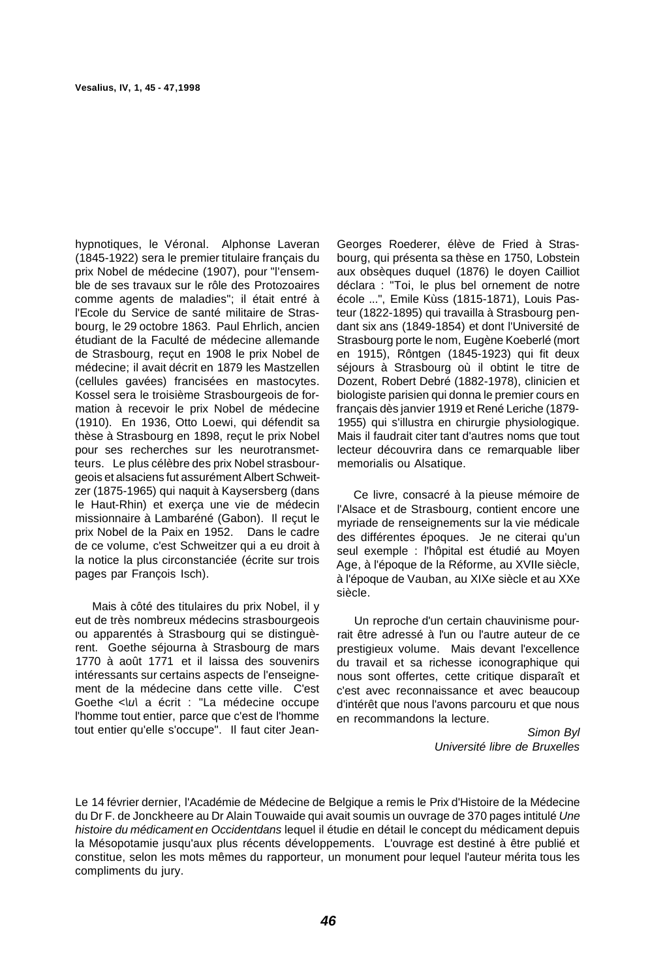hypnotiques, le Véronal. Alphonse Laveran (1845-1922) sera le premier titulaire français du prix Nobel de médecine (1907), pour "l'ensemble de ses travaux sur le rôle des Protozoaires comme agents de maladies"; il était entré à l'Ecole du Service de santé militaire de Strasbourg, le 29 octobre 1863. Paul Ehrlich, ancien étudiant de la Faculté de médecine allemande de Strasbourg, reçut en 1908 le prix Nobel de médecine; il avait décrit en 1879 les Mastzellen (cellules gavées) francisées en mastocytes. Kossel sera le troisième Strasbourgeois de formation à recevoir le prix Nobel de médecine (1910). En 1936, Otto Loewi, qui défendit sa thèse à Strasbourg en 1898, reçut le prix Nobel pour ses recherches sur les neurotransmetteurs. Le plus célèbre des prix Nobel strasbourgeois et alsaciens fut assurément Albert Schweitzer (1875-1965) qui naquit à Kaysersberg (dans le Haut-Rhin) et exerça une vie de médecin missionnaire à Lambaréné (Gabon). Il reçut le prix Nobel de la Paix en 1952. Dans le cadre de ce volume, c'est Schweitzer qui a eu droit à la notice la plus circonstanciée (écrite sur trois pages par François Isch).

Mais à côté des titulaires du prix Nobel, il y eut de très nombreux médecins strasbourgeois ou apparentés à Strasbourg qui se distinguèrent. Goethe séjourna à Strasbourg de mars 1770 à août 1771 et il laissa des souvenirs intéressants sur certains aspects de l'enseignement de la médecine dans cette ville. C'est Goethe < lul a écrit : "La médecine occupe l'homme tout entier, parce que c'est de l'homme tout entier qu'elle s'occupe". Il faut citer Jean-

Georges Roederer, élève de Fried à Strasbourg, qui présenta sa thèse en 1750, Lobstein aux obsèques duquel (1876) le doyen Cailliot déclara : "Toi, le plus bel ornement de notre école ...", Emile Kùss (1815-1871), Louis Pasteur (1822-1895) qui travailla à Strasbourg pendant six ans (1849-1854) et dont l'Université de Strasbourg porte le nom, Eugène Koeberlé (mort en 1915), Rôntgen (1845-1923) qui fit deux séjours à Strasbourg où il obtint le titre de Dozent, Robert Debré (1882-1978), clinicien et biologiste parisien qui donna le premier cours en français dès janvier 1919 et René Leriche (1879- 1955) qui s'illustra en chirurgie physiologique. Mais il faudrait citer tant d'autres noms que tout lecteur découvrira dans ce remarquable liber memorialis ou Alsatique.

Ce livre, consacré à la pieuse mémoire de l'Alsace et de Strasbourg, contient encore une myriade de renseignements sur la vie médicale des différentes époques. Je ne citerai qu'un seul exemple : l'hôpital est étudié au Moyen Age, à l'époque de la Réforme, au XVIIe siècle, à l'époque de Vauban, au XIXe siècle et au XXe siècle.

Un reproche d'un certain chauvinisme pourrait être adressé à l'un ou l'autre auteur de ce prestigieux volume. Mais devant l'excellence du travail et sa richesse iconographique qui nous sont offertes, cette critique disparaît et c'est avec reconnaissance et avec beaucoup d'intérêt que nous l'avons parcouru et que nous en recommandons la lecture.

> Simon Byl Université libre de Bruxelles

Le 14 février dernier, l'Académie de Médecine de Belgique a remis le Prix d'Histoire de la Médecine du Dr F. de Jonckheere au Dr Alain Touwaide qui avait soumis un ouvrage de 370 pages intitulé Une histoire du médicament en Occidentdans lequel il étudie en détail le concept du médicament depuis la Mésopotamie jusqu'aux plus récents développements. L'ouvrage est destiné à être publié et constitue, selon les mots mêmes du rapporteur, un monument pour lequel l'auteur mérita tous les compliments du jury.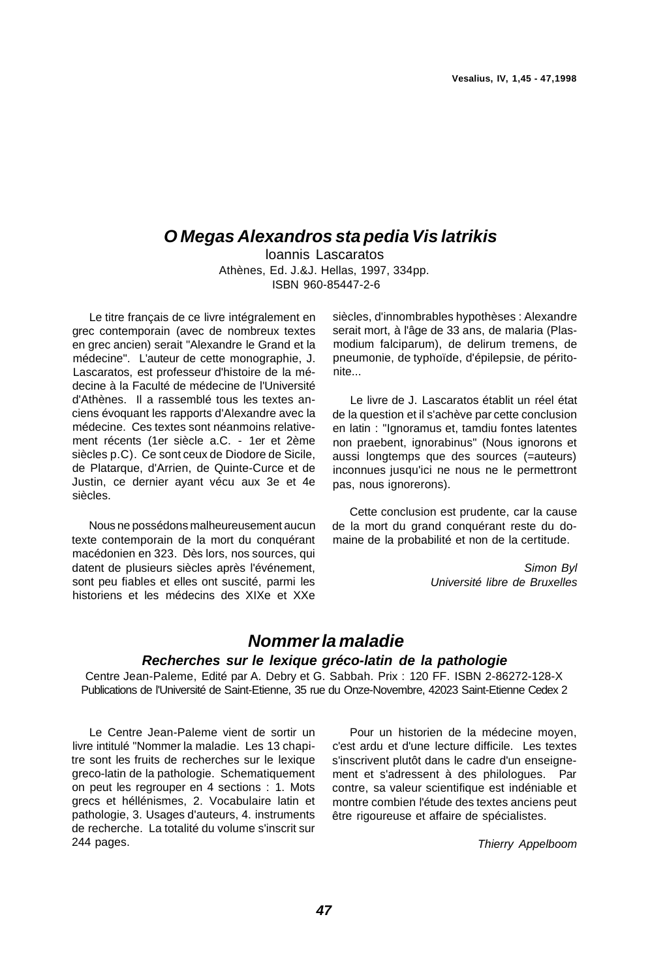## **O Megas Alexandros sta pedia Vis latrikis**

loannis Lascaratos Athènes, Ed. J.&J. Hellas, 1997, 334pp. ISBN 960-85447-2-6

Le titre français de ce livre intégralement en grec contemporain (avec de nombreux textes en grec ancien) serait "Alexandre le Grand et la médecine". L'auteur de cette monographie, J. Lascaratos, est professeur d'histoire de la médecine à la Faculté de médecine de l'Université d'Athènes. Il a rassemblé tous les textes anciens évoquant les rapports d'Alexandre avec la médecine. Ces textes sont néanmoins relativement récents (1er siècle a.C. - 1er et 2ème siècles p.C). Ce sont ceux de Diodore de Sicile, de Platarque, d'Arrien, de Quinte-Curce et de Justin, ce dernier ayant vécu aux 3e et 4e siècles.

Nous ne possédons malheureusement aucun texte contemporain de la mort du conquérant macédonien en 323. Dès lors, nos sources, qui datent de plusieurs siècles après l'événement, sont peu fiables et elles ont suscité, parmi les historiens et les médecins des XIXe et XXe siècles, d'innombrables hypothèses : Alexandre serait mort, à l'âge de 33 ans, de malaria (Plasmodium falciparum), de delirum tremens, de pneumonie, de typhoïde, d'épilepsie, de péritonite...

Le livre de J. Lascaratos établit un réel état de la question et il s'achève par cette conclusion en latin : "Ignoramus et, tamdiu fontes latentes non praebent, ignorabinus" (Nous ignorons et aussi longtemps que des sources (=auteurs) inconnues jusqu'ici ne nous ne le permettront pas, nous ignorerons).

Cette conclusion est prudente, car la cause de la mort du grand conquérant reste du domaine de la probabilité et non de la certitude.

> Simon Byl Université libre de Bruxelles

## **Nommer la maladie**

### **Recherches sur le lexique gréco-latin de la pathologie**

Centre Jean-Paleme, Edité par A. Debry et G. Sabbah. Prix : 120 FF. ISBN 2-86272-128-X Publications de l'Université de Saint-Etienne, 35 rue du Onze-Novembre, 42023 Saint-Etienne Cedex 2

Le Centre Jean-Paleme vient de sortir un livre intitulé "Nommer la maladie. Les 13 chapitre sont les fruits de recherches sur le lexique greco-latin de la pathologie. Schematiquement on peut les regrouper en 4 sections : 1. Mots grecs et héllénismes, 2. Vocabulaire latin et pathologie, 3. Usages d'auteurs, 4. instruments de recherche. La totalité du volume s'inscrit sur 244 pages.

Pour un historien de la médecine moyen, c'est ardu et d'une lecture difficile. Les textes s'inscrivent plutôt dans le cadre d'un enseignement et s'adressent à des philologues. Par contre, sa valeur scientifique est indéniable et montre combien l'étude des textes anciens peut être rigoureuse et affaire de spécialistes.

Thierry Appelboom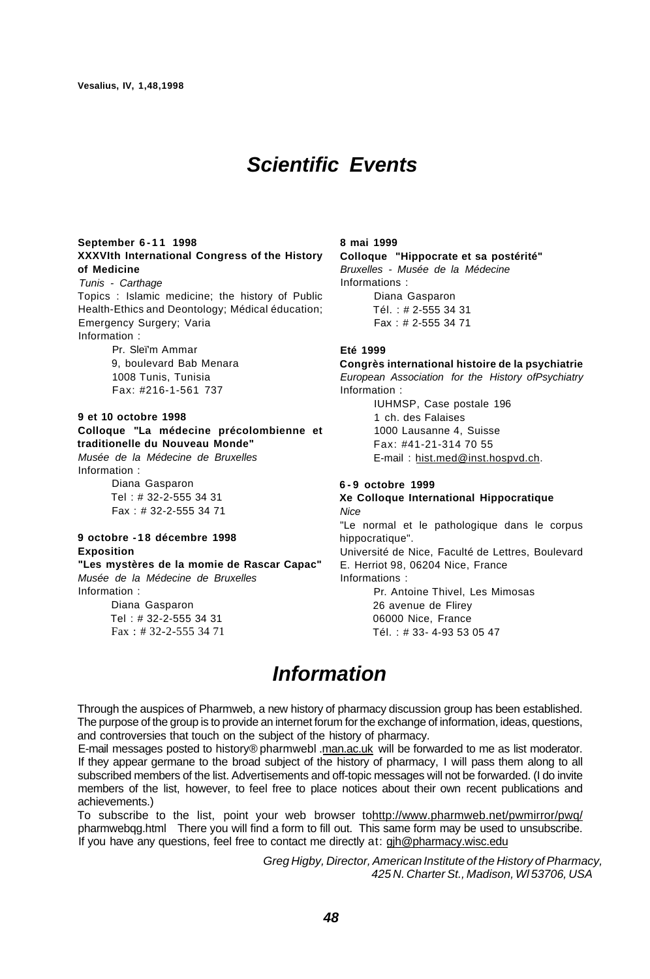# **Scientific Events**

#### **September 6-1 1 1998 XXXVIth International Congress of the History of Medicine**

Tunis - Carthage Topics : Islamic medicine; the history of Public Health-Ethics and Deontology; Médical éducation; Emergency Surgery; Varia Information :

> Pr. Sleï'm Ammar 9, boulevard Bab Menara 1008 Tunis, Tunisia Fax: #216-1-561 737

#### **9 et 10 octobre 1998 Colloque "La médecine précolombienne et traditionelle du Nouveau Monde"**

Musée de la Médecine de Bruxelles Information :

Diana Gasparon Tel : # 32-2-555 34 31 Fax : # 32-2-555 34 71

#### **9 octobre -18 décembre 1998 Exposition "Les mystères de la momie de Rascar Capac"**

Musée de la Médecine de Bruxelles Information : Diana Gasparon

Tel : # 32-2-555 34 31 Fax : # 32-2-555 34 71 **8 mai 1999 Colloque "Hippocrate et sa postérité"**  Bruxelles - Musée de la Médecine Informations : Diana Gasparon Tél. : # 2-555 34 31 Fax : # 2-555 34 71

#### **Eté 1999**

**Congrès international histoire de la psychiatrie**  European Association for the History ofPsychiatry Information :

IUHMSP, Case postale 196 1 ch. des Falaises 1000 Lausanne 4, Suisse Fax: #41-21-314 70 55 E-mail : [hist.med@inst.hospvd.ch.](mailto:hist.med@inst.hospvd.ch)

#### **6 - 9 octobre 1999**

**Xe Colloque International Hippocratique Nice** "Le normal et le pathologique dans le corpus hippocratique". Université de Nice, Faculté de Lettres, Boulevard E. Herriot 98, 06204 Nice, France Informations : Pr. Antoine Thivel, Les Mimosas 26 avenue de Flirey

06000 Nice, France

Tél. : # 33- 4-93 53 05 47

# **Information**

Through the auspices of Pharmweb, a new history of pharmacy discussion group has been established. The purpose of the group is to provide an internet forum for the exchange of information, ideas, questions, and controversies that touch on the subject of the history of pharmacy.

E-mail messages posted to history® pharmwebl .[man.ac.uk](http://man.ac.uk) will be forwarded to me as list moderator. If they appear germane to the broad subject of the history of pharmacy, I will pass them along to all subscribed members of the list. Advertisements and off-topic messages will not be forwarded. (I do invite members of the list, however, to feel free to place notices about their own recent publications and achievements.)

To subscribe to the list, point your web browser to<http://www.pharmweb.net/pwmirror/pwq/> pharmwebqg.html There you will find a form to fill out. This same form may be used to unsubscribe. If you have any questions, feel free to contact me directly at:  $g$ jh@pharmacy.wisc.edu

> Greg Higby, Director, American Institute of the History of Pharmacy, 425 N. Charter St., Madison, Wl 53706, USA